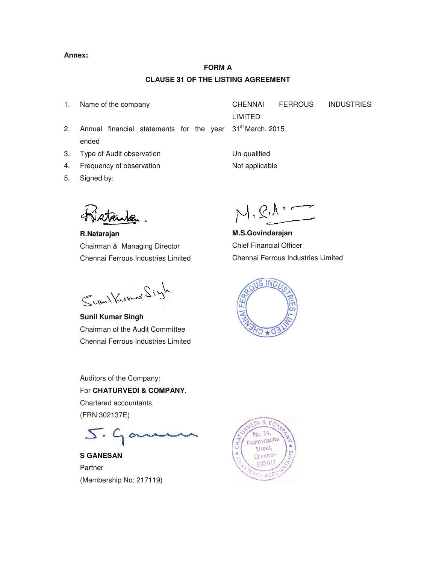#### **Annex:**

# **FORM A CLAUSE 31 OF THE LISTING AGREEMENT**

1. Name of the company CHENNAI FERROUS INDUSTRIES LIMITED 31<sup>st</sup> March, 2015

- 2. Annual financial statements for the year ended
- 3. Type of Audit observation The Controller Controller Un-qualified
- 4. Frequency of observation Not applicable
- 5. Signed by:

**R.Natarajan**  Chairman & Managing Director Chennai Ferrous Industries Limited

Sym/Kumar Siyh

**Sunil Kumar Singh**  Chairman of the Audit Committee Chennai Ferrous Industries Limited

**M.S.Govindarajan**  Chief Financial Officer Chennai Ferrous Industries Limited



Auditors of the Company: For **CHATURVEDI & COMPANY**, Chartered accountants, (FRN 302137E)

 $5.90$ 

**S GANESAN**  Partner (Membership No: 217119)

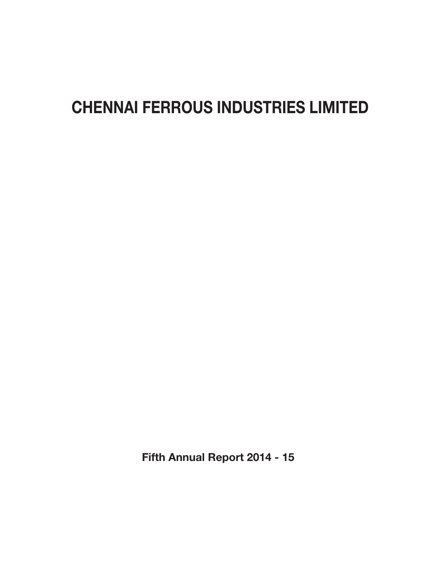# CHENNAI FERROUS INDUSTRIES LIMITED

Fifth Annual Report 2014 - 15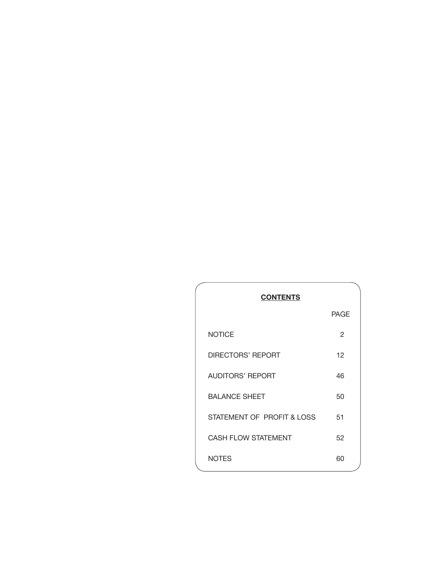| <b>CONTENTS</b>            |             |
|----------------------------|-------------|
|                            | <b>PAGE</b> |
| <b>NOTICE</b>              | 2           |
| <b>DIRECTORS' REPORT</b>   | 12          |
| <b>AUDITORS' REPORT</b>    | 46          |
| <b>BALANCE SHEET</b>       | 50          |
| STATEMENT OF PROFIT & LOSS | 51          |
| <b>CASH FLOW STATEMENT</b> | 52          |
| <b>NOTES</b>               | 60          |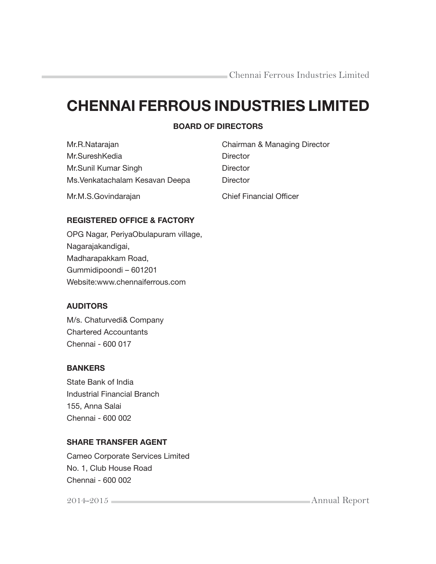# CHENNAI FERROUS INDUSTRIES LIMITED

# BOARD OF DIRECTORS

| Mr.R.Natarajan                  | Chairman & Managing Director   |
|---------------------------------|--------------------------------|
| Mr.SureshKedia                  | Director                       |
| Mr.Sunil Kumar Singh            | Director                       |
| Ms. Venkatachalam Kesavan Deepa | Director                       |
| Mr.M.S.Govindarajan             | <b>Chief Financial Officer</b> |

# REGISTERED OFFICE & FACTORY

OPG Nagar, PeriyaObulapuram village, Nagarajakandigai, Madharapakkam Road, Gummidipoondi – 601201 Website:www.chennaiferrous.com

# AUDITORS

M/s. Chaturvedi& Company Chartered Accountants Chennai - 600 017

# **BANKERS**

State Bank of India Industrial Financial Branch 155, Anna Salai Chennai - 600 002

# SHARE TRANSFER AGENT

Cameo Corporate Services Limited No. 1, Club House Road Chennai - 600 002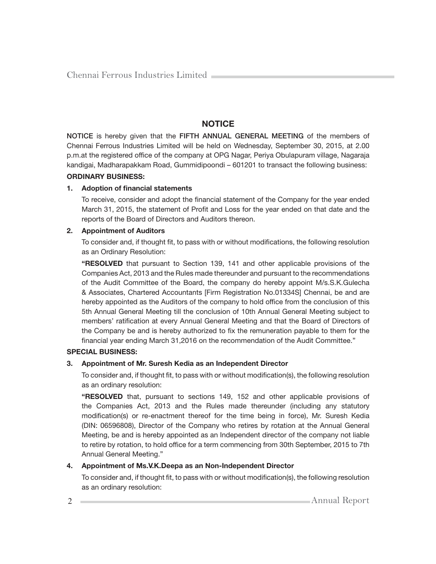# **NOTICE**

NOTICE is hereby given that the FIFTH ANNUAL GENERAL MEETING of the members of Chennai Ferrous Industries Limited will be held on Wednesday, September 30, 2015, at 2.00 p.m.at the registered office of the company at OPG Nagar, Periya Obulapuram village, Nagaraja kandigai, Madharapakkam Road, Gummidipoondi – 601201 to transact the following business:

#### ORDINARY BUSINESS:

#### 1. Adoption of financial statements

To receive, consider and adopt the financial statement of the Company for the year ended March 31, 2015, the statement of Profit and Loss for the year ended on that date and the reports of the Board of Directors and Auditors thereon.

#### 2. Appointment of Auditors

To consider and, if thought fit, to pass with or without modifications, the following resolution as an Ordinary Resolution:

 "RESOLVED that pursuant to Section 139, 141 and other applicable provisions of the Companies Act, 2013 and the Rules made thereunder and pursuant to the recommendations of the Audit Committee of the Board, the company do hereby appoint M/s.S.K.Gulecha & Associates, Chartered Accountants [Firm Registration No.01334S] Chennai, be and are hereby appointed as the Auditors of the company to hold office from the conclusion of this 5th Annual General Meeting till the conclusion of 10th Annual General Meeting subject to members' ratification at every Annual General Meeting and that the Board of Directors of the Company be and is hereby authorized to fix the remuneration payable to them for the financial year ending March 31,2016 on the recommendation of the Audit Committee."

#### SPECIAL BUSINESS:

## 3. Appointment of Mr. Suresh Kedia as an Independent Director

To consider and, if thought fit, to pass with or without modification(s), the following resolution as an ordinary resolution:

 "RESOLVED that, pursuant to sections 149, 152 and other applicable provisions of the Companies Act, 2013 and the Rules made thereunder (including any statutory modification(s) or re-enactment thereof for the time being in force), Mr. Suresh Kedia (DIN: 06596808), Director of the Company who retires by rotation at the Annual General Meeting, be and is hereby appointed as an Independent director of the company not liable to retire by rotation, to hold office for a term commencing from 30th September, 2015 to 7th Annual General Meeting."

## 4. Appointment of Ms.V.K.Deepa as an Non-Independent Director

To consider and, if thought fit, to pass with or without modification(s), the following resolution as an ordinary resolution: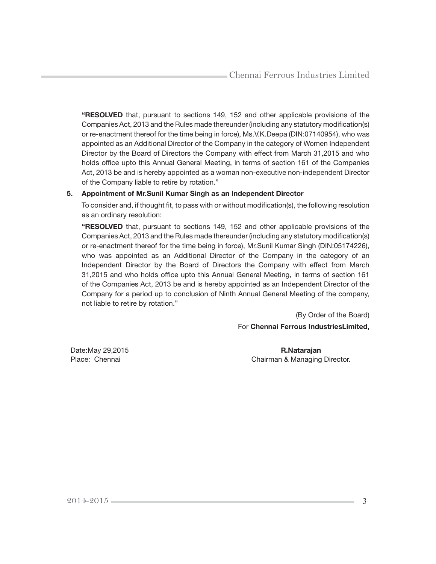"RESOLVED that, pursuant to sections 149, 152 and other applicable provisions of the Companies Act, 2013 and the Rules made thereunder (including any statutory modification(s) or re-enactment thereof for the time being in force), Ms.V.K.Deepa (DIN:07140954), who was appointed as an Additional Director of the Company in the category of Women Independent Director by the Board of Directors the Company with effect from March 31,2015 and who holds office upto this Annual General Meeting, in terms of section 161 of the Companies Act, 2013 be and is hereby appointed as a woman non-executive non-independent Director of the Company liable to retire by rotation."

#### 5. Appointment of Mr.Sunil Kumar Singh as an Independent Director

To consider and, if thought fit, to pass with or without modification(s), the following resolution as an ordinary resolution:

 "RESOLVED that, pursuant to sections 149, 152 and other applicable provisions of the Companies Act, 2013 and the Rules made thereunder (including any statutory modification(s) or re-enactment thereof for the time being in force), Mr.Sunil Kumar Singh (DIN:05174226), who was appointed as an Additional Director of the Company in the category of an Independent Director by the Board of Directors the Company with effect from March 31,2015 and who holds office upto this Annual General Meeting, in terms of section 161 of the Companies Act, 2013 be and is hereby appointed as an Independent Director of the Company for a period up to conclusion of Ninth Annual General Meeting of the company, not liable to retire by rotation."

> (By Order of the Board) For Chennai Ferrous IndustriesLimited,

Date:May 29,2015 **R.Natarajan** Place: Chennai **Chairman & Managing Director.**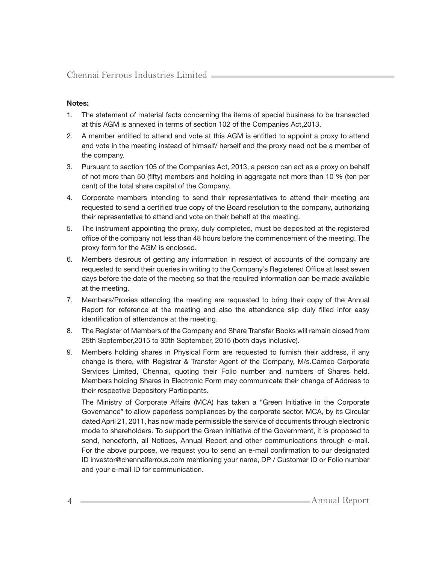## Notes:

- 1. The statement of material facts concerning the items of special business to be transacted at this AGM is annexed in terms of section 102 of the Companies Act,2013.
- 2. A member entitled to attend and vote at this AGM is entitled to appoint a proxy to attend and vote in the meeting instead of himself/ herself and the proxy need not be a member of the company.
- 3. Pursuant to section 105 of the Companies Act, 2013, a person can act as a proxy on behalf of not more than 50 (fifty) members and holding in aggregate not more than 10 % (ten per cent) of the total share capital of the Company.
- 4. Corporate members intending to send their representatives to attend their meeting are requested to send a certified true copy of the Board resolution to the company, authorizing their representative to attend and vote on their behalf at the meeting.
- 5. The instrument appointing the proxy, duly completed, must be deposited at the registered office of the company not less than 48 hours before the commencement of the meeting. The proxy form for the AGM is enclosed.
- 6. Members desirous of getting any information in respect of accounts of the company are requested to send their queries in writing to the Company's Registered Office at least seven days before the date of the meeting so that the required information can be made available at the meeting.
- 7. Members/Proxies attending the meeting are requested to bring their copy of the Annual Report for reference at the meeting and also the attendance slip duly filled infor easy identification of attendance at the meeting.
- 8. The Register of Members of the Company and Share Transfer Books will remain closed from 25th September,2015 to 30th September, 2015 (both days inclusive).
- 9. Members holding shares in Physical Form are requested to furnish their address, if any change is there, with Registrar & Transfer Agent of the Company, M/s.Cameo Corporate Services Limited, Chennai, quoting their Folio number and numbers of Shares held. Members holding Shares in Electronic Form may communicate their change of Address to their respective Depository Participants.

 The Ministry of Corporate Affairs (MCA) has taken a "Green Initiative in the Corporate Governance" to allow paperless compliances by the corporate sector. MCA, by its Circular dated April 21, 2011, has now made permissible the service of documents through electronic mode to shareholders. To support the Green Initiative of the Government, it is proposed to send, henceforth, all Notices, Annual Report and other communications through e-mail. For the above purpose, we request you to send an e-mail confirmation to our designated ID investor@chennaiferrous.com mentioning your name, DP / Customer ID or Folio number and your e-mail ID for communication.

4 Annual Report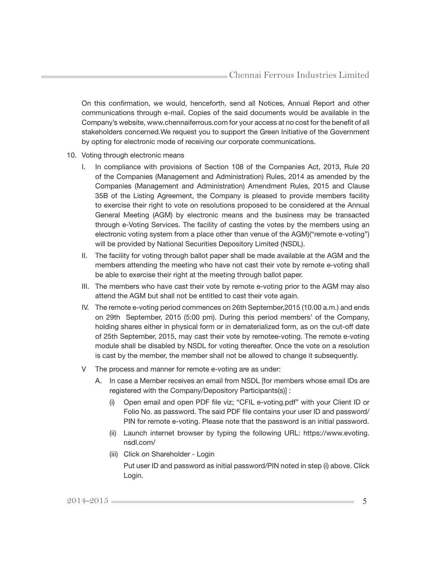On this confirmation, we would, henceforth, send all Notices, Annual Report and other communications through e-mail. Copies of the said documents would be available in the Company's website, www.chennaiferrous.com for your access at no cost for the benefit of all stakeholders concerned.We request you to support the Green Initiative of the Government by opting for electronic mode of receiving our corporate communications.

- 10. Voting through electronic means
	- I. In compliance with provisions of Section 108 of the Companies Act, 2013, Rule 20 of the Companies (Management and Administration) Rules, 2014 as amended by the Companies (Management and Administration) Amendment Rules, 2015 and Clause 35B of the Listing Agreement, the Company is pleased to provide members facility to exercise their right to vote on resolutions proposed to be considered at the Annual General Meeting (AGM) by electronic means and the business may be transacted through e-Voting Services. The facility of casting the votes by the members using an electronic voting system from a place other than venue of the AGM)("remote e-voting") will be provided by National Securities Depository Limited (NSDL).
	- II. The facility for voting through ballot paper shall be made available at the AGM and the members attending the meeting who have not cast their vote by remote e-voting shall be able to exercise their right at the meeting through ballot paper.
	- III. The members who have cast their vote by remote e-voting prior to the AGM may also attend the AGM but shall not be entitled to cast their vote again.
	- IV. The remote e-voting period commences on 26th September,2015 (10.00 a.m.) and ends on 29th September, 2015 (5:00 pm). During this period members' of the Company, holding shares either in physical form or in dematerialized form, as on the cut-off date of 25th September, 2015, may cast their vote by remotee-voting. The remote e-voting module shall be disabled by NSDL for voting thereafter. Once the vote on a resolution is cast by the member, the member shall not be allowed to change it subsequently.
	- V The process and manner for remote e-voting are as under:
		- A. In case a Member receives an email from NSDL [for members whose email IDs are registered with the Company/Depository Participants(s)] :
			- (i) Open email and open PDF file viz; "CFIL e-voting.pdf" with your Client ID or Folio No. as password. The said PDF file contains your user ID and password/ PIN for remote e-voting. Please note that the password is an initial password.
			- (ii) Launch internet browser by typing the following URL: https://www.evoting. nsdl.com/
			- (iii) Click on Shareholder Login

 Put user ID and password as initial password/PIN noted in step (i) above. Click Login.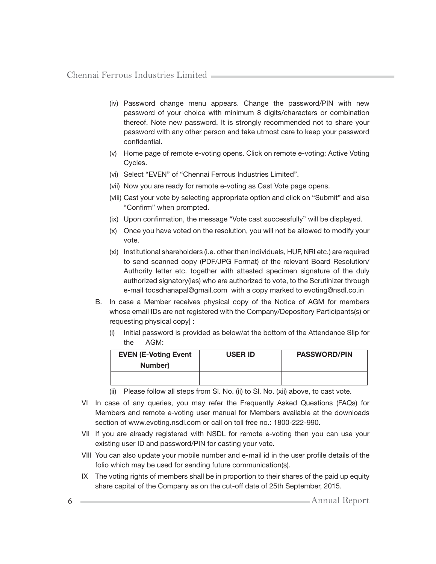- (iv) Password change menu appears. Change the password/PIN with new password of your choice with minimum 8 digits/characters or combination thereof. Note new password. It is strongly recommended not to share your password with any other person and take utmost care to keep your password confidential.
- (v) Home page of remote e-voting opens. Click on remote e-voting: Active Voting Cycles.
- (vi) Select "EVEN" of "Chennai Ferrous Industries Limited".
- (vii) Now you are ready for remote e-voting as Cast Vote page opens.
- (viii) Cast your vote by selecting appropriate option and click on "Submit" and also "Confirm" when prompted.
- (ix) Upon confirmation, the message "Vote cast successfully" will be displayed.
- (x) Once you have voted on the resolution, you will not be allowed to modify your vote.
- (xi) Institutional shareholders (i.e. other than individuals, HUF, NRI etc.) are required to send scanned copy (PDF/JPG Format) of the relevant Board Resolution/ Authority letter etc. together with attested specimen signature of the duly authorized signatory(ies) who are authorized to vote, to the Scrutinizer through e-mail tocsdhanapal@gmail.com with a copy marked to evoting@nsdl.co.in
- B. In case a Member receives physical copy of the Notice of AGM for members whose email IDs are not registered with the Company/Depository Participants(s) or requesting physical copy] :
	- Initial password is provided as below/at the bottom of the Attendance Slip for the AGM:

| <b>EVEN (E-Voting Event</b><br>Number) | <b>USER ID</b> | <b>PASSWORD/PIN</b> |
|----------------------------------------|----------------|---------------------|
|                                        |                |                     |

- (ii) Please follow all steps from Sl. No. (ii) to Sl. No. (xii) above, to cast vote.
- VI In case of any queries, you may refer the Frequently Asked Questions (FAQs) for Members and remote e-voting user manual for Members available at the downloads section of www.evoting.nsdl.com or call on toll free no.: 1800-222-990.
- VII If you are already registered with NSDL for remote e-voting then you can use your existing user ID and password/PIN for casting your vote.
- VIII You can also update your mobile number and e-mail id in the user profile details of the folio which may be used for sending future communication(s).
- IX The voting rights of members shall be in proportion to their shares of the paid up equity share capital of the Company as on the cut-off date of 25th September, 2015.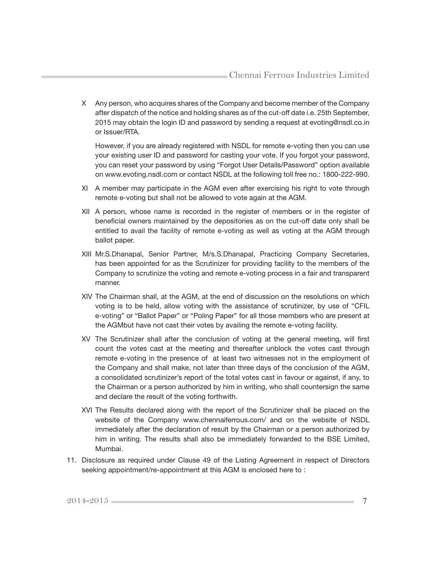X Any person, who acquires shares of the Company and become member of the Company after dispatch of the notice and holding shares as of the cut-off date i.e. 25th September, 2015 may obtain the login ID and password by sending a request at evoting@nsdl.co.in or Issuer/RTA.

 However, if you are already registered with NSDL for remote e-voting then you can use your existing user ID and password for casting your vote. If you forgot your password, you can reset your password by using "Forgot User Details/Password" option available on www.evoting.nsdl.com or contact NSDL at the following toll free no.: 1800-222-990.

- XI A member may participate in the AGM even after exercising his right to vote through remote e-voting but shall not be allowed to vote again at the AGM.
- XII A person, whose name is recorded in the register of members or in the register of beneficial owners maintained by the depositories as on the cut-off date only shall be entitled to avail the facility of remote e-voting as well as voting at the AGM through ballot paper.
- XIII Mr.S.Dhanapal, Senior Partner, M/s.S.Dhanapal, Practicing Company Secretaries, has been appointed for as the Scrutinizer for providing facility to the members of the Company to scrutinize the voting and remote e-voting process in a fair and transparent manner.
- XIV The Chairman shall, at the AGM, at the end of discussion on the resolutions on which voting is to be held, allow voting with the assistance of scrutinizer, by use of "CFIL e-voting" or "Ballot Paper" or "Poling Paper" for all those members who are present at the AGMbut have not cast their votes by availing the remote e-voting facility.
- XV The Scrutinizer shall after the conclusion of voting at the general meeting, will first count the votes cast at the meeting and thereafter unblock the votes cast through remote e-voting in the presence of at least two witnesses not in the employment of the Company and shall make, not later than three days of the conclusion of the AGM, a consolidated scrutinizer's report of the total votes cast in favour or against, if any, to the Chairman or a person authorized by him in writing, who shall countersign the same and declare the result of the voting forthwith.
- XVI The Results declared along with the report of the Scrutinizer shall be placed on the website of the Company www.chennaiferrous.com/ and on the website of NSDL immediately after the declaration of result by the Chairman or a person authorized by him in writing. The results shall also be immediately forwarded to the BSE Limited, Mumbai.
- 11. Disclosure as required under Clause 49 of the Listing Agreement in respect of Directors seeking appointment/re-appointment at this AGM is enclosed here to :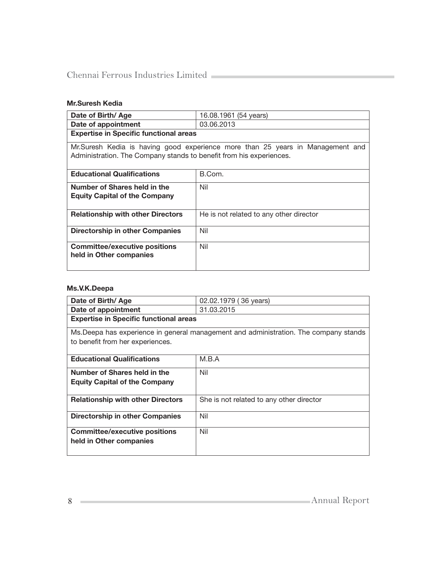# Mr.Suresh Kedia

| Date of Birth/Age                                                                                                                                      | 16.08.1961 (54 years)                   |  |  |
|--------------------------------------------------------------------------------------------------------------------------------------------------------|-----------------------------------------|--|--|
| Date of appointment                                                                                                                                    | 03.06.2013                              |  |  |
| <b>Expertise in Specific functional areas</b>                                                                                                          |                                         |  |  |
| Mr. Suresh Kedia is having good experience more than 25 years in Management and<br>Administration. The Company stands to benefit from his experiences. |                                         |  |  |
| <b>Educational Qualifications</b>                                                                                                                      | B.Com.                                  |  |  |
| Number of Shares held in the<br><b>Equity Capital of the Company</b>                                                                                   | Nil                                     |  |  |
| <b>Relationship with other Directors</b>                                                                                                               | He is not related to any other director |  |  |
| Directorship in other Companies                                                                                                                        | Nil                                     |  |  |
| <b>Committee/executive positions</b><br>held in Other companies                                                                                        | Nil                                     |  |  |

#### Ms.V.K.Deepa

| Date of Birth/ Age                            | 02.02.1979 (36 years)                                                                 |
|-----------------------------------------------|---------------------------------------------------------------------------------------|
| Date of appointment                           | 31.03.2015                                                                            |
| <b>Expertise in Specific functional areas</b> |                                                                                       |
|                                               | Ms. Deepa has experience in general management and administration. The company stands |
| to benefit from her experiences.              |                                                                                       |
|                                               |                                                                                       |
| <b>Educational Qualifications</b>             | M.B.A                                                                                 |
| Number of Shares held in the                  | Nil                                                                                   |
| <b>Equity Capital of the Company</b>          |                                                                                       |
|                                               |                                                                                       |
| <b>Relationship with other Directors</b>      | She is not related to any other director                                              |
|                                               |                                                                                       |
| Directorship in other Companies               | Nil                                                                                   |
| <b>Committee/executive positions</b>          | Nil                                                                                   |
| held in Other companies                       |                                                                                       |
|                                               |                                                                                       |
|                                               |                                                                                       |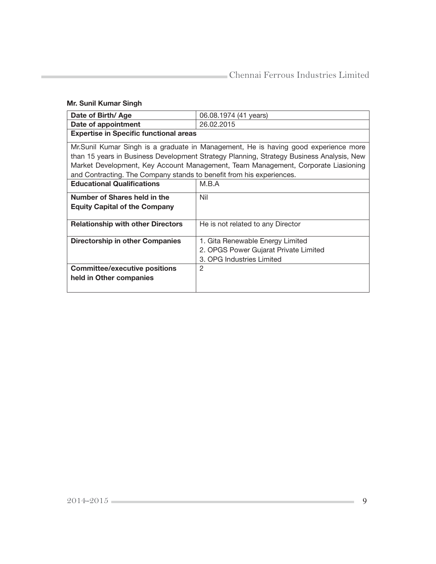# Mr. Sunil Kumar Singh

| Date of Birth/Age                                                    | 06.08.1974 (41 years)                                                                    |  |  |
|----------------------------------------------------------------------|------------------------------------------------------------------------------------------|--|--|
| Date of appointment                                                  | 26.02.2015                                                                               |  |  |
| <b>Expertise in Specific functional areas</b>                        |                                                                                          |  |  |
|                                                                      | Mr.Sunil Kumar Singh is a graduate in Management, He is having good experience more      |  |  |
|                                                                      | than 15 years in Business Development Strategy Planning, Strategy Business Analysis, New |  |  |
|                                                                      | Market Development, Key Account Management, Team Management, Corporate Liasioning        |  |  |
| and Contracting. The Company stands to benefit from his experiences. |                                                                                          |  |  |
| <b>Educational Qualifications</b>                                    | M.B.A                                                                                    |  |  |
| Number of Shares held in the                                         | Nil                                                                                      |  |  |
| <b>Equity Capital of the Company</b>                                 |                                                                                          |  |  |
| <b>Relationship with other Directors</b>                             | He is not related to any Director                                                        |  |  |
|                                                                      |                                                                                          |  |  |
| <b>Directorship in other Companies</b>                               | 1. Gita Renewable Energy Limited                                                         |  |  |
|                                                                      | 2. OPGS Power Gujarat Private Limited                                                    |  |  |
|                                                                      | 3. OPG Industries Limited                                                                |  |  |
| <b>Committee/executive positions</b>                                 | 2                                                                                        |  |  |
| held in Other companies                                              |                                                                                          |  |  |
|                                                                      |                                                                                          |  |  |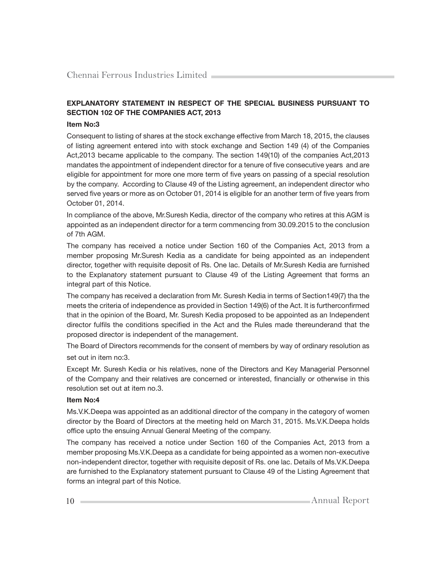## EXPLANATORY STATEMENT IN RESPECT OF THE SPECIAL BUSINESS PURSUANT TO SECTION 102 OF THE COMPANIES ACT, 2013

#### Item No:3

Consequent to listing of shares at the stock exchange effective from March 18, 2015, the clauses of listing agreement entered into with stock exchange and Section 149 (4) of the Companies Act,2013 became applicable to the company. The section 149(10) of the companies Act,2013 mandates the appointment of independent director for a tenure of five consecutive years and are eligible for appointment for more one more term of five years on passing of a special resolution by the company. According to Clause 49 of the Listing agreement, an independent director who served five years or more as on October 01, 2014 is eligible for an another term of five years from October 01, 2014.

In compliance of the above, Mr.Suresh Kedia, director of the company who retires at this AGM is appointed as an independent director for a term commencing from 30.09.2015 to the conclusion of 7th AGM.

The company has received a notice under Section 160 of the Companies Act, 2013 from a member proposing Mr.Suresh Kedia as a candidate for being appointed as an independent director, together with requisite deposit of Rs. One lac. Details of Mr.Suresh Kedia are furnished to the Explanatory statement pursuant to Clause 49 of the Listing Agreement that forms an integral part of this Notice.

The company has received a declaration from Mr. Suresh Kedia in terms of Section149(7) tha the meets the criteria of independence as provided in Section 149(6) of the Act. It is furtherconfirmed that in the opinion of the Board, Mr. Suresh Kedia proposed to be appointed as an Independent director fulfils the conditions specified in the Act and the Rules made thereunderand that the proposed director is independent of the management.

The Board of Directors recommends for the consent of members by way of ordinary resolution as set out in item no:3.

Except Mr. Suresh Kedia or his relatives, none of the Directors and Key Managerial Personnel of the Company and their relatives are concerned or interested, financially or otherwise in this resolution set out at item no.3.

#### Item No:4

Ms.V.K.Deepa was appointed as an additional director of the company in the category of women director by the Board of Directors at the meeting held on March 31, 2015. Ms.V.K.Deepa holds office upto the ensuing Annual General Meeting of the company.

The company has received a notice under Section 160 of the Companies Act, 2013 from a member proposing Ms.V.K.Deepa as a candidate for being appointed as a women non-executive non-independent director, together with requisite deposit of Rs. one lac. Details of Ms.V.K.Deepa are furnished to the Explanatory statement pursuant to Clause 49 of the Listing Agreement that forms an integral part of this Notice.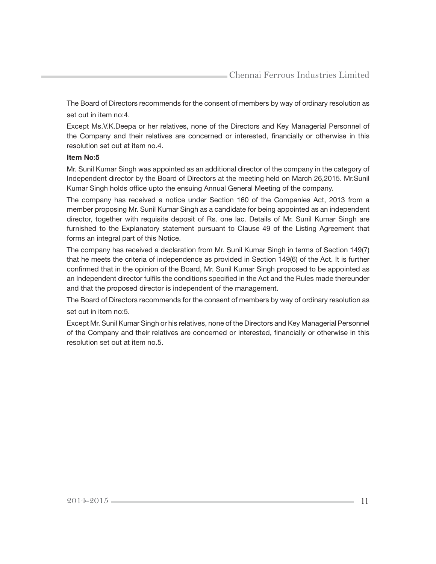The Board of Directors recommends for the consent of members by way of ordinary resolution as set out in item no:4.

Except Ms.V.K.Deepa or her relatives, none of the Directors and Key Managerial Personnel of the Company and their relatives are concerned or interested, financially or otherwise in this resolution set out at item no.4.

#### Item No:5

Mr. Sunil Kumar Singh was appointed as an additional director of the company in the category of Independent director by the Board of Directors at the meeting held on March 26,2015. Mr.Sunil Kumar Singh holds office upto the ensuing Annual General Meeting of the company.

The company has received a notice under Section 160 of the Companies Act, 2013 from a member proposing Mr. Sunil Kumar Singh as a candidate for being appointed as an independent director, together with requisite deposit of Rs. one lac. Details of Mr. Sunil Kumar Singh are furnished to the Explanatory statement pursuant to Clause 49 of the Listing Agreement that forms an integral part of this Notice.

The company has received a declaration from Mr. Sunil Kumar Singh in terms of Section 149(7) that he meets the criteria of independence as provided in Section 149(6) of the Act. It is further confirmed that in the opinion of the Board, Mr. Sunil Kumar Singh proposed to be appointed as an Independent director fulfils the conditions specified in the Act and the Rules made thereunder and that the proposed director is independent of the management.

The Board of Directors recommends for the consent of members by way of ordinary resolution as set out in item no:5.

Except Mr. Sunil Kumar Singh or his relatives, none of the Directors and Key Managerial Personnel of the Company and their relatives are concerned or interested, financially or otherwise in this resolution set out at item no.5.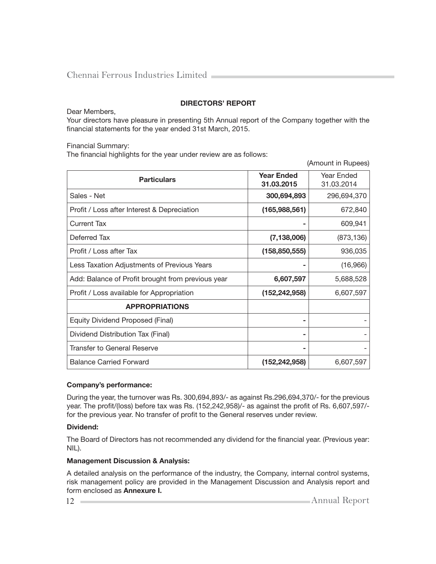## DIRECTORS' REPORT

Dear Members,

Your directors have pleasure in presenting 5th Annual report of the Company together with the financial statements for the year ended 31st March, 2015.

Financial Summary:

The financial highlights for the year under review are as follows:

|                                                   |                                 | (Amount in Rupees)       |
|---------------------------------------------------|---------------------------------|--------------------------|
| <b>Particulars</b>                                | <b>Year Ended</b><br>31.03.2015 | Year Ended<br>31.03.2014 |
| Sales - Net                                       | 300,694,893                     | 296,694,370              |
| Profit / Loss after Interest & Depreciation       | (165,988,561)                   | 672,840                  |
| <b>Current Tax</b>                                |                                 | 609,941                  |
| Deferred Tax                                      | (7, 138, 006)                   | (873, 136)               |
| Profit / Loss after Tax                           | (158, 850, 555)                 | 936,035                  |
| Less Taxation Adjustments of Previous Years       |                                 | (16,966)                 |
| Add: Balance of Profit brought from previous year | 6,607,597                       | 5,688,528                |
| Profit / Loss available for Appropriation         | (152, 242, 958)                 | 6,607,597                |
| <b>APPROPRIATIONS</b>                             |                                 |                          |
| Equity Dividend Proposed (Final)                  |                                 |                          |
| Dividend Distribution Tax (Final)                 |                                 |                          |
| <b>Transfer to General Reserve</b>                |                                 |                          |
| <b>Balance Carried Forward</b>                    | (152, 242, 958)                 | 6,607,597                |

#### Company's performance:

During the year, the turnover was Rs. 300,694,893/- as against Rs.296,694,370/- for the previous year. The profit/(loss) before tax was Rs.  $(152,242,958)/-$  as against the profit of Rs. 6,607,597/for the previous year. No transfer of profit to the General reserves under review.

#### Dividend:

The Board of Directors has not recommended any dividend for the financial year. (Previous year: NIL).

#### Management Discussion & Analysis:

A detailed analysis on the performance of the industry, the Company, internal control systems, risk management policy are provided in the Management Discussion and Analysis report and form enclosed as Annexure I.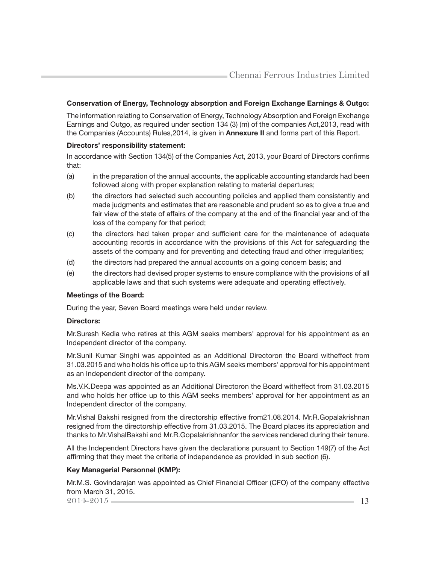#### Conservation of Energy, Technology absorption and Foreign Exchange Earnings & Outgo:

The information relating to Conservation of Energy, Technology Absorption and Foreign Exchange Earnings and Outgo, as required under section 134 (3) (m) of the companies Act,2013, read with the Companies (Accounts) Rules, 2014, is given in **Annexure II** and forms part of this Report.

#### Directors' responsibility statement:

In accordance with Section 134(5) of the Companies Act, 2013, your Board of Directors confirms that:

- (a) in the preparation of the annual accounts, the applicable accounting standards had been followed along with proper explanation relating to material departures;
- (b) the directors had selected such accounting policies and applied them consistently and made judgments and estimates that are reasonable and prudent so as to give a true and fair view of the state of affairs of the company at the end of the financial year and of the loss of the company for that period;
- (c) the directors had taken proper and sufficient care for the maintenance of adequate accounting records in accordance with the provisions of this Act for safeguarding the assets of the company and for preventing and detecting fraud and other irregularities;
- (d) the directors had prepared the annual accounts on a going concern basis; and
- (e) the directors had devised proper systems to ensure compliance with the provisions of all applicable laws and that such systems were adequate and operating effectively.

#### Meetings of the Board:

During the year, Seven Board meetings were held under review.

#### Directors:

Mr.Suresh Kedia who retires at this AGM seeks members' approval for his appointment as an Independent director of the company.

Mr.Sunil Kumar Singhi was appointed as an Additional Directoron the Board witheffect from 31.03.2015 and who holds his office up to this AGM seeks members' approval for his appointment as an Independent director of the company.

Ms.V.K.Deepa was appointed as an Additional Directoron the Board witheffect from 31.03.2015 and who holds her office up to this AGM seeks members' approval for her appointment as an Independent director of the company.

Mr.Vishal Bakshi resigned from the directorship effective from21.08.2014. Mr.R.Gopalakrishnan resigned from the directorship effective from 31.03.2015. The Board places its appreciation and thanks to Mr.VishalBakshi and Mr.R.Gopalakrishnanfor the services rendered during their tenure.

All the Independent Directors have given the declarations pursuant to Section 149(7) of the Act affirming that they meet the criteria of independence as provided in sub section (6).

#### Key Managerial Personnel (KMP):

Mr.M.S. Govindarajan was appointed as Chief Financial Officer (CFO) of the company effective from March 31, 2015.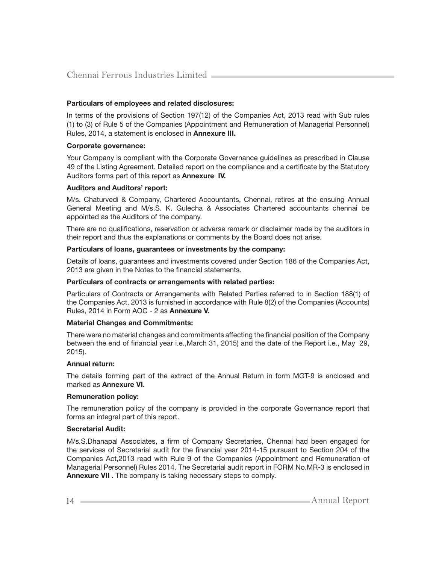#### Particulars of employees and related disclosures:

In terms of the provisions of Section 197(12) of the Companies Act, 2013 read with Sub rules (1) to (3) of Rule 5 of the Companies (Appointment and Remuneration of Managerial Personnel) Rules, 2014, a statement is enclosed in Annexure III.

#### Corporate governance:

Your Company is compliant with the Corporate Governance guidelines as prescribed in Clause 49 of the Listing Agreement. Detailed report on the compliance and a certificate by the Statutory Auditors forms part of this report as **Annexure IV.** 

#### Auditors and Auditors' report:

M/s. Chaturvedi & Company, Chartered Accountants, Chennai, retires at the ensuing Annual General Meeting and M/s.S. K. Gulecha & Associates Chartered accountants chennai be appointed as the Auditors of the company.

There are no qualifications, reservation or adverse remark or disclaimer made by the auditors in their report and thus the explanations or comments by the Board does not arise.

#### Particulars of loans, guarantees or investments by the company:

Details of loans, guarantees and investments covered under Section 186 of the Companies Act, 2013 are given in the Notes to the financial statements.

#### Particulars of contracts or arrangements with related parties:

Particulars of Contracts or Arrangements with Related Parties referred to in Section 188(1) of the Companies Act, 2013 is furnished in accordance with Rule 8(2) of the Companies (Accounts) Rules, 2014 in Form AOC - 2 as Annexure V.

#### Material Changes and Commitments:

There were no material changes and commitments affecting the financial position of the Company between the end of financial year i.e.,March 31, 2015) and the date of the Report i.e., May 29, 2015).

#### Annual return:

The details forming part of the extract of the Annual Return in form MGT-9 is enclosed and marked as Annexure VI.

#### Remuneration policy:

The remuneration policy of the company is provided in the corporate Governance report that forms an integral part of this report.

#### Secretarial Audit:

M/s.S.Dhanapal Associates, a firm of Company Secretaries, Chennai had been engaged for the services of Secretarial audit for the financial year 2014-15 pursuant to Section 204 of the Companies Act,2013 read with Rule 9 of the Companies (Appointment and Remuneration of Managerial Personnel) Rules 2014. The Secretarial audit report in FORM No.MR-3 is enclosed in Annexure VII . The company is taking necessary steps to comply.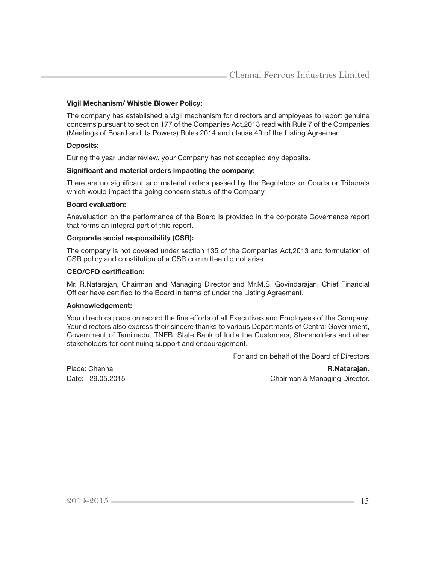#### Vigil Mechanism/ Whistle Blower Policy:

The company has established a vigil mechanism for directors and employees to report genuine concerns pursuant to section 177 of the Companies Act,2013 read with Rule 7 of the Companies (Meetings of Board and its Powers) Rules 2014 and clause 49 of the Listing Agreement.

#### Deposits:

During the year under review, your Company has not accepted any deposits.

#### Significant and material orders impacting the company:

There are no significant and material orders passed by the Regulators or Courts or Tribunals which would impact the going concern status of the Company.

#### Board evaluation:

Aneveluation on the performance of the Board is provided in the corporate Governance report that forms an integral part of this report.

#### Corporate social responsibility (CSR):

The company is not covered under section 135 of the Companies Act,2013 and formulation of CSR policy and constitution of a CSR committee did not arise.

#### CEO/CFO certification:

Mr. R.Natarajan, Chairman and Managing Director and Mr.M.S. Govindarajan, Chief Financial Officer have certified to the Board in terms of under the Listing Agreement.

#### Acknowledgement:

Your directors place on record the fine efforts of all Executives and Employees of the Company. Your directors also express their sincere thanks to various Departments of Central Government, Government of Tamilnadu, TNEB, State Bank of India the Customers, Shareholders and other stakeholders for continuing support and encouragement.

For and on behalf of the Board of Directors

Place: Chennai **R.Natarajan. R.Natarajan. R.Natarajan. R.Natarajan.** Date: 29.05.2015 Chairman & Managing Director.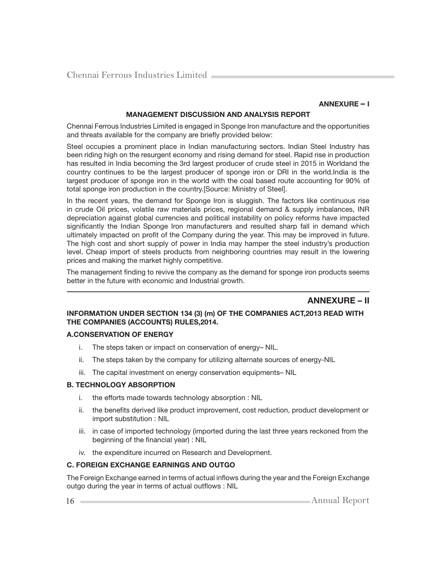#### ANNEXURE – I

#### MANAGEMENT DISCUSSION AND ANALYSIS REPORT

Chennai Ferrous Industries Limited is engaged in Sponge Iron manufacture and the opportunities and threats available for the company are briefly provided below:

Steel occupies a prominent place in Indian manufacturing sectors. Indian Steel Industry has been riding high on the resurgent economy and rising demand for steel. Rapid rise in production has resulted in India becoming the 3rd largest producer of crude steel in 2015 in Worldand the country continues to be the largest producer of sponge iron or DRI in the world.India is the largest producer of sponge iron in the world with the coal based route accounting for 90% of total sponge iron production in the country.[Source: Ministry of Steel].

In the recent years, the demand for Sponge Iron is sluggish. The factors like continuous rise in crude Oil prices, volatile raw materials prices, regional demand & supply imbalances, INR depreciation against global currencies and political instability on policy reforms have impacted significantly the Indian Sponge Iron manufacturers and resulted sharp fall in demand which ultimately impacted on profit of the Company during the year. This may be improved in future. The high cost and short supply of power in India may hamper the steel industry's production level. Cheap import of steels products from neighboring countries may result in the lowering prices and making the market highly competitive.

The management finding to revive the company as the demand for sponge iron products seems better in the future with economic and Industrial growth.

# ANNEXURE – II

#### INFORMATION UNDER SECTION 134 (3) (m) OF THE COMPANIES ACT,2013 READ WITH THE COMPANIES (ACCOUNTS) RULES,2014.

#### A.CONSERVATION OF ENERGY

- i. The steps taken or impact on conservation of energy– NIL.
- ii. The steps taken by the company for utilizing alternate sources of energy-NIL
- iii. The capital investment on energy conservation equipments– NIL

#### B. TECHNOLOGY ABSORPTION

- i. the efforts made towards technology absorption : NIL
- ii. the benefits derived like product improvement, cost reduction, product development or import substitution : NIL
- iii. in case of imported technology (imported during the last three years reckoned from the beginning of the financial year) : NIL
- iv. the expenditure incurred on Research and Development.

#### C. FOREIGN EXCHANGE EARNINGS AND OUTGO

The Foreign Exchange earned in terms of actual inflows during the year and the Foreign Exchange outgo during the year in terms of actual outflows : NIL

16 Annual Report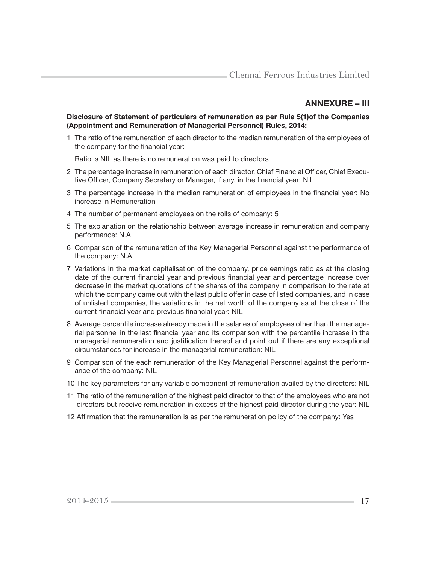# ANNEXURE – III

#### Disclosure of Statement of particulars of remuneration as per Rule 5(1)of the Companies (Appointment and Remuneration of Managerial Personnel) Rules, 2014:

1 The ratio of the remuneration of each director to the median remuneration of the employees of the company for the financial year:

Ratio is NIL as there is no remuneration was paid to directors

- 2 The percentage increase in remuneration of each director, Chief Financial Officer, Chief Executive Officer, Company Secretary or Manager, if any, in the financial year: NIL
- 3 The percentage increase in the median remuneration of employees in the financial year: No increase in Remuneration
- 4 The number of permanent employees on the rolls of company: 5
- 5 The explanation on the relationship between average increase in remuneration and company performance: N.A
- 6 Comparison of the remuneration of the Key Managerial Personnel against the performance of the company: N.A
- 7 Variations in the market capitalisation of the company, price earnings ratio as at the closing date of the current financial year and previous financial year and percentage increase over decrease in the market quotations of the shares of the company in comparison to the rate at which the company came out with the last public offer in case of listed companies, and in case of unlisted companies, the variations in the net worth of the company as at the close of the current financial year and previous financial year: NIL
- 8 Average percentile increase already made in the salaries of employees other than the managerial personnel in the last financial year and its comparison with the percentile increase in the managerial remuneration and justification thereof and point out if there are any exceptional circumstances for increase in the managerial remuneration: NIL
- 9 Comparison of the each remuneration of the Key Managerial Personnel against the performance of the company: NIL
- 10 The key parameters for any variable component of remuneration availed by the directors: NIL
- 11 The ratio of the remuneration of the highest paid director to that of the employees who are not directors but receive remuneration in excess of the highest paid director during the year: NIL
- 12 Affirmation that the remuneration is as per the remuneration policy of the company: Yes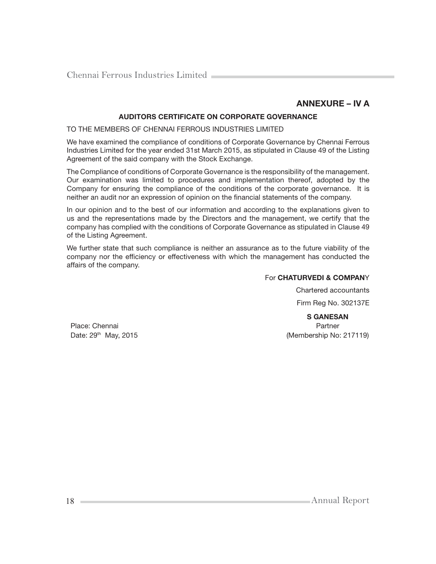# ANNEXURE – IV A

#### AUDITORS CERTIFICATE ON CORPORATE GOVERNANCE

TO THE MEMBERS OF CHENNAI FERROUS INDUSTRIES LIMITED

We have examined the compliance of conditions of Corporate Governance by Chennai Ferrous Industries Limited for the year ended 31st March 2015, as stipulated in Clause 49 of the Listing Agreement of the said company with the Stock Exchange.

The Compliance of conditions of Corporate Governance is the responsibility of the management. Our examination was limited to procedures and implementation thereof, adopted by the Company for ensuring the compliance of the conditions of the corporate governance. It is neither an audit nor an expression of opinion on the financial statements of the company.

In our opinion and to the best of our information and according to the explanations given to us and the representations made by the Directors and the management, we certify that the company has complied with the conditions of Corporate Governance as stipulated in Clause 49 of the Listing Agreement.

We further state that such compliance is neither an assurance as to the future viability of the company nor the efficiency or effectiveness with which the management has conducted the affairs of the company.

#### For CHATURVEDI & COMPANY

Chartered accountants Firm Reg No. 302137E

S GANESAN Date:  $29<sup>th</sup>$  May, 2015 (Membership No: 217119)

Place: Chennai Partner

18 Annual Report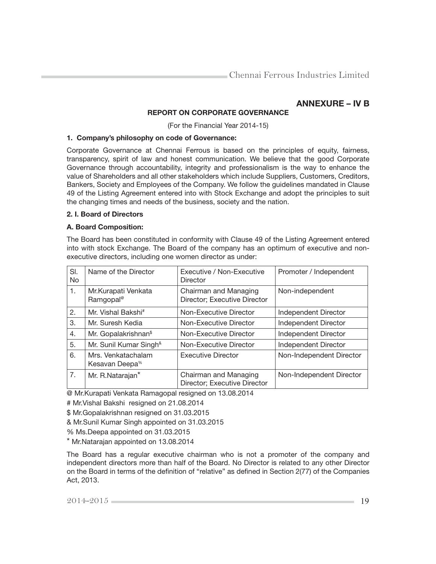# ANNEXURE – IV B

## REPORT ON CORPORATE GOVERNANCE

(For the Financial Year 2014-15)

#### 1. Company's philosophy on code of Governance:

Corporate Governance at Chennai Ferrous is based on the principles of equity, fairness, transparency, spirit of law and honest communication. We believe that the good Corporate Governance through accountability, integrity and professionalism is the way to enhance the value of Shareholders and all other stakeholders which include Suppliers, Customers, Creditors, Bankers, Society and Employees of the Company. We follow the guidelines mandated in Clause 49 of the Listing Agreement entered into with Stock Exchange and adopt the principles to suit the changing times and needs of the business, society and the nation.

#### 2. I. Board of Directors

#### A. Board Composition:

The Board has been constituted in conformity with Clause 49 of the Listing Agreement entered into with stock Exchange. The Board of the company has an optimum of executive and nonexecutive directors, including one women director as under:

| SI.<br><b>No</b> | Name of the Director                             | Executive / Non-Executive<br><b>Director</b>          | Promoter / Independent   |
|------------------|--------------------------------------------------|-------------------------------------------------------|--------------------------|
| 1.               | Mr. Kurapati Venkata<br>Ramgopal <sup>®</sup>    | Chairman and Managing<br>Director; Executive Director | Non-independent          |
| 2.               | Mr. Vishal Bakshi <sup>#</sup>                   | Non-Executive Director                                | Independent Director     |
| 3.               | Mr. Suresh Kedia                                 | Non-Executive Director                                | Independent Director     |
| 4.               | Mr. Gopalakrishnan <sup>\$</sup>                 | Non-Executive Director                                | Independent Director     |
| 5.               | Mr. Sunil Kumar Singh <sup>&amp;</sup>           | Non-Executive Director                                | Independent Director     |
| 6.               | Mrs. Venkatachalam<br>Kesavan Deepa <sup>%</sup> | <b>Executive Director</b>                             | Non-Independent Director |
| 7.               | Mr. R.Natarajan*                                 | Chairman and Managing<br>Director; Executive Director | Non-Independent Director |

@ Mr.Kurapati Venkata Ramagopal resigned on 13.08.2014

# Mr.Vishal Bakshi resigned on 21.08.2014

\$ Mr.Gopalakrishnan resigned on 31.03.2015

& Mr.Sunil Kumar Singh appointed on 31.03.2015

% Ms.Deepa appointed on 31.03.2015

\* Mr.Natarajan appointed on 13.08.2014

The Board has a regular executive chairman who is not a promoter of the company and independent directors more than half of the Board. No Director is related to any other Director on the Board in terms of the definition of "relative" as defined in Section 2(77) of the Companies Act, 2013.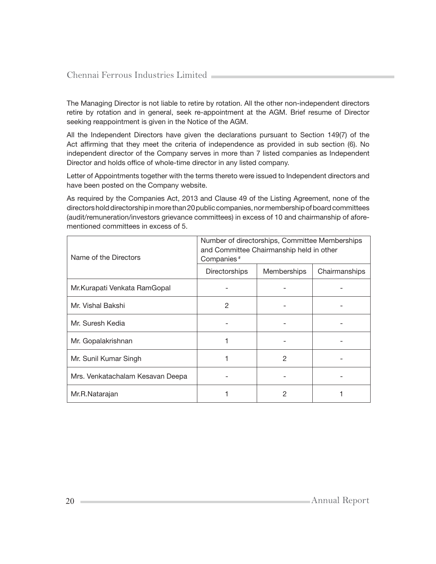The Managing Director is not liable to retire by rotation. All the other non-independent directors retire by rotation and in general, seek re-appointment at the AGM. Brief resume of Director seeking reappointment is given in the Notice of the AGM.

All the Independent Directors have given the declarations pursuant to Section 149(7) of the Act affirming that they meet the criteria of independence as provided in sub section (6). No independent director of the Company serves in more than 7 listed companies as Independent Director and holds office of whole-time director in any listed company.

Letter of Appointments together with the terms thereto were issued to Independent directors and have been posted on the Company website.

As required by the Companies Act, 2013 and Clause 49 of the Listing Agreement, none of the directors hold directorship in more than 20 public companies, nor membership of board committees (audit/remuneration/investors grievance committees) in excess of 10 and chairmanship of aforementioned committees in excess of 5.

| Name of the Directors            | Number of directorships, Committee Memberships<br>and Committee Chairmanship held in other<br>Companies <sup>#</sup> |             |               |
|----------------------------------|----------------------------------------------------------------------------------------------------------------------|-------------|---------------|
|                                  | <b>Directorships</b>                                                                                                 | Memberships | Chairmanships |
| Mr. Kurapati Venkata RamGopal    |                                                                                                                      |             |               |
| Mr. Vishal Bakshi                | 2                                                                                                                    |             |               |
| Mr. Suresh Kedia                 |                                                                                                                      |             |               |
| Mr. Gopalakrishnan               |                                                                                                                      |             |               |
| Mr. Sunil Kumar Singh            |                                                                                                                      | 2           |               |
| Mrs. Venkatachalam Kesavan Deepa |                                                                                                                      |             |               |
| Mr.R.Natarajan                   |                                                                                                                      | 2           |               |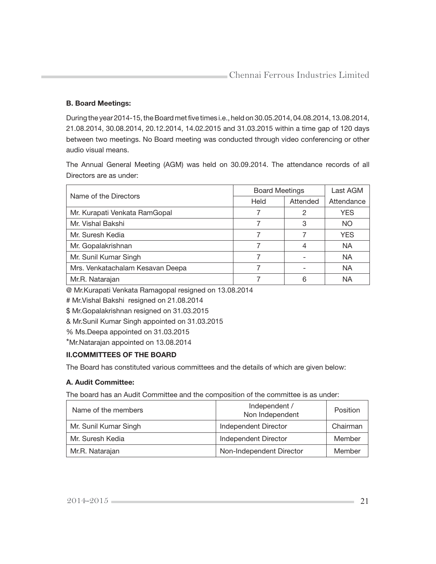## B. Board Meetings:

During the year 2014-15, the Board met five times i.e., held on 30.05.2014, 04.08.2014, 13.08.2014, 21.08.2014, 30.08.2014, 20.12.2014, 14.02.2015 and 31.03.2015 within a time gap of 120 days between two meetings. No Board meeting was conducted through video conferencing or other audio visual means.

The Annual General Meeting (AGM) was held on 30.09.2014. The attendance records of all Directors are as under:

| Name of the Directors            | <b>Board Meetings</b> |          | Last AGM   |
|----------------------------------|-----------------------|----------|------------|
|                                  | Held                  | Attended | Attendance |
| Mr. Kurapati Venkata RamGopal    |                       | 2        | YES.       |
| Mr. Vishal Bakshi                |                       | 3        | NO         |
| Mr. Suresh Kedia                 |                       |          | YES        |
| Mr. Gopalakrishnan               |                       | 4        | <b>NA</b>  |
| Mr. Sunil Kumar Singh            |                       |          | <b>NA</b>  |
| Mrs. Venkatachalam Kesavan Deepa |                       |          | <b>NA</b>  |
| Mr.R. Natarajan                  |                       |          | ΝA         |

@ Mr.Kurapati Venkata Ramagopal resigned on 13.08.2014

# Mr.Vishal Bakshi resigned on 21.08.2014

\$ Mr.Gopalakrishnan resigned on 31.03.2015

& Mr.Sunil Kumar Singh appointed on 31.03.2015

% Ms.Deepa appointed on 31.03.2015

\*Mr.Natarajan appointed on 13.08.2014

# II.COMMITTEES OF THE BOARD

The Board has constituted various committees and the details of which are given below:

## A. Audit Committee:

The board has an Audit Committee and the composition of the committee is as under:

| Name of the members   | Independent /<br>Non Independent | Position |
|-----------------------|----------------------------------|----------|
| Mr. Sunil Kumar Singh | Independent Director             | Chairman |
| Mr. Suresh Kedia      | Independent Director             | Member   |
| Mr.R. Natarajan       | Non-Independent Director         | Member   |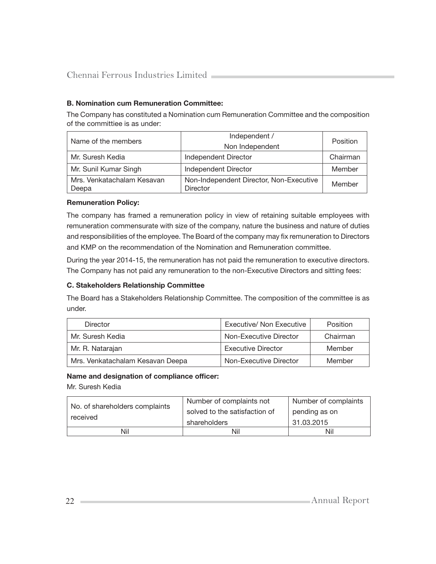## B. Nomination cum Remuneration Committee:

The Company has constituted a Nomination cum Remuneration Committee and the composition of the committiee is as under:

| Name of the members        | Independent /<br>Non Independent        | Position |
|----------------------------|-----------------------------------------|----------|
| Mr. Suresh Kedia           | Independent Director                    | Chairman |
|                            |                                         |          |
| Mr. Sunil Kumar Singh      | <b>Independent Director</b>             | Member   |
| Mrs. Venkatachalam Kesavan | Non-Independent Director, Non-Executive | Member   |
| Deepa                      | <b>Director</b>                         |          |

#### Remuneration Policy:

The company has framed a remuneration policy in view of retaining suitable employees with remuneration commensurate with size of the company, nature the business and nature of duties and responsibilities of the employee. The Board of the company may fix remuneration to Directors and KMP on the recommendation of the Nomination and Remuneration committee.

During the year 2014-15, the remuneration has not paid the remuneration to executive directors. The Company has not paid any remuneration to the non-Executive Directors and sitting fees:

#### C. Stakeholders Relationship Committee

The Board has a Stakeholders Relationship Committee. The composition of the committee is as under.

| <b>Director</b>                  | Executive/ Non Executive  | <b>Position</b> |
|----------------------------------|---------------------------|-----------------|
| Mr. Suresh Kedia                 | Non-Executive Director    | Chairman        |
| Mr. R. Natarajan                 | <b>Executive Director</b> | Member          |
| Mrs. Venkatachalam Kesavan Deepa | Non-Executive Director    | Member          |

#### Name and designation of compliance officer:

Mr. Suresh Kedia

| No. of shareholders complaints<br>received | Number of complaints not      | Number of complaints |
|--------------------------------------------|-------------------------------|----------------------|
|                                            | solved to the satisfaction of | pending as on        |
|                                            | shareholders                  | 31.03.2015           |
| Nil                                        | Nil                           | Nil                  |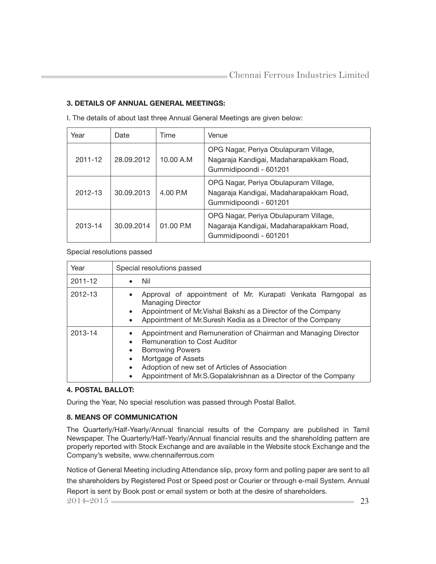## 3. DETAILS OF ANNUAL GENERAL MEETINGS:

| Year    | Date       | Time       | Venue                                                                                                      |
|---------|------------|------------|------------------------------------------------------------------------------------------------------------|
| 2011-12 | 28.09.2012 | 10.00 A.M  | OPG Nagar, Periya Obulapuram Village,<br>Nagaraja Kandigai, Madaharapakkam Road,<br>Gummidipoondi - 601201 |
| 2012-13 | 30.09.2013 | 4.00 P.M   | OPG Nagar, Periya Obulapuram Village,<br>Nagaraja Kandigai, Madaharapakkam Road,<br>Gummidipoondi - 601201 |
| 2013-14 | 30.09.2014 | 01.00 P.M. | OPG Nagar, Periya Obulapuram Village,<br>Nagaraja Kandigai, Madaharapakkam Road,<br>Gummidipoondi - 601201 |

I. The details of about last three Annual General Meetings are given below:

#### Special resolutions passed

| Year    | Special resolutions passed                                                                                                                                                                                                                                                                                                      |  |  |  |  |
|---------|---------------------------------------------------------------------------------------------------------------------------------------------------------------------------------------------------------------------------------------------------------------------------------------------------------------------------------|--|--|--|--|
| 2011-12 | Nil                                                                                                                                                                                                                                                                                                                             |  |  |  |  |
| 2012-13 | Approval of appointment of Mr. Kurapati Venkata Ramgopal as<br><b>Managing Director</b><br>Appointment of Mr. Vishal Bakshi as a Director of the Company<br>$\bullet$<br>Appointment of Mr. Suresh Kedia as a Director of the Company<br>$\bullet$                                                                              |  |  |  |  |
| 2013-14 | Appointment and Remuneration of Chairman and Managing Director<br><b>Remuneration to Cost Auditor</b><br><b>Borrowing Powers</b><br>$\bullet$<br>Mortgage of Assets<br>$\bullet$<br>Adoption of new set of Articles of Association<br>$\bullet$<br>Appointment of Mr.S.Gopalakrishnan as a Director of the Company<br>$\bullet$ |  |  |  |  |

#### 4. POSTAL BALLOT:

During the Year, No special resolution was passed through Postal Ballot.

## 8. MEANS OF COMMUNICATION

The Quarterly/Half-Yearly/Annual financial results of the Company are published in Tamil Newspaper. The Quarterly/Half-Yearly/Annual financial results and the shareholding pattern are properly reported with Stock Exchange and are available in the Website stock Exchange and the Company's website, www.chennaiferrous.com

Notice of General Meeting including Attendance slip, proxy form and polling paper are sent to all the shareholders by Registered Post or Speed post or Courier or through e-mail System. Annual Report is sent by Book post or email system or both at the desire of shareholders.

2014-2015 23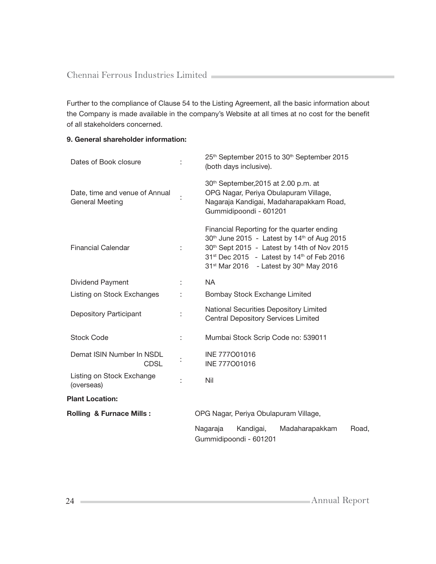Further to the compliance of Clause 54 to the Listing Agreement, all the basic information about the Company is made available in the company's Website at all times at no cost for the benefit of all stakeholders concerned.

# 9. General shareholder information:

| Dates of Book closure                                    |                                       | 25th September 2015 to 30th September 2015<br>(both days inclusive).                                                                                                                                                                                                                                      |  |
|----------------------------------------------------------|---------------------------------------|-----------------------------------------------------------------------------------------------------------------------------------------------------------------------------------------------------------------------------------------------------------------------------------------------------------|--|
| Date, time and venue of Annual<br><b>General Meeting</b> |                                       | 30 <sup>th</sup> September, 2015 at 2.00 p.m. at<br>OPG Nagar, Periya Obulapuram Village,<br>Nagaraja Kandigai, Madaharapakkam Road,<br>Gummidipoondi - 601201                                                                                                                                            |  |
| <b>Financial Calendar</b>                                |                                       | Financial Reporting for the quarter ending<br>30 <sup>th</sup> June 2015 - Latest by 14 <sup>th</sup> of Aug 2015<br>30th Sept 2015 - Latest by 14th of Nov 2015<br>31 <sup>st</sup> Dec 2015 - Latest by 14 <sup>th</sup> of Feb 2016<br>31 <sup>st</sup> Mar 2016 - Latest by 30 <sup>th</sup> May 2016 |  |
| Dividend Payment                                         | ÷                                     | <b>NA</b>                                                                                                                                                                                                                                                                                                 |  |
| Listing on Stock Exchanges                               |                                       | Bombay Stock Exchange Limited                                                                                                                                                                                                                                                                             |  |
| <b>Depository Participant</b>                            |                                       | National Securities Depository Limited<br><b>Central Depository Services Limited</b>                                                                                                                                                                                                                      |  |
| <b>Stock Code</b>                                        |                                       | Mumbai Stock Scrip Code no: 539011                                                                                                                                                                                                                                                                        |  |
| Demat ISIN Number In NSDL<br><b>CDSL</b>                 |                                       | INE 777001016<br>INE 777001016                                                                                                                                                                                                                                                                            |  |
| Listing on Stock Exchange<br>(overseas)                  |                                       | Nil                                                                                                                                                                                                                                                                                                       |  |
| <b>Plant Location:</b>                                   |                                       |                                                                                                                                                                                                                                                                                                           |  |
| <b>Rolling &amp; Furnace Mills:</b>                      | OPG Nagar, Periya Obulapuram Village, |                                                                                                                                                                                                                                                                                                           |  |
|                                                          |                                       | Nagaraja<br>Kandigai,<br>Madaharapakkam<br>Road,<br>Gummidipoondi - 601201                                                                                                                                                                                                                                |  |

24 Annual Report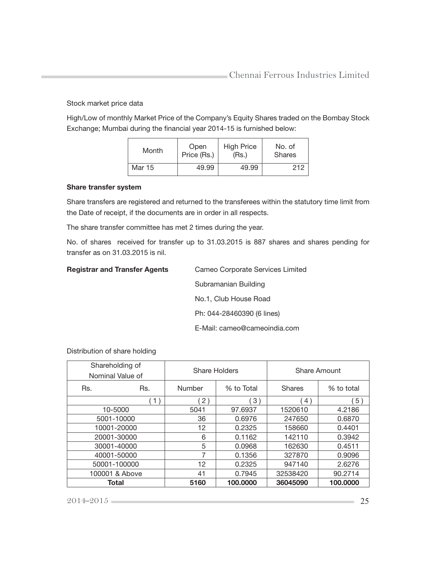Stock market price data

High/Low of monthly Market Price of the Company's Equity Shares traded on the Bombay Stock Exchange; Mumbai during the financial year 2014-15 is furnished below:

| Month  | Open        | <b>High Price</b> | No. of        |
|--------|-------------|-------------------|---------------|
|        | Price (Rs.) | (Rs.)             | <b>Shares</b> |
| Mar 15 | 49.99       | 49.99             | 212           |

#### Share transfer system

Share transfers are registered and returned to the transferees within the statutory time limit from the Date of receipt, if the documents are in order in all respects.

The share transfer committee has met 2 times during the year.

No. of shares received for transfer up to 31.03.2015 is 887 shares and shares pending for transfer as on 31.03.2015 is nil.

| <b>Registrar and Transfer Agents</b> | Cameo Corporate Services Limited |
|--------------------------------------|----------------------------------|
|                                      | Subramanian Building             |
|                                      | No.1, Club House Road            |
|                                      | Ph: 044-28460390 (6 lines)       |
|                                      | E-Mail: cameo@cameoindia.com     |

Distribution of share holding

| Shareholding of<br>Nominal Value of |     | Share Holders |            | Share Amount  |            |
|-------------------------------------|-----|---------------|------------|---------------|------------|
| Rs.                                 | Rs. | Number        | % to Total | <b>Shares</b> | % to total |
|                                     | 1)  | 2)            | 3)         | 4)            | 5)         |
| 10-5000                             |     | 5041          | 97.6937    | 1520610       | 4.2186     |
| 5001-10000                          |     | 36            | 0.6976     | 247650        | 0.6870     |
| 10001-20000                         |     | 12            | 0.2325     | 158660        | 0.4401     |
| 20001-30000                         |     | 6             | 0.1162     | 142110        | 0.3942     |
| 30001-40000                         |     | 5             | 0.0968     | 162630        | 0.4511     |
| 40001-50000                         |     | 7             | 0.1356     | 327870        | 0.9096     |
| 50001-100000                        |     | 12            | 0.2325     | 947140        | 2.6276     |
| 100001 & Above                      |     | 41            | 0.7945     | 32538420      | 90.2714    |
| Total                               |     | 5160          | 100.0000   | 36045090      | 100.0000   |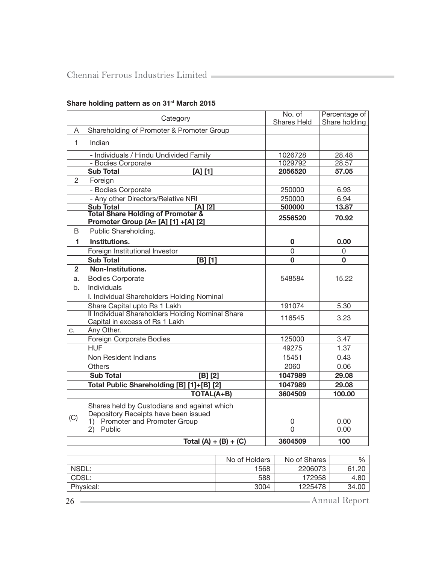|                | Category                                                                                                                              | No. of             | Percentage of |
|----------------|---------------------------------------------------------------------------------------------------------------------------------------|--------------------|---------------|
| A              | Shareholding of Promoter & Promoter Group                                                                                             | <b>Shares Held</b> | Share holding |
|                |                                                                                                                                       |                    |               |
| 1.             | Indian                                                                                                                                |                    |               |
|                | - Individuals / Hindu Undivided Family                                                                                                | 1026728            | 28.48         |
|                | - Bodies Corporate                                                                                                                    | 1029792            | 28.57         |
|                | <b>Sub Total</b><br>$[A]$ $[1]$                                                                                                       | 2056520            | 57.05         |
| 2              | Foreign                                                                                                                               |                    |               |
|                | - Bodies Corporate                                                                                                                    | 250000             | 6.93          |
|                | - Any other Directors/Relative NRI                                                                                                    | 250000             | 6.94          |
|                | <b>Sub Total</b><br>$[A]$ $[2]$                                                                                                       | 500000             | 13.87         |
|                | <b>Total Share Holding of Promoter &amp;</b><br>Promoter Group {A= [A] [1] +[A] [2]                                                   | 2556520            | 70.92         |
| B              | Public Shareholding.                                                                                                                  |                    |               |
| 1              | Institutions.                                                                                                                         | 0                  | 0.00          |
|                | Foreign Institutional Investor                                                                                                        | 0                  | 0             |
|                | <b>Sub Total</b><br>[B] [1]                                                                                                           | 0                  | 0             |
| $\overline{2}$ | Non-Institutions.                                                                                                                     |                    |               |
| a.             | <b>Bodies Corporate</b>                                                                                                               | 548584             | 15.22         |
| b.             | Individuals                                                                                                                           |                    |               |
|                | I. Individual Shareholders Holding Nominal                                                                                            |                    |               |
|                | Share Capital upto Rs 1 Lakh                                                                                                          | 191074             | 5.30          |
|                | II Individual Shareholders Holding Nominal Share<br>Capital in excess of Rs 1 Lakh                                                    | 116545             | 3.23          |
| с.             | Any Other.                                                                                                                            |                    |               |
|                | Foreign Corporate Bodies                                                                                                              | 125000             | 3.47          |
|                | <b>HUF</b>                                                                                                                            | 49275              | 1.37          |
|                | Non Resident Indians                                                                                                                  | 15451              | 0.43          |
|                | <b>Others</b>                                                                                                                         | 2060               | 0.06          |
|                | <b>Sub Total</b><br>[B] [2]                                                                                                           | 1047989            | 29.08         |
|                | Total Public Shareholding [B] [1]+[B] [2]                                                                                             | 1047989            | 29.08         |
|                | <b>TOTAL(A+B)</b>                                                                                                                     | 3604509            | 100.00        |
| (C)            | Shares held by Custodians and against which<br>Depository Receipts have been issued<br>1) Promoter and Promoter Group<br>Public<br>2) | 0<br>0             | 0.00<br>0.00  |
|                |                                                                                                                                       | 3604509            | 100           |
|                | Total (A) + (B) + (C)                                                                                                                 |                    |               |

# Share holding pattern as on 31<sup>st</sup> March 2015

|           | No of Holders | No of Shares | $\%$          |
|-----------|---------------|--------------|---------------|
| NSDL:     | 1568          | 2206073      | 61.20         |
| CDSL:     | 588           | 172958       | 4.80          |
| Physical: | 3004          | 1225478      | 34.00         |
| 26        |               |              | Annual Report |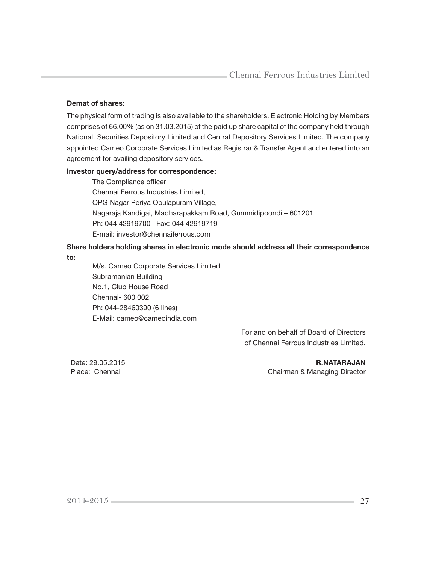#### Demat of shares:

The physical form of trading is also available to the shareholders. Electronic Holding by Members comprises of 66.00% (as on 31.03.2015) of the paid up share capital of the company held through National. Securities Depository Limited and Central Depository Services Limited. The company appointed Cameo Corporate Services Limited as Registrar & Transfer Agent and entered into an agreement for availing depository services.

#### Investor query/address for correspondence:

The Compliance officer Chennai Ferrous Industries Limited, OPG Nagar Periya Obulapuram Village, Nagaraja Kandigai, Madharapakkam Road, Gummidipoondi – 601201 Ph: 044 42919700 Fax: 044 42919719 E-mail: investor@chennaiferrous.com

# Share holders holding shares in electronic mode should address all their correspondence

to:

M/s. Cameo Corporate Services Limited Subramanian Building No.1, Club House Road Chennai- 600 002 Ph: 044-28460390 (6 lines) E-Mail: cameo@cameoindia.com

> For and on behalf of Board of Directors of Chennai Ferrous Industries Limited,

Date: 29.05.2015 **R.NATARAJAN** Place: Chennai Chairman & Managing Director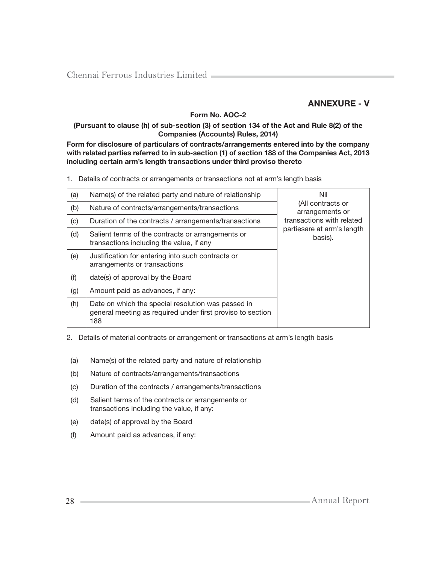# ANNEXURE - V

## Form No. AOC-2

#### (Pursuant to clause (h) of sub-section (3) of section 134 of the Act and Rule 8(2) of the Companies (Accounts) Rules, 2014)

Form for disclosure of particulars of contracts/arrangements entered into by the company with related parties referred to in sub-section (1) of section 188 of the Companies Act, 2013 including certain arm's length transactions under third proviso thereto

1. Details of contracts or arrangements or transactions not at arm's length basis

| (a) | Name(s) of the related party and nature of relationship                                                                 | Nil                                   |
|-----|-------------------------------------------------------------------------------------------------------------------------|---------------------------------------|
| (b) | Nature of contracts/arrangements/transactions                                                                           | (All contracts or<br>arrangements or  |
| (c) | Duration of the contracts / arrangements/transactions                                                                   | transactions with related             |
| (d) | Salient terms of the contracts or arrangements or<br>transactions including the value, if any                           | partiesare at arm's length<br>basis). |
| (e) | Justification for entering into such contracts or<br>arrangements or transactions                                       |                                       |
| (f) | date(s) of approval by the Board                                                                                        |                                       |
| (g) | Amount paid as advances, if any:                                                                                        |                                       |
| (h) | Date on which the special resolution was passed in<br>general meeting as required under first proviso to section<br>188 |                                       |

2. Details of material contracts or arrangement or transactions at arm's length basis

- (a) Name(s) of the related party and nature of relationship
- (b) Nature of contracts/arrangements/transactions
- (c) Duration of the contracts / arrangements/transactions
- (d) Salient terms of the contracts or arrangements or transactions including the value, if any:
- (e) date(s) of approval by the Board
- (f) Amount paid as advances, if any: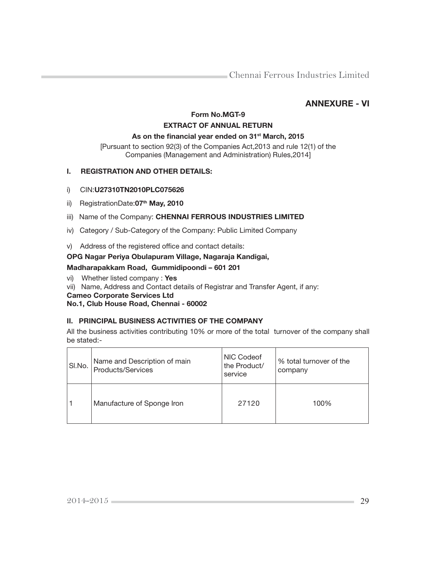# ANNEXURE - VI

# Form No.MGT-9 EXTRACT OF ANNUAL RETURN

#### As on the financial year ended on 31<sup>st</sup> March, 2015

[Pursuant to section 92(3) of the Companies Act,2013 and rule 12(1) of the Companies (Management and Administration) Rules,2014]

## I. REGISTRATION AND OTHER DETAILS:

## i) CIN:U27310TN2010PLC075626

ii) RegistrationDate:07<sup>th</sup> May, 2010

## iii) Name of the Company: CHENNAI FERROUS INDUSTRIES LIMITED

- iv) Category / Sub-Category of the Company: Public Limited Company
- v) Address of the registered office and contact details:

## OPG Nagar Periya Obulapuram Village, Nagaraja Kandigai,

## Madharapakkam Road, Gummidipoondi – 601 201

- vi) Whether listed company : Yes
- vii) Name, Address and Contact details of Registrar and Transfer Agent, if any:
- Cameo Corporate Services Ltd

#### No.1, Club House Road, Chennai - 60002

## II. PRINCIPAL BUSINESS ACTIVITIES OF THE COMPANY

All the business activities contributing 10% or more of the total turnover of the company shall be stated:-

| SI.No. | Name and Description of main<br>Products/Services | NIC Codeof<br>the Product/<br>service | % total turnover of the<br>company |
|--------|---------------------------------------------------|---------------------------------------|------------------------------------|
|        | Manufacture of Sponge Iron                        | 27120                                 | 100%                               |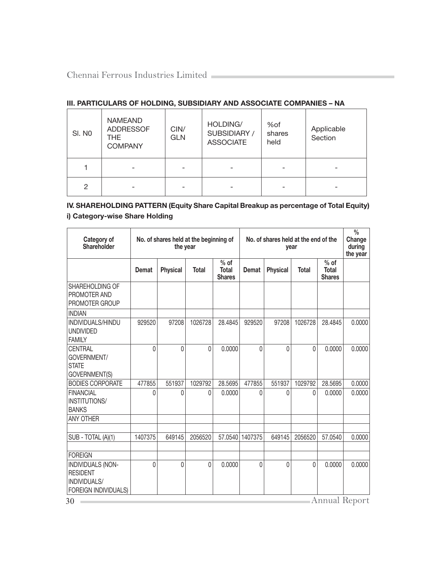## III. PARTICULARS OF HOLDING, SUBSIDIARY AND ASSOCIATE COMPANIES – NA

| SI. NO | <b>NAMEAND</b><br><b>ADDRESSOF</b><br><b>THE</b><br><b>COMPANY</b> | CIN/<br><b>GLN</b> | HOLDING/<br>SUBSIDIARY /<br><b>ASSOCIATE</b> | %of<br>shares<br>held | Applicable<br>Section |
|--------|--------------------------------------------------------------------|--------------------|----------------------------------------------|-----------------------|-----------------------|
|        |                                                                    |                    |                                              |                       |                       |
| 2      |                                                                    |                    |                                              |                       |                       |

# IV. SHAREHOLDING PATTERN (Equity Share Capital Breakup as percentage of Total Equity) i) Category-wise Share Holding

| Category of<br><b>Shareholder</b>                                            | No. of shares held at the beginning of<br>the year |                 |              | No, of shares held at the end of the | $\frac{0}{0}$<br>Change<br>during<br>the year |                 |              |                                         |        |
|------------------------------------------------------------------------------|----------------------------------------------------|-----------------|--------------|--------------------------------------|-----------------------------------------------|-----------------|--------------|-----------------------------------------|--------|
|                                                                              | Demat                                              | <b>Physical</b> | <b>Total</b> | $%$ of<br>Total<br><b>Shares</b>     | <b>Demat</b>                                  | <b>Physical</b> | <b>Total</b> | $%$ of<br><b>Total</b><br><b>Shares</b> |        |
| SHAREHOLDING OF<br>PROMOTER AND<br>PROMOTER GROUP                            |                                                    |                 |              |                                      |                                               |                 |              |                                         |        |
| <b>INDIAN</b>                                                                |                                                    |                 |              |                                      |                                               |                 |              |                                         |        |
| INDIVIDUALS/HINDU<br><b>UNDIVIDED</b><br><b>FAMILY</b>                       | 929520                                             | 97208           | 1026728      | 28.4845                              | 929520                                        | 97208           | 1026728      | 28.4845                                 | 0.0000 |
| CENTRAL<br>GOVERNMENT/<br><b>STATE</b><br><b>GOVERNMENT(S)</b>               | $\Omega$                                           | $\Omega$        | $\Omega$     | 0.0000                               | 0                                             | $\Omega$        | $\Omega$     | 0.0000                                  | 0.0000 |
| <b>BODIES CORPORATE</b>                                                      | 477855                                             | 551937          | 1029792      | 28.5695                              | 477855                                        | 551937          | 1029792      | 28.5695                                 | 0.0000 |
| <b>FINANCIAL</b><br>INSTITUTIONS/<br><b>BANKS</b>                            | $\Omega$                                           | $\Omega$        | 0            | 0.0000                               | 0                                             | $\Omega$        | 0            | 0.0000                                  | 0.0000 |
| <b>ANY OTHER</b>                                                             |                                                    |                 |              |                                      |                                               |                 |              |                                         |        |
| SUB - TOTAL (A)(1)                                                           | 1407375                                            | 649145          | 2056520      | 57.0540                              | 1407375                                       | 649145          | 2056520      | 57.0540                                 | 0.0000 |
| <b>FOREIGN</b>                                                               |                                                    |                 |              |                                      |                                               |                 |              |                                         |        |
| INDIVIDUALS (NON-<br><b>RESIDENT</b><br>INDIVIDUALS/<br>FOREIGN INDIVIDUALS) | $\Omega$                                           | $\Omega$        | $\Omega$     | 0.0000                               | 0                                             | $\Omega$        | $\Omega$     | 0.0000                                  | 0.0000 |
| Annual Report<br>30                                                          |                                                    |                 |              |                                      |                                               |                 |              |                                         |        |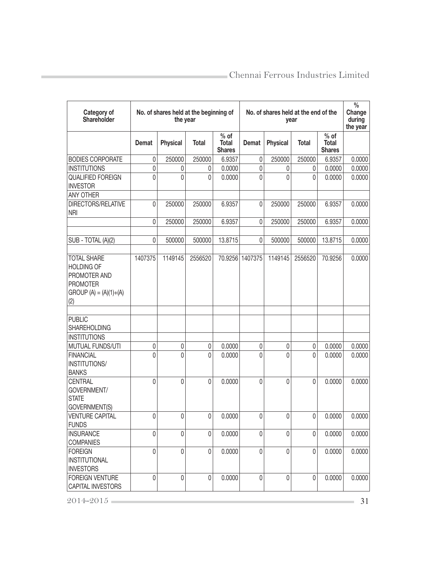| Category of<br>Shareholder                                                                                   |           | No. of shares held at the beginning of<br>the year |              | No. of shares held at the end of the    | $\frac{0}{0}$<br>Change<br>during<br>the year |                 |              |                                         |        |
|--------------------------------------------------------------------------------------------------------------|-----------|----------------------------------------------------|--------------|-----------------------------------------|-----------------------------------------------|-----------------|--------------|-----------------------------------------|--------|
|                                                                                                              | Demat     | <b>Physical</b>                                    | <b>Total</b> | $%$ of<br><b>Total</b><br><b>Shares</b> | <b>Demat</b>                                  | <b>Physical</b> | <b>Total</b> | $%$ of<br><b>Total</b><br><b>Shares</b> |        |
| <b>BODIES CORPORATE</b>                                                                                      | 0         | 250000                                             | 250000       | 6.9357                                  | 0                                             | 250000          | 250000       | 6.9357                                  | 0.0000 |
| <b>INSTITUTIONS</b>                                                                                          | $\pmb{0}$ | 0                                                  | 0            | 0.0000                                  | 0                                             | 0               | 0            | 0.0000                                  | 0.0000 |
| <b>QUALIFIED FOREIGN</b><br><b>INVESTOR</b>                                                                  | $\Omega$  | 0                                                  | 0            | 0.0000                                  | 0                                             | 0               | 0            | 0.0000                                  | 0.0000 |
| <b>ANY OTHER</b>                                                                                             |           |                                                    |              |                                         |                                               |                 |              |                                         |        |
| <b>DIRECTORS/RELATIVE</b><br><b>NRI</b>                                                                      | 0         | 250000                                             | 250000       | 6.9357                                  | 0                                             | 250000          | 250000       | 6.9357                                  | 0.0000 |
|                                                                                                              | 0         | 250000                                             | 250000       | 6.9357                                  | 0                                             | 250000          | 250000       | 6.9357                                  | 0.0000 |
| SUB - TOTAL (A)(2)                                                                                           | 0         | 500000                                             | 500000       | 13.8715                                 | 0                                             | 500000          | 500000       | 13.8715                                 | 0.0000 |
| <b>TOTAL SHARE</b><br><b>HOLDING OF</b><br>PROMOTER AND<br><b>PROMOTER</b><br>$GROUP(A) = (A)(1)+(A)$<br>(2) | 1407375   | 1149145                                            | 2556520      |                                         | 70.9256 1407375                               | 1149145         | 2556520      | 70.9256                                 | 0.0000 |
|                                                                                                              |           |                                                    |              |                                         |                                               |                 |              |                                         |        |
| <b>PUBLIC</b><br><b>SHAREHOLDING</b>                                                                         |           |                                                    |              |                                         |                                               |                 |              |                                         |        |
| <b>INSTITUTIONS</b>                                                                                          |           |                                                    |              |                                         |                                               |                 |              |                                         |        |
| <b>MUTUAL FUNDS/UTI</b>                                                                                      | 0         | 0                                                  | 0            | 0.0000                                  | 0                                             | 0               | 0            | 0.0000                                  | 0.0000 |
| <b>FINANCIAL</b><br>INSTITUTIONS/<br><b>BANKS</b>                                                            | $\Omega$  | 0                                                  | 0            | 0.0000                                  | 0                                             | 0               | 0            | 0.0000                                  | 0.0000 |
| <b>CENTRAL</b><br>GOVERNMENT/<br><b>STATE</b><br><b>GOVERNMENT(S)</b>                                        | $\Omega$  | 0                                                  | 0            | 0.0000                                  | 0                                             | 0               | $\Omega$     | 0.0000                                  | 0.0000 |
| <b>VENTURE CAPITAL</b><br><b>FUNDS</b>                                                                       | 0         | 0                                                  | 0            | 0.0000                                  | 0                                             | 0               | 0            | 0.0000                                  | 0.0000 |
| <b>INSURANCE</b><br><b>COMPANIES</b>                                                                         | 0         | $\mathbf 0$                                        | 0            | 0.0000                                  | 0                                             | 0               | $\Omega$     | 0.0000                                  | 0.0000 |
| <b>FOREIGN</b><br><b>INSTITUTIONAL</b><br><b>INVESTORS</b>                                                   | 0         | $\pmb{0}$                                          | 0            | 0.0000                                  | 0                                             | 0               | 0            | 0.0000                                  | 0.0000 |
| <b>FOREIGN VENTURE</b><br><b>CAPITAL INVESTORS</b>                                                           | $\Omega$  | 0                                                  | 0            | 0.0000                                  | 0                                             | 0               | $\Omega$     | 0.0000                                  | 0.0000 |
| 2014-2015                                                                                                    |           |                                                    |              |                                         |                                               |                 |              |                                         | 31     |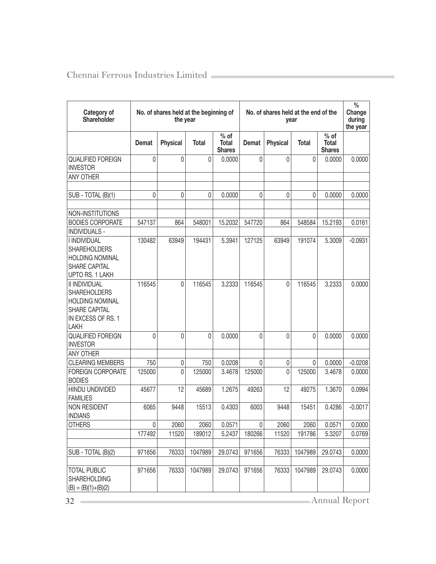| Category of<br>Shareholder                                                                                                  | No. of shares held at the beginning of<br>the year |                 |              | No. of shares held at the end of the    | $\frac{0}{0}$<br>Change<br>during<br>the year |                 |              |                                  |           |
|-----------------------------------------------------------------------------------------------------------------------------|----------------------------------------------------|-----------------|--------------|-----------------------------------------|-----------------------------------------------|-----------------|--------------|----------------------------------|-----------|
|                                                                                                                             | <b>Demat</b>                                       | <b>Physical</b> | <b>Total</b> | $%$ of<br><b>Total</b><br><b>Shares</b> | <b>Demat</b>                                  | <b>Physical</b> | <b>Total</b> | $%$ of<br>Total<br><b>Shares</b> |           |
| <b>QUALIFIED FOREIGN</b>                                                                                                    | 0                                                  | 0               | 0            | 0.0000                                  | 0                                             | $\mathbf 0$     | 0            | 0.0000                           | 0.0000    |
| <b>INVESTOR</b>                                                                                                             |                                                    |                 |              |                                         |                                               |                 |              |                                  |           |
| ANY OTHER                                                                                                                   |                                                    |                 |              |                                         |                                               |                 |              |                                  |           |
| SUB - TOTAL (B)(1)                                                                                                          | 0                                                  | 0               | 0            | 0.0000                                  | 0                                             | 0               | 0            | 0.0000                           | 0.0000    |
| NON-INSTITUTIONS                                                                                                            |                                                    |                 |              |                                         |                                               |                 |              |                                  |           |
| <b>BODIES CORPORATE</b>                                                                                                     | 547137                                             | 864             | 548001       | 15.2032                                 | 547720                                        | 864             | 548584       | 15.2193                          | 0.0161    |
| <b>INDIVIDUALS -</b>                                                                                                        |                                                    |                 |              |                                         |                                               |                 |              |                                  |           |
| <b>I INDIVIDUAL</b><br><b>SHAREHOLDERS</b><br><b>HOLDING NOMINAL</b><br><b>SHARE CAPITAL</b><br>UPTO RS. 1 LAKH             | 130482                                             | 63949           | 194431       | 5.3941                                  | 127125                                        | 63949           | 191074       | 5.3009                           | $-0.0931$ |
| <b>II INDIVIDUAL</b><br><b>SHAREHOLDERS</b><br><b>HOLDING NOMINAL</b><br><b>SHARE CAPITAL</b><br>IN EXCESS OF RS. 1<br>LAKH | 116545                                             | $\Omega$        | 116545       | 3.2333                                  | 116545                                        | $\Omega$        | 116545       | 3.2333                           | 0.0000    |
| <b>QUALIFIED FOREIGN</b><br><b>INVESTOR</b>                                                                                 | $\Omega$                                           | 0               | $\mathbf{0}$ | 0.0000                                  | $\Omega$                                      | $\mathbf 0$     | 0            | 0.0000                           | 0.0000    |
| ANY OTHER                                                                                                                   |                                                    |                 |              |                                         |                                               |                 |              |                                  |           |
| <b>CLEARING MEMBERS</b>                                                                                                     | 750                                                | 0               | 750          | 0.0208                                  | $\Omega$                                      | 0               | 0            | 0.0000                           | $-0.0208$ |
| <b>FOREIGN CORPORATE</b><br><b>BODIES</b>                                                                                   | 125000                                             | 0               | 125000       | 3.4678                                  | 125000                                        | $\Omega$        | 125000       | 3.4678                           | 0.0000    |
| HINDU UNDIVIDED<br><b>FAMILIES</b>                                                                                          | 45677                                              | 12              | 45689        | 1.2675                                  | 49263                                         | 12              | 49275        | 1.3670                           | 0.0994    |
| NON RESIDENT<br><b>INDIANS</b>                                                                                              | 6065                                               | 9448            | 15513        | 0.4303                                  | 6003                                          | 9448            | 15451        | 0.4286                           | $-0.0017$ |
| <b>OTHERS</b>                                                                                                               | 0                                                  | 2060            | 2060         | 0.0571                                  | 0                                             | 2060            | 2060         | 0.0571                           | 0.0000    |
|                                                                                                                             | 177492                                             | 11520           | 189012       | 5.2437                                  | 180266                                        | 11520           | 191786       | 5.3207                           | 0.0769    |
| SUB - TOTAL (B)(2)                                                                                                          | 971656                                             | 76333           | 1047989      | 29.0743                                 | 971656                                        | 76333           | 1047989      | 29.0743                          | 0.0000    |
| <b>TOTAL PUBLIC</b><br><b>SHAREHOLDING</b><br>$(B) = (B)(1)+(B)(2)$                                                         | 971656                                             | 76333           | 1047989      | 29.0743                                 | 971656                                        | 76333           | 1047989      | 29.0743                          | 0.0000    |
| Annual Report<br>32                                                                                                         |                                                    |                 |              |                                         |                                               |                 |              |                                  |           |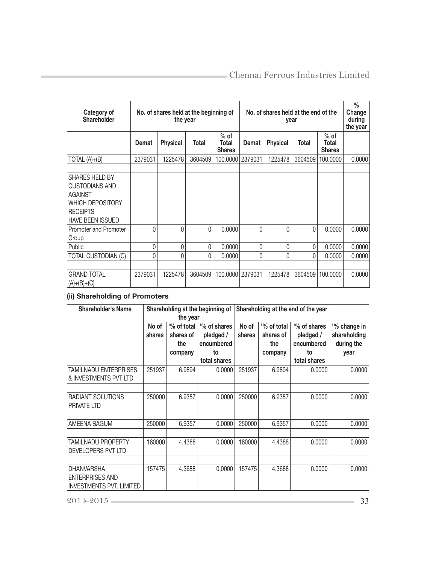| Category of<br><b>Shareholder</b>                                                                                    | No. of shares held at the beginning of<br>the year |                 |              |                                         | No. of shares held at the end of the<br>year |                 |         |                                  | $\frac{0}{0}$<br>Change<br>during<br>the year |
|----------------------------------------------------------------------------------------------------------------------|----------------------------------------------------|-----------------|--------------|-----------------------------------------|----------------------------------------------|-----------------|---------|----------------------------------|-----------------------------------------------|
|                                                                                                                      | Demat                                              | <b>Physical</b> | <b>Total</b> | $%$ of<br><b>Total</b><br><b>Shares</b> | <b>Demat</b>                                 | <b>Physical</b> | Total   | $%$ of<br>Total<br><b>Shares</b> |                                               |
| $TOTAL(A)+(B)$                                                                                                       | 2379031                                            | 1225478         | 3604509      | 100.0000                                | 2379031                                      | 1225478         | 3604509 | 100.0000                         | 0.0000                                        |
| SHARES HELD BY<br><b>CUSTODIANS AND</b><br>AGAINST<br>WHICH DEPOSITORY<br><b>RECEIPTS</b><br><b>HAVE BEEN ISSUED</b> |                                                    |                 |              |                                         |                                              |                 |         |                                  |                                               |
| Promoter and Promoter<br>Group                                                                                       | 0                                                  | 0               | $\Omega$     | 0.0000                                  | 0                                            | 0               | 0       | 0.0000                           | 0.0000                                        |
| Public                                                                                                               | 0                                                  | 0               | 0            | 0.0000                                  | 0                                            | 0               | 0       | 0.0000                           | 0.0000                                        |
| <b>TOTAL CUSTODIAN (C)</b>                                                                                           | 0                                                  | 0               | $\Omega$     | 0.0000                                  | 0                                            | 0               | O       | 0.0000                           | 0.0000                                        |
| <b>GRAND TOTAL</b><br>$(A)+(B)+(C)$                                                                                  | 2379031                                            | 1225478         | 3604509      | 100.0000                                | 2379031                                      | 1225478         | 3604509 | 100.0000                         | 0.0000                                        |

# (ii) Shareholding of Promoters

| Shareholder's Name                                                             | Shareholding at the beginning of<br>the year |                                                                                                        |              | Shareholding at the end of the year |                                                                                            |              |                                                    |
|--------------------------------------------------------------------------------|----------------------------------------------|--------------------------------------------------------------------------------------------------------|--------------|-------------------------------------|--------------------------------------------------------------------------------------------|--------------|----------------------------------------------------|
|                                                                                | No of<br>shares                              | % of total<br><sup>1</sup> % of shares<br>shares of<br>pledged /<br>encumbered<br>the<br>to<br>company |              | No of<br>shares                     | % of total<br>'% of shares<br>pledged /<br>shares of<br>encumbered<br>the<br>to<br>company |              | '% change in<br>shareholding<br>during the<br>year |
|                                                                                |                                              |                                                                                                        | total shares |                                     |                                                                                            | total shares |                                                    |
| <b>TAMILNADU ENTERPRISES</b><br>& INVESTMENTS PVT LTD                          | 251937                                       | 6.9894                                                                                                 | 0.0000       | 251937                              | 6.9894                                                                                     | 0.0000       | 0.0000                                             |
|                                                                                |                                              |                                                                                                        |              |                                     |                                                                                            |              |                                                    |
| RADIANT SOLUTIONS<br><b>PRIVATE LTD</b>                                        | 250000                                       | 6.9357                                                                                                 | 0.0000       | 250000                              | 6.9357                                                                                     | 0.0000       | 0.0000                                             |
|                                                                                |                                              |                                                                                                        |              |                                     |                                                                                            |              |                                                    |
| AMEENA BAGUM                                                                   | 250000                                       | 6.9357                                                                                                 | 0.0000       | 250000                              | 6.9357                                                                                     | 0.0000       | 0.0000                                             |
| <b>TAMILNADU PROPERTY</b><br>DEVELOPERS PVT LTD                                | 160000                                       | 4.4388                                                                                                 | 0.0000       | 160000                              | 4.4388                                                                                     | 0.0000       | 0.0000                                             |
| <b>DHANVARSHA</b><br><b>ENTERPRISES AND</b><br><b>INVESTMENTS PVT. LIMITED</b> | 157475                                       | 4.3688                                                                                                 | 0.0000       | 157475                              | 4.3688                                                                                     | 0.0000       | 0.0000                                             |

2014-2015 33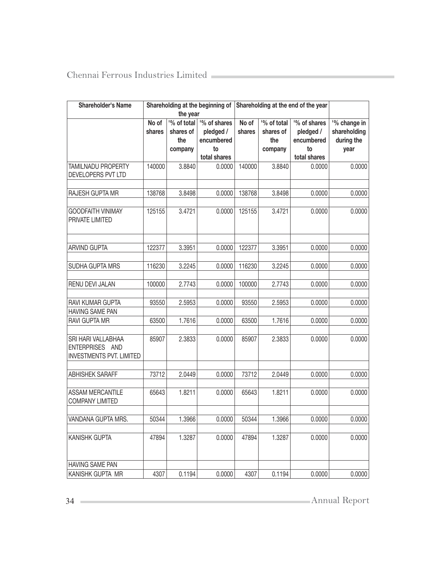| <b>Shareholder's Name</b>                                                |        | the year    | Shareholding at the beginning of | Shareholding at the end of the year |             |              |              |
|--------------------------------------------------------------------------|--------|-------------|----------------------------------|-------------------------------------|-------------|--------------|--------------|
|                                                                          | No of  | '% of total | '% of shares                     | No of                               | '% of total | '% of shares | '% change in |
|                                                                          | shares | shares of   | pledged /                        | shares                              | shares of   | pledged /    | shareholding |
|                                                                          |        | the         | encumbered                       |                                     | the         | encumbered   | during the   |
|                                                                          |        | company     | to                               |                                     | company     | to           | year         |
|                                                                          |        |             | total shares                     |                                     |             | total shares |              |
| TAMILNADU PROPERTY<br>DEVELOPERS PVT LTD                                 | 140000 | 3.8840      | 0.0000                           | 140000                              | 3.8840      | 0.0000       | 0.0000       |
| RAJESH GUPTA MR                                                          | 138768 | 3.8498      | 0.0000                           | 138768                              | 3.8498      | 0.0000       | 0.0000       |
| <b>GOODFAITH VINIMAY</b><br>PRIVATE LIMITED                              | 125155 | 3.4721      | 0.0000                           | 125155                              | 3.4721      | 0.0000       | 0.0000       |
| <b>ARVIND GUPTA</b>                                                      | 122377 | 3.3951      | 0.0000                           | 122377                              | 3.3951      | 0.0000       | 0.0000       |
|                                                                          |        |             |                                  |                                     |             |              |              |
| SUDHA GUPTA MRS                                                          | 116230 | 3.2245      | 0.0000                           | 116230                              | 3.2245      | 0.0000       | 0.0000       |
| RENU DEVI JALAN                                                          | 100000 | 2.7743      | 0.0000                           | 100000                              | 2.7743      | 0.0000       | 0.0000       |
| RAVI KUMAR GUPTA                                                         | 93550  | 2.5953      | 0.0000                           | 93550                               | 2.5953      | 0.0000       | 0.0000       |
| HAVING SAME PAN                                                          |        |             |                                  |                                     |             |              |              |
| RAVI GUPTA MR                                                            | 63500  | 1.7616      | 0.0000                           | 63500                               | 1.7616      | 0.0000       | 0.0000       |
| SRI HARI VALLABHAA<br>ENTERPRISES AND<br><b>INVESTMENTS PVT. LIMITED</b> | 85907  | 2.3833      | 0.0000                           | 85907                               | 2.3833      | 0.0000       | 0.0000       |
| <b>ABHISHEK SARAFF</b>                                                   | 73712  | 2.0449      | 0.0000                           | 73712                               | 2.0449      | 0.0000       | 0.0000       |
| ASSAM MERCANTILE<br><b>COMPANY LIMITED</b>                               | 65643  | 1.8211      | 0.0000                           | 65643                               | 1.8211      | 0.0000       | 0.0000       |
| <b>VANDANA GUPTA MRS.</b>                                                | 50344  | 1.3966      | 0.0000                           | 50344                               | 1.3966      | 0.0000       | 0.0000       |
| KANISHK GUPTA                                                            | 47894  | 1.3287      | 0.0000                           | 47894                               | 1.3287      | 0.0000       | 0.0000       |
| <b>HAVING SAME PAN</b>                                                   |        |             |                                  |                                     |             |              |              |
| KANISHK GUPTA MR                                                         | 4307   | 0.1194      | 0.0000                           | 4307                                | 0.1194      | 0.0000       | 0.0000       |

34 Annual Report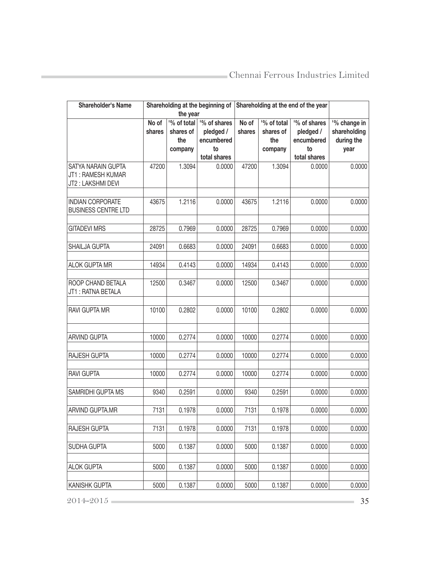| <b>Shareholder's Name</b>                                    |                 | Shareholding at the beginning of<br>the year |                                               | Shareholding at the end of the year |                                            |                                               |                                                    |
|--------------------------------------------------------------|-----------------|----------------------------------------------|-----------------------------------------------|-------------------------------------|--------------------------------------------|-----------------------------------------------|----------------------------------------------------|
|                                                              | No of<br>shares | % of total<br>shares of<br>the<br>company    | '% of shares<br>pledged /<br>encumbered<br>to | No of<br>shares                     | '% of total<br>shares of<br>the<br>company | '% of shares<br>pledged /<br>encumbered<br>to | '% change in<br>shareholding<br>during the<br>year |
| SATYA NARAIN GUPTA<br>JT1: RAMESH KUMAR<br>JT2: LAKSHMI DEVI | 47200           | 1.3094                                       | total shares<br>0.0000                        | 47200                               | 1.3094                                     | total shares<br>0.0000                        | 0.0000                                             |
| <b>INDIAN CORPORATE</b><br><b>BUSINESS CENTRE LTD</b>        | 43675           | 1.2116                                       | 0.0000                                        | 43675                               | 1.2116                                     | 0.0000                                        | 0.0000                                             |
| <b>GITADEVI MRS</b>                                          | 28725           | 0.7969                                       | 0.0000                                        | 28725                               | 0.7969                                     | 0.0000                                        | 0.0000                                             |
| SHAILJA GUPTA                                                | 24091           | 0.6683                                       | 0.0000                                        | 24091                               | 0.6683                                     | 0.0000                                        | 0.0000                                             |
| ALOK GUPTA MR                                                | 14934           | 0.4143                                       | 0.0000                                        | 14934                               | 0.4143                                     | 0.0000                                        | 0.0000                                             |
| ROOP CHAND BETALA<br>JT1: RATNA BETALA                       | 12500           | 0.3467                                       | 0.0000                                        | 12500                               | 0.3467                                     | 0.0000                                        | 0.0000                                             |
| RAVI GUPTA MR                                                | 10100           | 0.2802                                       | 0.0000                                        | 10100                               | 0.2802                                     | 0.0000                                        | 0.0000                                             |
| ARVIND GUPTA                                                 | 10000           | 0.2774                                       | 0.0000                                        | 10000                               | 0.2774                                     | 0.0000                                        | 0.0000                                             |
| RAJESH GUPTA                                                 | 10000           | 0.2774                                       | 0.0000                                        | 10000                               | 0.2774                                     | 0.0000                                        | 0.0000                                             |
| <b>RAVI GUPTA</b>                                            | 10000           | 0.2774                                       | 0.0000                                        | 10000                               | 0.2774                                     | 0.0000                                        | 0.0000                                             |
| SAMRIDHI GUPTA MS                                            | 9340            | 0.2591                                       | 0.0000                                        | 9340                                | 0.2591                                     | 0.0000                                        | 0.0000                                             |
| ARVIND GUPTA.MR                                              | 7131            | 0.1978                                       | 0.0000                                        | 7131                                | 0.1978                                     | 0.0000                                        | 0.0000                                             |
| RAJESH GUPTA                                                 | 7131            | 0.1978                                       | 0.0000                                        | 7131                                | 0.1978                                     | 0.0000                                        | 0.0000                                             |
| SUDHA GUPTA                                                  | 5000            | 0.1387                                       | 0.0000                                        | 5000                                | 0.1387                                     | 0.0000                                        | 0.0000                                             |
| <b>ALOK GUPTA</b>                                            | 5000            | 0.1387                                       | 0.0000                                        | 5000                                | 0.1387                                     | 0.0000                                        | 0.0000                                             |
| <b>KANISHK GUPTA</b>                                         | 5000            | 0.1387                                       | 0.0000                                        | 5000                                | 0.1387                                     | 0.0000                                        | 0.0000                                             |
| 2014-2015                                                    |                 |                                              |                                               |                                     |                                            |                                               | 35                                                 |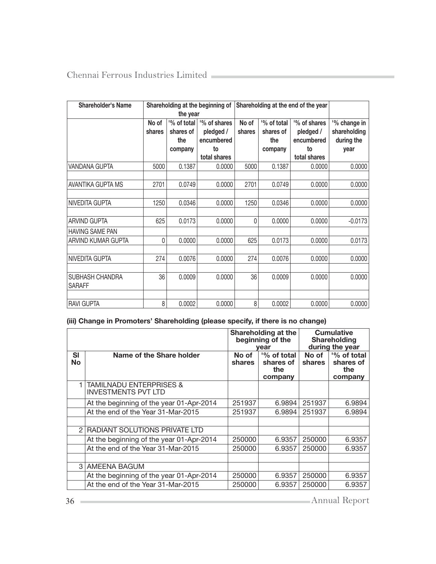| Shareholder's Name     | Shareholding at the beginning of |             | Shareholding at the end of the year |        |             |                          |                          |
|------------------------|----------------------------------|-------------|-------------------------------------|--------|-------------|--------------------------|--------------------------|
|                        |                                  | the year    |                                     |        |             |                          |                          |
|                        | No of                            | '% of total | <sup>1</sup> % of shares            | No of  | '% of total | <sup>1</sup> % of shares | <sup>1</sup> % change in |
|                        | shares                           | shares of   | pledged /                           | shares | shares of   | pledged /                | shareholding             |
|                        |                                  | the         | encumbered                          |        | the         | encumbered               | during the               |
|                        |                                  | company     | to                                  |        | company     | to                       | year                     |
|                        |                                  |             | total shares                        |        |             | total shares             |                          |
| <b>VANDANA GUPTA</b>   | 5000                             | 0.1387      | 0.0000                              | 5000   | 0.1387      | 0.0000                   | 0.0000                   |
|                        |                                  |             |                                     |        |             |                          |                          |
| AVANTIKA GUPTA MS      | 2701                             | 0.0749      | 0.0000                              | 2701   | 0.0749      | 0.0000                   | 0.0000                   |
|                        |                                  |             |                                     |        |             |                          |                          |
| NIVEDITA GUPTA         | 1250                             | 0.0346      | 0.0000                              | 1250   | 0.0346      | 0.0000                   | 0.0000                   |
|                        |                                  |             |                                     |        |             |                          |                          |
| <b>ARVIND GUPTA</b>    | 625                              | 0.0173      | 0.0000                              | 0      | 0.0000      | 0.0000                   | $-0.0173$                |
| <b>HAVING SAME PAN</b> |                                  |             |                                     |        |             |                          |                          |
| ARVIND KUMAR GUPTA     | 0                                | 0.0000      | 0.0000                              | 625    | 0.0173      | 0.0000                   | 0.0173                   |
|                        |                                  |             |                                     |        |             |                          |                          |
| NIVEDITA GUPTA         | 274                              | 0.0076      | 0.0000                              | 274    | 0.0076      | 0.0000                   | 0.0000                   |
|                        |                                  |             |                                     |        |             |                          |                          |
| <b>SUBHASH CHANDRA</b> | 36                               | 0.0009      | 0.0000                              | 36     | 0.0009      | 0.0000                   | 0.0000                   |
| <b>SARAFF</b>          |                                  |             |                                     |        |             |                          |                          |
|                        |                                  |             |                                     |        |             |                          |                          |
| <b>RAVI GUPTA</b>      | 8                                | 0.0002      | 0.0000                              | 8      | 0.0002      | 0.0000                   | 0.0000                   |

# (iii) Change in Promoters' Shareholding (please specify, if there is no change)

|                |                                                                  | Shareholding at the<br>beginning of the<br>vear               |        |                 | <b>Cumulative</b><br><b>Shareholding</b><br>during the year |
|----------------|------------------------------------------------------------------|---------------------------------------------------------------|--------|-----------------|-------------------------------------------------------------|
| SI<br>No       | Name of the Share holder                                         | '% of total<br>No of<br>shares<br>shares of<br>the<br>company |        | No of<br>shares | '% of total<br>shares of<br>the<br>company                  |
|                | <b>TAMILNADU ENTERPRISES &amp;</b><br><b>INVESTMENTS PVT LTD</b> |                                                               |        |                 |                                                             |
|                | At the beginning of the year 01-Apr-2014                         | 251937                                                        | 6.9894 | 251937          | 6.9894                                                      |
|                | At the end of the Year 31-Mar-2015                               | 251937                                                        | 6.9894 | 251937          | 6.9894                                                      |
|                |                                                                  |                                                               |        |                 |                                                             |
| $\mathfrak{D}$ | RADIANT SOLUTIONS PRIVATE LTD                                    |                                                               |        |                 |                                                             |
|                | At the beginning of the year 01-Apr-2014                         | 250000                                                        | 6.9357 | 250000          | 6.9357                                                      |
|                | At the end of the Year 31-Mar-2015                               | 250000                                                        | 6.9357 | 250000          | 6.9357                                                      |
|                |                                                                  |                                                               |        |                 |                                                             |
|                | 3 AMEENA BAGUM                                                   |                                                               |        |                 |                                                             |
|                | At the beginning of the year 01-Apr-2014                         | 250000                                                        | 6.9357 | 250000          | 6.9357                                                      |
|                | At the end of the Year 31-Mar-2015                               | 250000                                                        | 6.9357 | 250000          | 6.9357                                                      |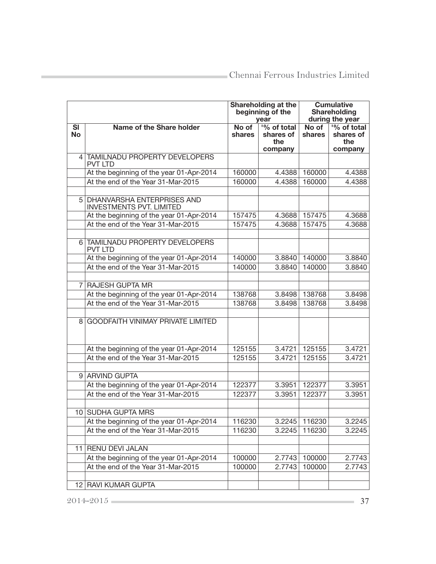|                 |                                                                 | Shareholding at the<br>beginning of the<br>vear |                                            |                 | <b>Cumulative</b><br><b>Shareholding</b><br>during the year |
|-----------------|-----------------------------------------------------------------|-------------------------------------------------|--------------------------------------------|-----------------|-------------------------------------------------------------|
| SI<br><b>No</b> | Name of the Share holder                                        | No of<br>shares                                 | '% of total<br>shares of<br>the<br>company | No of<br>shares | '% of total<br>shares of<br>the<br>company                  |
|                 | 4 TAMILNADU PROPERTY DEVELOPERS<br><b>PVT LTD</b>               |                                                 |                                            |                 |                                                             |
|                 | At the beginning of the year 01-Apr-2014                        | 160000                                          | 4.4388                                     | 160000          | 4.4388                                                      |
|                 | At the end of the Year 31-Mar-2015                              | 160000                                          | 4.4388                                     | 160000          | 4.4388                                                      |
|                 | 5 DHANVARSHA ENTERPRISES AND<br><b>INVESTMENTS PVT. LIMITED</b> |                                                 |                                            |                 |                                                             |
|                 | At the beginning of the year 01-Apr-2014                        | 157475                                          | 4.3688                                     | 157475          | 4.3688                                                      |
|                 | At the end of the Year 31-Mar-2015                              | 157475                                          | 4.3688                                     | 157475          | 4.3688                                                      |
|                 | 6 TAMILNADU PROPERTY DEVELOPERS<br><b>PVT LTD</b>               |                                                 |                                            |                 |                                                             |
|                 | At the beginning of the year 01-Apr-2014                        | 140000                                          | 3.8840                                     | 140000          | 3.8840                                                      |
|                 | At the end of the Year 31-Mar-2015                              | 140000                                          | 3.8840                                     | 140000          | 3.8840                                                      |
|                 |                                                                 |                                                 |                                            |                 |                                                             |
| 7               | <b>RAJESH GUPTA MR</b>                                          |                                                 |                                            |                 |                                                             |
|                 | At the beginning of the year 01-Apr-2014                        | 138768                                          | 3.8498                                     | 138768          | 3.8498                                                      |
|                 | At the end of the Year 31-Mar-2015                              | 138768                                          | 3.8498                                     | 138768          | 3.8498                                                      |
| 81              | <b>GOODFAITH VINIMAY PRIVATE LIMITED</b>                        |                                                 |                                            |                 |                                                             |
|                 | At the beginning of the year 01-Apr-2014                        | 125155                                          | 3.4721                                     | 125155          | 3.4721                                                      |
|                 | At the end of the Year 31-Mar-2015                              | 125155                                          | 3.4721                                     | 125155          | 3.4721                                                      |
|                 |                                                                 |                                                 |                                            |                 |                                                             |
|                 | 9 ARVIND GUPTA                                                  |                                                 |                                            |                 |                                                             |
|                 | At the beginning of the year 01-Apr-2014                        | 122377                                          | 3.3951                                     | 122377          | 3.3951                                                      |
|                 | At the end of the Year 31-Mar-2015                              | 122377                                          | 3.3951                                     | 122377          | 3.3951                                                      |
|                 |                                                                 |                                                 |                                            |                 |                                                             |
|                 | 10 SUDHA GUPTA MRS                                              |                                                 |                                            |                 |                                                             |
|                 | At the beginning of the year 01-Apr-2014                        | 116230                                          | 3.2245                                     | 116230          | 3.2245                                                      |
|                 | At the end of the Year 31-Mar-2015                              | 116230                                          | 3.2245                                     | 116230          | 3.2245                                                      |
|                 |                                                                 |                                                 |                                            |                 |                                                             |
|                 | 11 RENU DEVI JALAN                                              |                                                 |                                            |                 |                                                             |
|                 | At the beginning of the year 01-Apr-2014                        | 100000                                          | 2.7743                                     | 100000          | 2.7743                                                      |
|                 | At the end of the Year 31-Mar-2015                              | 100000                                          | 2.7743                                     | 100000          | 2.7743                                                      |
|                 |                                                                 |                                                 |                                            |                 |                                                             |
|                 | 12 RAVI KUMAR GUPTA                                             |                                                 |                                            |                 |                                                             |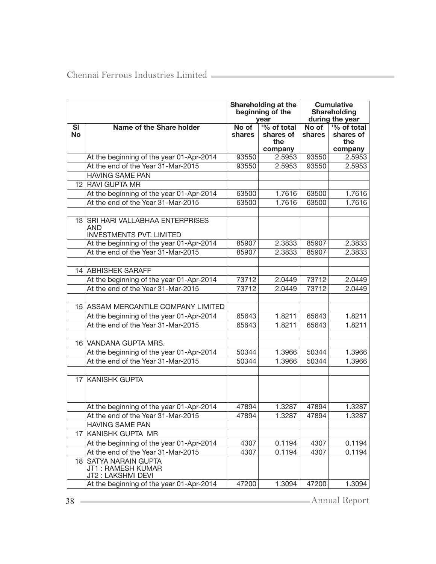|                        |                                                                             |                 | Shareholding at the<br>beginning of the<br>vear | <b>Cumulative</b><br><b>Shareholding</b><br>during the year |                                            |
|------------------------|-----------------------------------------------------------------------------|-----------------|-------------------------------------------------|-------------------------------------------------------------|--------------------------------------------|
| <b>SI</b><br><b>No</b> | Name of the Share holder                                                    | No of<br>shares | '% of total<br>shares of<br>the<br>company      | No of<br>shares                                             | '% of total<br>shares of<br>the<br>company |
|                        | At the beginning of the year 01-Apr-2014                                    | 93550           | 2.5953                                          | 93550                                                       | 2.5953                                     |
|                        | At the end of the Year 31-Mar-2015                                          | 93550           | 2.5953                                          | 93550                                                       | 2.5953                                     |
|                        | <b>HAVING SAME PAN</b>                                                      |                 |                                                 |                                                             |                                            |
|                        | 12 RAVI GUPTA MR                                                            |                 |                                                 |                                                             |                                            |
|                        | At the beginning of the year 01-Apr-2014                                    | 63500           | 1.7616                                          | 63500                                                       | 1.7616                                     |
|                        | At the end of the Year 31-Mar-2015                                          | 63500           | 1.7616                                          | 63500                                                       | 1.7616                                     |
|                        | 13 SRI HARI VALLABHAA ENTERPRISES<br>AND<br><b>INVESTMENTS PVT. LIMITED</b> |                 |                                                 |                                                             |                                            |
|                        | At the beginning of the year 01-Apr-2014                                    | 85907           | 2.3833                                          | 85907                                                       | 2.3833                                     |
|                        | At the end of the Year 31-Mar-2015                                          | 85907           | 2.3833                                          | 85907                                                       | 2.3833                                     |
|                        | 14 ABHISHEK SARAFF                                                          |                 |                                                 |                                                             |                                            |
|                        | At the beginning of the year 01-Apr-2014                                    | 73712           | 2.0449                                          | 73712                                                       | 2.0449                                     |
|                        | At the end of the Year 31-Mar-2015                                          | 73712           | 2.0449                                          | 73712                                                       | 2.0449                                     |
|                        | 15 ASSAM MERCANTILE COMPANY LIMITED                                         |                 |                                                 |                                                             |                                            |
|                        | At the beginning of the year 01-Apr-2014                                    | 65643           | 1.8211                                          | 65643                                                       | 1.8211                                     |
|                        | At the end of the Year 31-Mar-2015                                          | 65643           | 1.8211                                          | 65643                                                       | 1.8211                                     |
|                        | 16 VANDANA GUPTA MRS.                                                       |                 |                                                 |                                                             |                                            |
|                        | At the beginning of the year 01-Apr-2014                                    | 50344           | 1.3966                                          | 50344                                                       | 1.3966                                     |
|                        | At the end of the Year 31-Mar-2015                                          | 50344           | 1.3966                                          | 50344                                                       | 1.3966                                     |
|                        | 17 KANISHK GUPTA                                                            |                 |                                                 |                                                             |                                            |
|                        | At the beginning of the year 01-Apr-2014                                    | 47894           | 1.3287                                          | 47894                                                       | 1.3287                                     |
|                        | At the end of the Year 31-Mar-2015                                          | 47894           | 1.3287                                          | 47894                                                       | 1.3287                                     |
|                        | <b>HAVING SAME PAN</b>                                                      |                 |                                                 |                                                             |                                            |
| 17                     | KANISHK GUPTA MR                                                            |                 |                                                 |                                                             |                                            |
|                        | At the beginning of the year 01-Apr-2014                                    | 4307            | 0.1194                                          | 4307                                                        | 0.1194                                     |
|                        | At the end of the Year 31-Mar-2015                                          | 4307            | 0.1194                                          | 4307                                                        | 0.1194                                     |
| 18                     | <b>SATYA NARAIN GUPTA</b><br>JT1: RAMESH KUMAR<br>JT2: LAKSHMI DEVI         |                 |                                                 |                                                             |                                            |
|                        | At the beginning of the year 01-Apr-2014                                    | 47200           | 1.3094                                          | 47200                                                       | 1.3094                                     |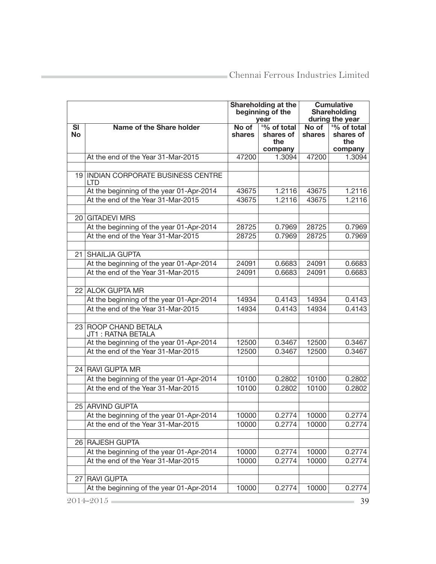|                        |                                            |                 | Shareholding at the<br>beginning of the<br>vear |                 | <b>Cumulative</b><br><b>Shareholding</b><br>during the year |
|------------------------|--------------------------------------------|-----------------|-------------------------------------------------|-----------------|-------------------------------------------------------------|
| <b>SI</b><br><b>No</b> | Name of the Share holder                   | No of<br>shares | '% of total<br>shares of<br>the<br>company      | No of<br>shares | '% of total<br>shares of<br>the<br>company                  |
|                        | At the end of the Year 31-Mar-2015         | 47200           | 1.3094                                          | 47200           | 1.3094                                                      |
|                        |                                            |                 |                                                 |                 |                                                             |
|                        | 19 INDIAN CORPORATE BUSINESS CENTRE<br>LTD |                 |                                                 |                 |                                                             |
|                        | At the beginning of the year 01-Apr-2014   | 43675           | 1.2116                                          | 43675           | 1.2116                                                      |
|                        | At the end of the Year 31-Mar-2015         | 43675           | 1.2116                                          | 43675           | 1.2116                                                      |
|                        |                                            |                 |                                                 |                 |                                                             |
| 20 <sub>1</sub>        | <b>GITADEVI MRS</b>                        |                 |                                                 |                 |                                                             |
|                        | At the beginning of the year 01-Apr-2014   | 28725           | 0.7969                                          | 28725           | 0.7969                                                      |
|                        | At the end of the Year 31-Mar-2015         | 28725           | 0.7969                                          | 28725           | 0.7969                                                      |
|                        |                                            |                 |                                                 |                 |                                                             |
| 21 I                   | <b>SHAILJA GUPTA</b>                       |                 |                                                 |                 |                                                             |
|                        | At the beginning of the year 01-Apr-2014   | 24091           | 0.6683                                          | 24091           | 0.6683                                                      |
|                        | At the end of the Year 31-Mar-2015         | 24091           | 0.6683                                          | 24091           | 0.6683                                                      |
|                        | 22 ALOK GUPTA MR                           |                 |                                                 |                 |                                                             |
|                        | At the beginning of the year 01-Apr-2014   | 14934           | 0.4143                                          | 14934           | 0.4143                                                      |
|                        | At the end of the Year 31-Mar-2015         | 14934           | 0.4143                                          | 14934           | 0.4143                                                      |
|                        |                                            |                 |                                                 |                 |                                                             |
|                        | 23 ROOP CHAND BETALA<br>JT1 : RATNA BETALA |                 |                                                 |                 |                                                             |
|                        | At the beginning of the year 01-Apr-2014   | 12500           | 0.3467                                          | 12500           | 0.3467                                                      |
|                        | At the end of the Year 31-Mar-2015         | 12500           | 0.3467                                          | 12500           | 0.3467                                                      |
|                        | 24 RAVI GUPTA MR                           |                 |                                                 |                 |                                                             |
|                        | At the beginning of the year 01-Apr-2014   | 10100           | 0.2802                                          | 10100           | 0.2802                                                      |
|                        | At the end of the Year 31-Mar-2015         | 10100           | 0.2802                                          | 10100           | 0.2802                                                      |
|                        |                                            |                 |                                                 |                 |                                                             |
|                        | 25 ARVIND GUPTA                            |                 |                                                 |                 |                                                             |
|                        | At the beginning of the year 01-Apr-2014   | 10000           | 0.2774                                          | 10000           | 0.2774                                                      |
|                        | At the end of the Year 31-Mar-2015         | 10000           | 0.2774                                          | 10000           | 0.2774                                                      |
|                        | 26 RAJESH GUPTA                            |                 |                                                 |                 |                                                             |
|                        | At the beginning of the year 01-Apr-2014   | 10000           | 0.2774                                          | 10000           | 0.2774                                                      |
|                        | At the end of the Year 31-Mar-2015         | 10000           | 0.2774                                          | 10000           | 0.2774                                                      |
|                        |                                            |                 |                                                 |                 |                                                             |
| 27                     | <b>RAVI GUPTA</b>                          |                 |                                                 |                 |                                                             |
|                        | At the beginning of the year 01-Apr-2014   | 10000           | 0.2774                                          | 10000           | 0.2774                                                      |
|                        | 2014-2015                                  |                 |                                                 |                 | 39                                                          |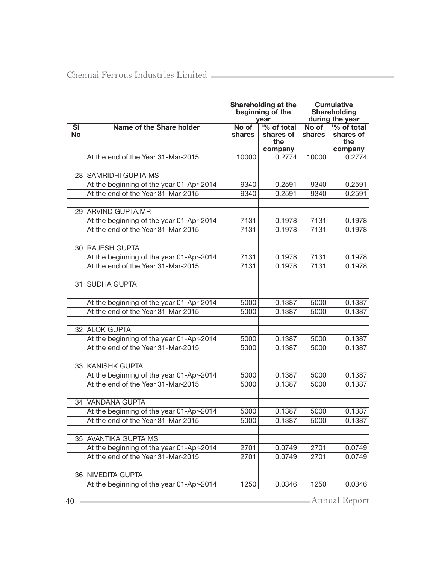|                 |                                          |                 | Shareholding at the<br>beginning of the<br>year |                 | <b>Cumulative</b><br><b>Shareholding</b><br>during the year |
|-----------------|------------------------------------------|-----------------|-------------------------------------------------|-----------------|-------------------------------------------------------------|
| SI<br><b>No</b> | Name of the Share holder                 | No of<br>shares | '% of total<br>shares of<br>the<br>company      | No of<br>shares | '% of total<br>shares of<br>the<br>company                  |
|                 | At the end of the Year 31-Mar-2015       | 10000           | 0.2774                                          | 10000           | 0.2774                                                      |
| 28 <sub>1</sub> | <b>SAMRIDHI GUPTA MS</b>                 |                 |                                                 |                 |                                                             |
|                 | At the beginning of the year 01-Apr-2014 | 9340            | 0.2591                                          | 9340            | 0.2591                                                      |
|                 | At the end of the Year 31-Mar-2015       | 9340            | 0.2591                                          | 9340            | 0.2591                                                      |
|                 |                                          |                 |                                                 |                 |                                                             |
|                 | 29 ARVIND GUPTA.MR                       |                 |                                                 |                 |                                                             |
|                 | At the beginning of the year 01-Apr-2014 | 7131            | 0.1978                                          | 7131            | 0.1978                                                      |
|                 | At the end of the Year 31-Mar-2015       | 7131            | 0.1978                                          | 7131            | 0.1978                                                      |
|                 | 30 RAJESH GUPTA                          |                 |                                                 |                 |                                                             |
|                 | At the beginning of the year 01-Apr-2014 | 7131            | 0.1978                                          | 7131            | 0.1978                                                      |
|                 | At the end of the Year 31-Mar-2015       | 7131            | 0.1978                                          | 7131            | 0.1978                                                      |
|                 |                                          |                 |                                                 |                 |                                                             |
| 31              | SUDHA GUPTA                              |                 |                                                 |                 |                                                             |
|                 | At the beginning of the year 01-Apr-2014 | 5000            | 0.1387                                          | 5000            | 0.1387                                                      |
|                 | At the end of the Year 31-Mar-2015       | 5000            | 0.1387                                          | 5000            | 0.1387                                                      |
|                 | 32 ALOK GUPTA                            |                 |                                                 |                 |                                                             |
|                 | At the beginning of the year 01-Apr-2014 | 5000            | 0.1387                                          | 5000            | 0.1387                                                      |
|                 | At the end of the Year 31-Mar-2015       | 5000            | 0.1387                                          | 5000            | 0.1387                                                      |
|                 |                                          |                 |                                                 |                 |                                                             |
|                 | 33 KANISHK GUPTA                         |                 |                                                 |                 |                                                             |
|                 | At the beginning of the year 01-Apr-2014 | 5000            | 0.1387                                          | 5000            | 0.1387                                                      |
|                 | At the end of the Year 31-Mar-2015       | 5000            | 0.1387                                          | 5000            | 0.1387                                                      |
|                 | 34 VANDANA GUPTA                         |                 |                                                 |                 |                                                             |
|                 | At the beginning of the year 01-Apr-2014 | 5000            | 0.1387                                          | 5000            | 0.1387                                                      |
|                 | At the end of the Year 31-Mar-2015       | 5000            | 0.1387                                          | 5000            | 0.1387                                                      |
|                 |                                          |                 |                                                 |                 |                                                             |
|                 | 35 AVANTIKA GUPTA MS                     |                 |                                                 |                 |                                                             |
|                 | At the beginning of the year 01-Apr-2014 | 2701            | 0.0749                                          | 2701            | 0.0749                                                      |
|                 | At the end of the Year 31-Mar-2015       | 2701            | 0.0749                                          | 2701            | 0.0749                                                      |
|                 |                                          |                 |                                                 |                 |                                                             |
|                 | 36 NIVEDITA GUPTA                        |                 |                                                 |                 |                                                             |
|                 | At the beginning of the year 01-Apr-2014 | 1250            | 0.0346                                          | 1250            | 0.0346                                                      |

40 Annual Report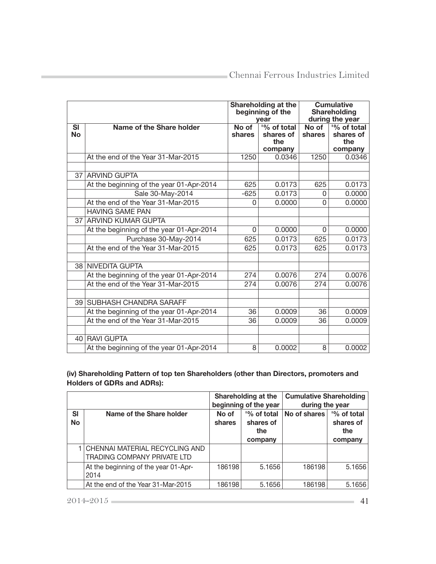|                        |                                          | Shareholding at the<br>beginning of the<br>vear |                                            |                 | <b>Cumulative</b><br><b>Shareholding</b><br>during the year |
|------------------------|------------------------------------------|-------------------------------------------------|--------------------------------------------|-----------------|-------------------------------------------------------------|
| <b>SI</b><br><b>No</b> | Name of the Share holder                 | No of<br>shares                                 | '% of total<br>shares of<br>the<br>company | No of<br>shares | '% of total<br>shares of<br>the<br>company                  |
|                        | At the end of the Year 31-Mar-2015       | 1250                                            | 0.0346                                     | 1250            | 0.0346                                                      |
|                        | 37 ARVIND GUPTA                          |                                                 |                                            |                 |                                                             |
|                        | At the beginning of the year 01-Apr-2014 | 625                                             | 0.0173                                     | 625             | 0.0173                                                      |
|                        | Sale 30-May-2014                         | $-625$                                          | 0.0173                                     | 0               | 0.0000                                                      |
|                        | At the end of the Year 31-Mar-2015       | $\Omega$                                        | 0.0000                                     | O               | 0.0000                                                      |
|                        | <b>HAVING SAME PAN</b>                   |                                                 |                                            |                 |                                                             |
|                        | 37 ARVIND KUMAR GUPTA                    |                                                 |                                            |                 |                                                             |
|                        | At the beginning of the year 01-Apr-2014 | 0                                               | 0.0000                                     | 0               | 0.0000                                                      |
|                        | Purchase 30-May-2014                     | 625                                             | 0.0173                                     | 625             | 0.0173                                                      |
|                        | At the end of the Year 31-Mar-2015       | 625                                             | 0.0173                                     | 625             | 0.0173                                                      |
|                        |                                          |                                                 |                                            |                 |                                                             |
|                        | 38 NIVEDITA GUPTA                        |                                                 |                                            |                 |                                                             |
|                        | At the beginning of the year 01-Apr-2014 | 274                                             | 0.0076                                     | 274             | 0.0076                                                      |
|                        | At the end of the Year 31-Mar-2015       | 274                                             | 0.0076                                     | 274             | 0.0076                                                      |
|                        |                                          |                                                 |                                            |                 |                                                             |
|                        | 39 SUBHASH CHANDRA SARAFF                |                                                 |                                            |                 |                                                             |
|                        | At the beginning of the year 01-Apr-2014 | 36                                              | 0.0009                                     | 36              | 0.0009                                                      |
|                        | At the end of the Year 31-Mar-2015       | 36                                              | 0.0009                                     | 36              | 0.0009                                                      |
|                        |                                          |                                                 |                                            |                 |                                                             |
|                        | 40 RAVI GUPTA                            |                                                 |                                            |                 |                                                             |
|                        | At the beginning of the year 01-Apr-2014 | 8                                               | 0.0002                                     | 8               | 0.0002                                                      |

(iv) Shareholding Pattern of top ten Shareholders (other than Directors, promoters and Holders of GDRs and ADRs):

|                        |                                                                 | Shareholding at the<br>beginning of the year |                                 | <b>Cumulative Shareholding</b><br>during the year |                                 |
|------------------------|-----------------------------------------------------------------|----------------------------------------------|---------------------------------|---------------------------------------------------|---------------------------------|
| <b>SI</b><br><b>No</b> | Name of the Share holder                                        | No of<br>shares                              | '% of total<br>shares of<br>the | No of shares                                      | '% of total<br>shares of<br>the |
|                        |                                                                 |                                              | company                         |                                                   | company                         |
|                        | 1 CHENNAI MATERIAL RECYCLING AND<br>TRADING COMPANY PRIVATE LTD |                                              |                                 |                                                   |                                 |
|                        | At the beginning of the year 01-Apr-<br>2014                    | 186198                                       | 5.1656                          | 186198                                            | 5.1656                          |
|                        | At the end of the Year 31-Mar-2015                              | 186198                                       | 5.1656                          | 186198                                            | 5.1656                          |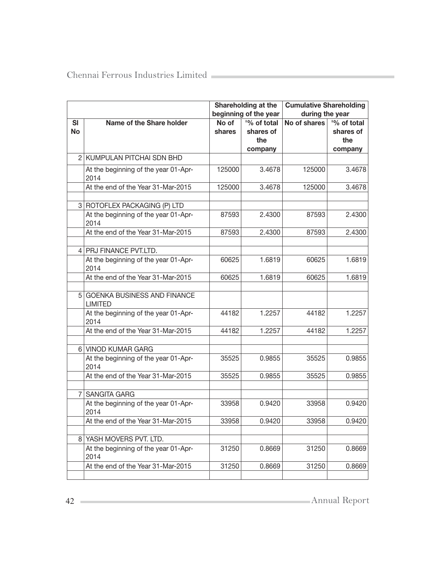|                        |                                                      |                 | Shareholding at the<br>beginning of the year |              | <b>Cumulative Shareholding</b><br>during the year |  |  |
|------------------------|------------------------------------------------------|-----------------|----------------------------------------------|--------------|---------------------------------------------------|--|--|
| <b>SI</b><br><b>No</b> | Name of the Share holder                             | No of<br>shares | '% of total<br>shares of<br>the<br>company   | No of shares | '% of total<br>shares of<br>the<br>company        |  |  |
|                        | 2 KUMPULAN PITCHAI SDN BHD                           |                 |                                              |              |                                                   |  |  |
|                        | At the beginning of the year 01-Apr-<br>2014         | 125000          | 3.4678                                       | 125000       | 3.4678                                            |  |  |
|                        | At the end of the Year 31-Mar-2015                   | 125000          | 3.4678                                       | 125000       | 3.4678                                            |  |  |
|                        | 3 ROTOFLEX PACKAGING (P) LTD                         |                 |                                              |              |                                                   |  |  |
|                        | At the beginning of the year 01-Apr-<br>2014         | 87593           | 2.4300                                       | 87593        | 2.4300                                            |  |  |
|                        | At the end of the Year 31-Mar-2015                   | 87593           | 2.4300                                       | 87593        | 2.4300                                            |  |  |
|                        | 4 PRJ FINANCE PVT.LTD.                               |                 |                                              |              |                                                   |  |  |
|                        | At the beginning of the year 01-Apr-<br>2014         | 60625           | 1.6819                                       | 60625        | 1.6819                                            |  |  |
|                        | At the end of the Year 31-Mar-2015                   | 60625           | 1.6819                                       | 60625        | 1.6819                                            |  |  |
| 5 <sup>1</sup>         | <b>GOENKA BUSINESS AND FINANCE</b><br><b>LIMITED</b> |                 |                                              |              |                                                   |  |  |
|                        | At the beginning of the year 01-Apr-<br>2014         | 44182           | 1.2257                                       | 44182        | 1.2257                                            |  |  |
|                        | At the end of the Year 31-Mar-2015                   | 44182           | 1.2257                                       | 44182        | 1.2257                                            |  |  |
|                        | 6 VINOD KUMAR GARG                                   |                 |                                              |              |                                                   |  |  |
|                        | At the beginning of the year 01-Apr-<br>2014         | 35525           | 0.9855                                       | 35525        | 0.9855                                            |  |  |
|                        | At the end of the Year 31-Mar-2015                   | 35525           | 0.9855                                       | 35525        | 0.9855                                            |  |  |
|                        | 7 SANGITA GARG                                       |                 |                                              |              |                                                   |  |  |
|                        | At the beginning of the year 01-Apr-<br>2014         | 33958           | 0.9420                                       | 33958        | 0.9420                                            |  |  |
|                        | At the end of the Year 31-Mar-2015                   | 33958           | 0.9420                                       | 33958        | 0.9420                                            |  |  |
|                        | 8 YASH MOVERS PVT. LTD.                              |                 |                                              |              |                                                   |  |  |
|                        | At the beginning of the year 01-Apr-<br>2014         | 31250           | 0.8669                                       | 31250        | 0.8669                                            |  |  |
|                        | At the end of the Year 31-Mar-2015                   | 31250           | 0.8669                                       | 31250        | 0.8669                                            |  |  |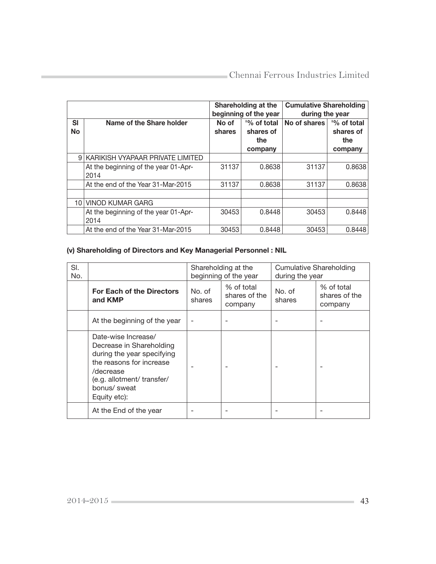|                 |                                              | <b>Cumulative Shareholding</b><br>Shareholding at the<br>beginning of the year<br>during the year |                                            |              |                                            |
|-----------------|----------------------------------------------|---------------------------------------------------------------------------------------------------|--------------------------------------------|--------------|--------------------------------------------|
| SI<br><b>No</b> | Name of the Share holder                     | No of<br>shares                                                                                   | '% of total<br>shares of<br>the<br>company | No of shares | '% of total<br>shares of<br>the<br>company |
|                 | 9 KARIKISH VYAPAAR PRIVATE LIMITED           |                                                                                                   |                                            |              |                                            |
|                 | At the beginning of the year 01-Apr-<br>2014 | 31137                                                                                             | 0.8638                                     | 31137        | 0.8638                                     |
|                 | At the end of the Year 31-Mar-2015           | 31137                                                                                             | 0.8638                                     | 31137        | 0.8638                                     |
| 10              | <b>VINOD KUMAR GARG</b>                      |                                                                                                   |                                            |              |                                            |
|                 | At the beginning of the year 01-Apr-<br>2014 | 30453                                                                                             | 0.8448                                     | 30453        | 0.8448                                     |
|                 | At the end of the Year 31-Mar-2015           | 30453                                                                                             | 0.8448                                     | 30453        | 0.8448                                     |

# (v) Shareholding of Directors and Key Managerial Personnel : NIL

| SI.<br>No. |                                                                                                                                                                                      | Shareholding at the<br>beginning of the year |                                        | <b>Cumulative Shareholding</b><br>during the year |                                        |
|------------|--------------------------------------------------------------------------------------------------------------------------------------------------------------------------------------|----------------------------------------------|----------------------------------------|---------------------------------------------------|----------------------------------------|
|            | <b>For Each of the Directors</b><br>and KMP                                                                                                                                          | No. of<br>shares                             | % of total<br>shares of the<br>company | No. of<br>shares                                  | % of total<br>shares of the<br>company |
|            | At the beginning of the year                                                                                                                                                         |                                              |                                        |                                                   |                                        |
|            | Date-wise Increase/<br>Decrease in Shareholding<br>during the year specifying<br>the reasons for increase<br>/decrease<br>(e.g. allotment/ transfer/<br>bonus/ sweat<br>Equity etc): |                                              |                                        |                                                   |                                        |
|            | At the End of the year                                                                                                                                                               |                                              |                                        |                                                   |                                        |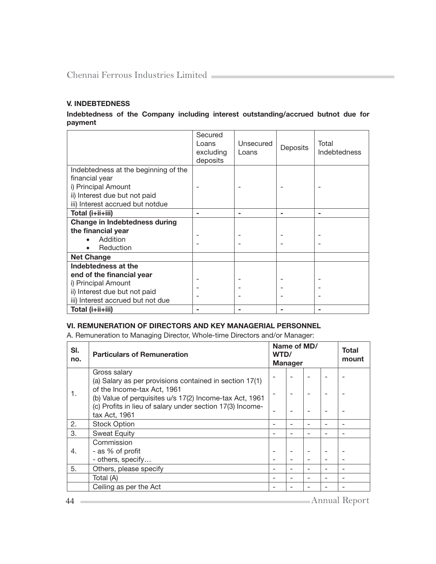# V. INDEBTEDNESS

Indebtedness of the Company including interest outstanding/accrued butnot due for payment

|                                      | Secured<br>Loans<br>excluding<br>deposits | Unsecured<br>Loans | Deposits | Total<br><b>Indebtedness</b> |
|--------------------------------------|-------------------------------------------|--------------------|----------|------------------------------|
| Indebtedness at the beginning of the |                                           |                    |          |                              |
| financial year                       |                                           |                    |          |                              |
| i) Principal Amount                  |                                           |                    |          |                              |
| ii) Interest due but not paid        |                                           |                    |          |                              |
| iii) Interest accrued but notdue     |                                           |                    |          |                              |
| Total (i+ii+iii)                     |                                           |                    |          |                              |
| <b>Change in Indebtedness during</b> |                                           |                    |          |                              |
| the financial year                   |                                           |                    |          |                              |
| Addition                             |                                           |                    |          |                              |
| Reduction                            |                                           |                    |          |                              |
| <b>Net Change</b>                    |                                           |                    |          |                              |
| Indebtedness at the                  |                                           |                    |          |                              |
| end of the financial year            |                                           |                    |          |                              |
| i) Principal Amount                  |                                           |                    |          |                              |
| ii) Interest due but not paid        |                                           |                    |          |                              |
| iii) Interest accrued but not due    |                                           |                    |          |                              |
| Total (i+ii+iii)                     |                                           |                    |          |                              |

## VI. REMUNERATION OF DIRECTORS AND KEY MANAGERIAL PERSONNEL

A. Remuneration to Managing Director, Whole-time Directors and/or Manager:

| <b>Particulars of Remuneration</b>                        | Name of MD/<br>WTD/<br><b>Manager</b>                                                                   |  | Total<br>mount |                          |
|-----------------------------------------------------------|---------------------------------------------------------------------------------------------------------|--|----------------|--------------------------|
| Gross salary                                              |                                                                                                         |  |                |                          |
|                                                           |                                                                                                         |  |                |                          |
| (b) Value of perquisites u/s 17(2) Income-tax Act, 1961   |                                                                                                         |  |                |                          |
| (c) Profits in lieu of salary under section 17(3) Income- |                                                                                                         |  |                |                          |
|                                                           |                                                                                                         |  |                |                          |
| <b>Stock Option</b>                                       |                                                                                                         |  |                |                          |
| <b>Sweat Equity</b>                                       |                                                                                                         |  |                | $\overline{\phantom{0}}$ |
| Commission                                                |                                                                                                         |  |                |                          |
| - as % of profit                                          |                                                                                                         |  |                |                          |
| - others, specify                                         |                                                                                                         |  |                |                          |
| Others, please specify                                    |                                                                                                         |  |                |                          |
| Total (A)                                                 |                                                                                                         |  |                | $\overline{\phantom{0}}$ |
| Ceiling as per the Act                                    |                                                                                                         |  |                |                          |
|                                                           | (a) Salary as per provisions contained in section 17(1)<br>of the Income-tax Act, 1961<br>tax Act, 1961 |  |                |                          |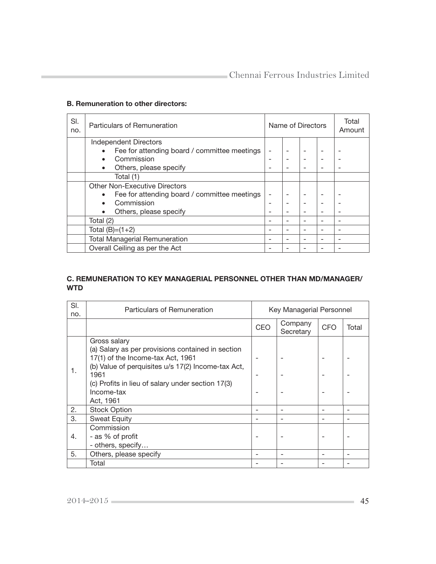#### B. Remuneration to other directors:

| SI.<br>no. | Particulars of Remuneration          |                                              | Name of Directors |  |  |  | Total<br>Amount |
|------------|--------------------------------------|----------------------------------------------|-------------------|--|--|--|-----------------|
|            |                                      | Independent Directors                        |                   |  |  |  |                 |
|            |                                      | Fee for attending board / committee meetings |                   |  |  |  |                 |
|            |                                      | Commission                                   |                   |  |  |  |                 |
|            | $\bullet$                            | Others, please specify                       |                   |  |  |  |                 |
|            |                                      | Total (1)                                    |                   |  |  |  |                 |
|            |                                      | <b>Other Non-Executive Directors</b>         |                   |  |  |  |                 |
|            |                                      | Fee for attending board / committee meetings |                   |  |  |  |                 |
|            |                                      | Commission                                   |                   |  |  |  |                 |
|            |                                      | Others, please specify                       |                   |  |  |  |                 |
|            | Total (2)                            |                                              |                   |  |  |  |                 |
|            |                                      | Total $(B)=(1+2)$                            |                   |  |  |  |                 |
|            | <b>Total Managerial Remuneration</b> |                                              |                   |  |  |  |                 |
|            |                                      | Overall Ceiling as per the Act               |                   |  |  |  |                 |

### C. REMUNERATION TO KEY MANAGERIAL PERSONNEL OTHER THAN MD/MANAGER/ **WTD**

| SI.<br>no. | Particulars of Remuneration                                                                                                                                                                                                                          | Key Managerial Personnel |                      |            |       |
|------------|------------------------------------------------------------------------------------------------------------------------------------------------------------------------------------------------------------------------------------------------------|--------------------------|----------------------|------------|-------|
|            |                                                                                                                                                                                                                                                      | CEO                      | Company<br>Secretary | <b>CFO</b> | Total |
| 1.         | Gross salary<br>(a) Salary as per provisions contained in section<br>17(1) of the Income-tax Act, 1961<br>(b) Value of perquisites u/s 17(2) Income-tax Act,<br>1961<br>(c) Profits in lieu of salary under section 17(3)<br>Income-tax<br>Act, 1961 |                          |                      |            |       |
| 2.         | <b>Stock Option</b>                                                                                                                                                                                                                                  |                          |                      |            |       |
| 3.         | <b>Sweat Equity</b>                                                                                                                                                                                                                                  |                          |                      |            |       |
| 4.         | Commission<br>- as % of profit<br>- others, specify                                                                                                                                                                                                  |                          |                      |            |       |
| 5.         | Others, please specify                                                                                                                                                                                                                               |                          |                      |            |       |
|            | Total                                                                                                                                                                                                                                                |                          |                      |            |       |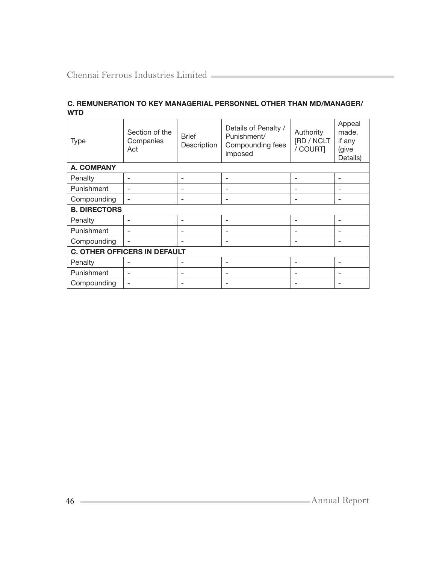| <b>Type</b>                         | Section of the<br>Companies<br>Act | <b>Brief</b><br>Description | Details of Penalty /<br>Punishment/<br>Compounding fees<br>imposed | Authority<br>[RD / NCLT<br>/ COURT] | Appeal<br>made,<br>if any<br>(give<br>Details) |  |  |  |
|-------------------------------------|------------------------------------|-----------------------------|--------------------------------------------------------------------|-------------------------------------|------------------------------------------------|--|--|--|
| <b>A. COMPANY</b>                   |                                    |                             |                                                                    |                                     |                                                |  |  |  |
| Penalty                             | $\overline{\phantom{0}}$           | $\overline{\phantom{0}}$    | ۰                                                                  | $\overline{\phantom{0}}$            |                                                |  |  |  |
| Punishment                          | $\overline{\phantom{0}}$           | $\overline{\phantom{0}}$    |                                                                    |                                     | -                                              |  |  |  |
| Compounding                         |                                    | ۰                           | ۰                                                                  | -                                   |                                                |  |  |  |
| <b>B. DIRECTORS</b>                 |                                    |                             |                                                                    |                                     |                                                |  |  |  |
| Penalty                             | ٠                                  | ۰                           |                                                                    | ۰                                   |                                                |  |  |  |
| Punishment                          | $\overline{\phantom{0}}$           | $\overline{\phantom{0}}$    |                                                                    |                                     |                                                |  |  |  |
| Compounding                         | $\overline{\phantom{a}}$           | $\overline{\phantom{0}}$    |                                                                    | $\overline{\phantom{0}}$            |                                                |  |  |  |
| <b>C. OTHER OFFICERS IN DEFAULT</b> |                                    |                             |                                                                    |                                     |                                                |  |  |  |
| Penalty                             | $\overline{\phantom{a}}$           |                             | ۰                                                                  | $\overline{\phantom{0}}$            |                                                |  |  |  |
| Punishment                          | ٠                                  | $\overline{\phantom{0}}$    | ۰                                                                  | $\overline{\phantom{0}}$            | ۰                                              |  |  |  |
| Compounding                         | ٠                                  |                             |                                                                    |                                     |                                                |  |  |  |

# C. REMUNERATION TO KEY MANAGERIAL PERSONNEL OTHER THAN MD/MANAGER/ WTD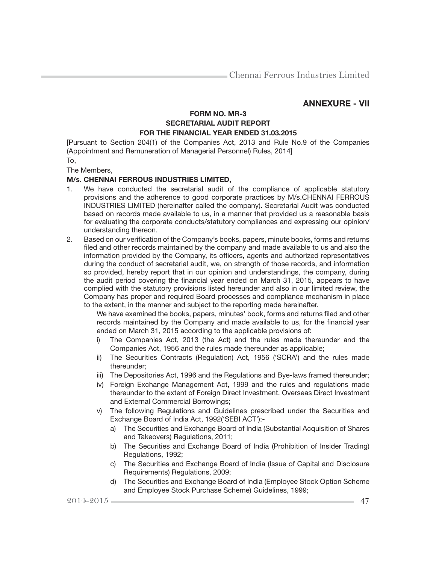# ANNEXURE - VII

# FORM NO. MR-3 SECRETARIAL AUDIT REPORT FOR THE FINANCIAL YEAR ENDED 31.03.2015

[Pursuant to Section 204(1) of the Companies Act, 2013 and Rule No.9 of the Companies (Appointment and Remuneration of Managerial Personnel) Rules, 2014]

To,

The Members,

#### M/s. CHENNAI FERROUS INDUSTRIES LIMITED,

- 1. We have conducted the secretarial audit of the compliance of applicable statutory provisions and the adherence to good corporate practices by M/s.CHENNAI FERROUS INDUSTRIES LIMITED (hereinafter called the company). Secretarial Audit was conducted based on records made available to us, in a manner that provided us a reasonable basis for evaluating the corporate conducts/statutory compliances and expressing our opinion/ understanding thereon.
- 2. Based on our verification of the Company's books, papers, minute books, forms and returns filed and other records maintained by the company and made available to us and also the information provided by the Company, its officers, agents and authorized representatives during the conduct of secretarial audit, we, on strength of those records, and information so provided, hereby report that in our opinion and understandings, the company, during the audit period covering the financial year ended on March 31, 2015, appears to have complied with the statutory provisions listed hereunder and also in our limited review, the Company has proper and required Board processes and compliance mechanism in place to the extent, in the manner and subject to the reporting made hereinafter.

We have examined the books, papers, minutes' book, forms and returns filed and other records maintained by the Company and made available to us, for the financial year ended on March 31, 2015 according to the applicable provisions of:

- i) The Companies Act, 2013 (the Act) and the rules made thereunder and the Companies Act, 1956 and the rules made thereunder as applicable;
- ii) The Securities Contracts (Regulation) Act, 1956 ('SCRA') and the rules made thereunder;
- iii) The Depositories Act, 1996 and the Regulations and Bye-laws framed thereunder;
- iv) Foreign Exchange Management Act, 1999 and the rules and regulations made thereunder to the extent of Foreign Direct Investment, Overseas Direct Investment and External Commercial Borrowings;
- v) The following Regulations and Guidelines prescribed under the Securities and Exchange Board of India Act, 1992('SEBI ACT'):
	- a) The Securities and Exchange Board of India (Substantial Acquisition of Shares and Takeovers) Regulations, 2011;
	- b) The Securities and Exchange Board of India (Prohibition of Insider Trading) Regulations, 1992;
	- c) The Securities and Exchange Board of India (Issue of Capital and Disclosure Requirements) Regulations, 2009;
	- d) The Securities and Exchange Board of India (Employee Stock Option Scheme and Employee Stock Purchase Scheme) Guidelines, 1999;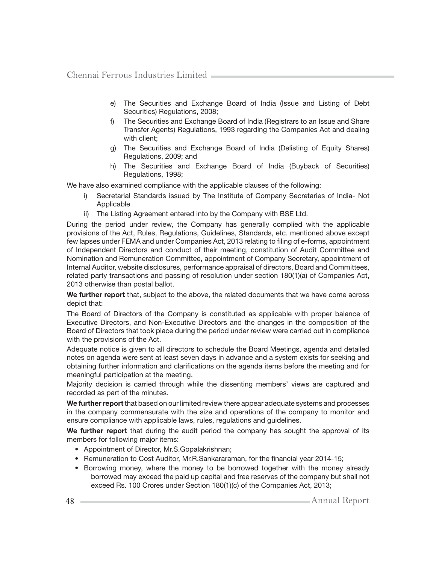- e) The Securities and Exchange Board of India (Issue and Listing of Debt Securities) Regulations, 2008;
- f) The Securities and Exchange Board of India (Registrars to an Issue and Share Transfer Agents) Regulations, 1993 regarding the Companies Act and dealing with client:
- g) The Securities and Exchange Board of India (Delisting of Equity Shares) Regulations, 2009; and
- h) The Securities and Exchange Board of India (Buyback of Securities) Regulations, 1998;

We have also examined compliance with the applicable clauses of the following:

- i) Secretarial Standards issued by The Institute of Company Secretaries of India- Not Applicable
- ii) The Listing Agreement entered into by the Company with BSE Ltd.

During the period under review, the Company has generally complied with the applicable provisions of the Act, Rules, Regulations, Guidelines, Standards, etc. mentioned above except few lapses under FEMA and under Companies Act, 2013 relating to filing of e-forms, appointment of Independent Directors and conduct of their meeting, constitution of Audit Committee and Nomination and Remuneration Committee, appointment of Company Secretary, appointment of Internal Auditor, website disclosures, performance appraisal of directors, Board and Committees, related party transactions and passing of resolution under section 180(1)(a) of Companies Act, 2013 otherwise than postal ballot.

We further report that, subject to the above, the related documents that we have come across depict that:

The Board of Directors of the Company is constituted as applicable with proper balance of Executive Directors, and Non-Executive Directors and the changes in the composition of the Board of Directors that took place during the period under review were carried out in compliance with the provisions of the Act.

Adequate notice is given to all directors to schedule the Board Meetings, agenda and detailed notes on agenda were sent at least seven days in advance and a system exists for seeking and obtaining further information and clarifications on the agenda items before the meeting and for meaningful participation at the meeting.

Majority decision is carried through while the dissenting members' views are captured and recorded as part of the minutes.

We further report that based on our limited review there appear adequate systems and processes in the company commensurate with the size and operations of the company to monitor and ensure compliance with applicable laws, rules, regulations and guidelines.

We further report that during the audit period the company has sought the approval of its members for following major items:

- Appointment of Director, Mr.S.Gopalakrishnan;
- Remuneration to Cost Auditor, Mr.R.Sankararaman, for the financial year 2014-15;
- Borrowing money, where the money to be borrowed together with the money already borrowed may exceed the paid up capital and free reserves of the company but shall not exceed Rs. 100 Crores under Section 180(1)(c) of the Companies Act, 2013;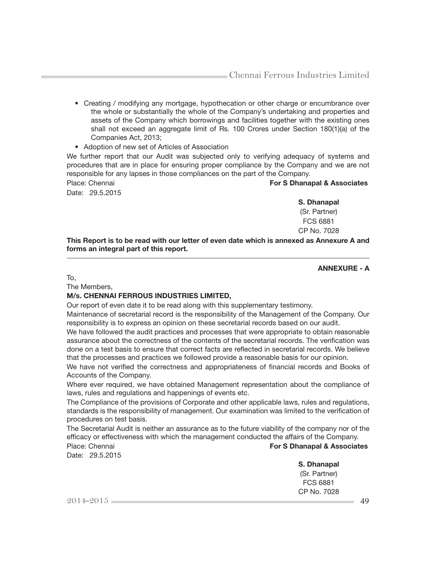- Creating / modifying any mortgage, hypothecation or other charge or encumbrance over the whole or substantially the whole of the Company's undertaking and properties and assets of the Company which borrowings and facilities together with the existing ones shall not exceed an aggregate limit of Rs. 100 Crores under Section 180(1)(a) of the Companies Act, 2013;
- Adoption of new set of Articles of Association

We further report that our Audit was subjected only to verifying adequacy of systems and procedures that are in place for ensuring proper compliance by the Company and we are not responsible for any lapses in those compliances on the part of the Company.

Place: Chennai **For S Dhanapal & Associates For S Dhanapal & Associates** 

Date: 29.5.2015

S. Dhanapal (Sr. Partner) FCS 6881 CP No. 7028

This Report is to be read with our letter of even date which is annexed as Annexure A and forms an integral part of this report.

ANNEXURE - A

To,

The Members,

#### M/s. CHENNAI FERROUS INDUSTRIES LIMITED,

Our report of even date it to be read along with this supplementary testimony.

Maintenance of secretarial record is the responsibility of the Management of the Company. Our responsibility is to express an opinion on these secretarial records based on our audit.

We have followed the audit practices and processes that were appropriate to obtain reasonable assurance about the correctness of the contents of the secretarial records. The verification was done on a test basis to ensure that correct facts are reflected in secretarial records. We believe that the processes and practices we followed provide a reasonable basis for our opinion.

We have not verified the correctness and appropriateness of financial records and Books of Accounts of the Company.

Where ever required, we have obtained Management representation about the compliance of laws, rules and regulations and happenings of events etc.

The Compliance of the provisions of Corporate and other applicable laws, rules and regulations, standards is the responsibility of management. Our examination was limited to the verification of procedures on test basis.

The Secretarial Audit is neither an assurance as to the future viability of the company nor of the efficacy or effectiveness with which the management conducted the affairs of the Company. Place: Chennai **For S Dhanapal & Associates** 

Date: 29.5.2015

S. Dhanapal (Sr. Partner) FCS 6881 CP No. 7028

 $2014 - 2015$  49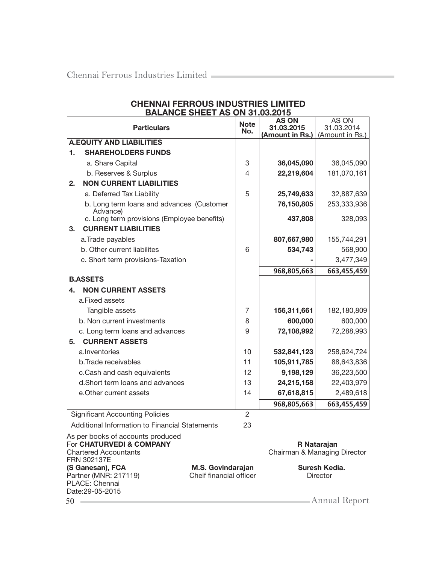Date:29-05-2015

|                                                                                               | <b>BALANCE SHEET AS ON 31.03.2015</b>                                      |                                              |                |                            |                                             |  |
|-----------------------------------------------------------------------------------------------|----------------------------------------------------------------------------|----------------------------------------------|----------------|----------------------------|---------------------------------------------|--|
|                                                                                               | <b>Particulars</b>                                                         |                                              | <b>Note</b>    | <b>AS ON</b><br>31.03.2015 | AS ON<br>31.03.2014                         |  |
|                                                                                               |                                                                            |                                              | No.            | (Amount in Rs.)            | (Amount in Rs.)                             |  |
|                                                                                               | <b>A.EQUITY AND LIABILITIES</b>                                            |                                              |                |                            |                                             |  |
| 1.                                                                                            | <b>SHAREHOLDERS FUNDS</b>                                                  |                                              |                |                            |                                             |  |
|                                                                                               | a. Share Capital                                                           |                                              | 3              | 36,045,090                 | 36,045,090                                  |  |
|                                                                                               | b. Reserves & Surplus                                                      |                                              | 4              | 22,219,604                 | 181,070,161                                 |  |
| 2.                                                                                            | <b>NON CURRENT LIABILITIES</b>                                             |                                              |                |                            |                                             |  |
|                                                                                               | a. Deferred Tax Liability                                                  |                                              | 5              | 25,749,633                 | 32,887,639                                  |  |
|                                                                                               | b. Long term loans and advances (Customer<br>Advance)                      |                                              |                | 76,150,805                 | 253,333,936                                 |  |
|                                                                                               | c. Long term provisions (Employee benefits)                                |                                              |                | 437,808                    | 328,093                                     |  |
| 3.                                                                                            | <b>CURRENT LIABILITIES</b>                                                 |                                              |                |                            |                                             |  |
|                                                                                               | a. Trade payables                                                          |                                              |                | 807,667,980                | 155,744,291                                 |  |
|                                                                                               | b. Other current liabilites                                                |                                              | 6              | 534,743                    | 568,900                                     |  |
|                                                                                               | c. Short term provisions-Taxation                                          |                                              |                |                            | 3,477,349                                   |  |
|                                                                                               |                                                                            |                                              |                | 968,805,663                | 663,455,459                                 |  |
|                                                                                               | <b>B.ASSETS</b>                                                            |                                              |                |                            |                                             |  |
| 4.                                                                                            | <b>NON CURRENT ASSETS</b>                                                  |                                              |                |                            |                                             |  |
|                                                                                               | a.Fixed assets                                                             |                                              |                |                            |                                             |  |
|                                                                                               | Tangible assets                                                            |                                              | 7              | 156,311,661                | 182,180,809                                 |  |
|                                                                                               | b. Non current investments                                                 |                                              | 8              | 600,000                    | 600,000                                     |  |
|                                                                                               | c. Long term loans and advances                                            |                                              | 9              | 72,108,992                 | 72,288,993                                  |  |
| 5.                                                                                            | <b>CURRENT ASSETS</b>                                                      |                                              |                |                            |                                             |  |
|                                                                                               | a.Inventories                                                              |                                              | 10             | 532,841,123                | 258,624,724                                 |  |
|                                                                                               | b. Trade receivables                                                       |                                              | 11             | 105,911,785                | 88,643,836                                  |  |
|                                                                                               | c.Cash and cash equivalents                                                |                                              | 12             | 9,198,129                  | 36,223,500                                  |  |
|                                                                                               | d. Short term loans and advances                                           |                                              | 13             | 24,215,158                 | 22,403,979                                  |  |
|                                                                                               | e. Other current assets                                                    |                                              | 14             | 67,618,815                 | 2,489,618                                   |  |
|                                                                                               |                                                                            |                                              |                | 968,805,663                | 663,455,459                                 |  |
|                                                                                               | <b>Significant Accounting Policies</b>                                     |                                              | $\overline{2}$ |                            |                                             |  |
|                                                                                               | Additional Information to Financial Statements                             |                                              | 23             |                            |                                             |  |
| As per books of accounts produced<br>For CHATURVEDI & COMPANY<br><b>Chartered Accountants</b> |                                                                            |                                              |                |                            | R Natarajan<br>Chairman & Managing Director |  |
|                                                                                               | FRN 302137E<br>(S Ganesan), FCA<br>Partner (MNR: 217119)<br>PLACE: Chennai | M.S. Govindarajan<br>Cheif financial officer |                |                            | Suresh Kedia.<br><b>Director</b>            |  |

# CHENNAI FERROUS INDUSTRIES LIMITED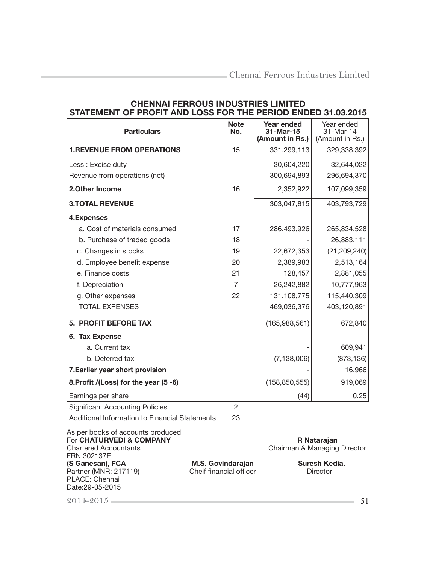| STATEMENT OF PROFIT AND LOSS FOR THE PERIOD ENDED 31.03.2013 |                    |                                            |                                            |
|--------------------------------------------------------------|--------------------|--------------------------------------------|--------------------------------------------|
| <b>Particulars</b>                                           | <b>Note</b><br>No. | Year ended<br>31-Mar-15<br>(Amount in Rs.) | Year ended<br>31-Mar-14<br>(Amount in Rs.) |
| <b>1.REVENUE FROM OPERATIONS</b>                             | 15                 | 331,299,113                                | 329,338,392                                |
| Less: Excise duty                                            |                    | 30,604,220                                 | 32,644,022                                 |
| Revenue from operations (net)                                |                    | 300,694,893                                | 296,694,370                                |
| 2. Other Income                                              | 16                 | 2,352,922                                  | 107,099,359                                |
| <b>3.TOTAL REVENUE</b>                                       |                    | 303,047,815                                | 403,793,729                                |
| 4. Expenses                                                  |                    |                                            |                                            |
| a. Cost of materials consumed                                | 17                 | 286,493,926                                | 265,834,528                                |
| b. Purchase of traded goods                                  | 18                 |                                            | 26,883,111                                 |
| c. Changes in stocks                                         | 19                 | 22,672,353                                 | (21, 209, 240)                             |
| d. Employee benefit expense                                  | 20                 | 2,389,983                                  | 2,513,164                                  |
| e. Finance costs                                             | 21                 | 128,457                                    | 2,881,055                                  |
| f. Depreciation                                              | $\overline{7}$     | 26,242,882                                 | 10,777,963                                 |
| g. Other expenses                                            | 22                 | 131,108,775                                | 115,440,309                                |
| <b>TOTAL EXPENSES</b>                                        |                    | 469,036,376                                | 403,120,891                                |
| <b>5. PROFIT BEFORE TAX</b>                                  |                    | (165,988,561)                              | 672,840                                    |
| 6. Tax Expense                                               |                    |                                            |                                            |
| a. Current tax                                               |                    |                                            | 609,941                                    |
| b. Deferred tax                                              |                    | (7, 138, 006)                              | (873, 136)                                 |
| 7. Earlier year short provision                              |                    |                                            | 16,966                                     |
| 8. Profit /(Loss) for the year (5 -6)                        |                    | (158, 850, 555)                            | 919,069                                    |
| Earnings per share                                           |                    | (44)                                       | 0.25                                       |
| <b>Significant Accounting Policies</b>                       | $\overline{2}$     |                                            |                                            |

# CHENNAI FERROUS INDUSTRIES LIMITED STATEMENT OF PROFIT AND LOSS FOR THE PERIOD ENDED 31.03.2015

Additional Information to Financial Statements 23

As per books of accounts produced

For CHATURVEDI & COMPANY Report CHATURVEDI & COMPANY Report Chairman & Managing Chairman & Managing Director

FRN 302137E<br>(S Ganesan), FCA Partner (MNR: 217119) PLACE: Chennai Date:29-05-2015

**M.S. Govindarajan** Suresh Kedia.<br>
Cheif financial officer **Suresh Kedia.**<br>
Director

2014-2015 51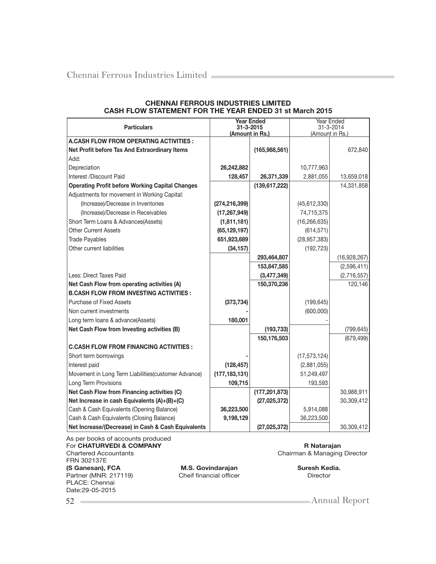| <b>Particulars</b>                                     | <b>Year Ended</b><br>31-3-2015 |                 | Year Ended<br>31-3-2014 |              |
|--------------------------------------------------------|--------------------------------|-----------------|-------------------------|--------------|
| <b>A.CASH FLOW FROM OPERATING ACTIVITIES :</b>         | (Amount in Rs.)                |                 | (Amount in Rs.)         |              |
| Net Profit before Tax And Extraordinary Items          |                                | (165,988,561)   |                         | 672,840      |
| Add:                                                   |                                |                 |                         |              |
| Depreciation                                           | 26,242,882                     |                 | 10,777,963              |              |
| Interest /Discount Paid                                | 128,457                        | 26,371,339      | 2,881,055               | 13,659,018   |
| <b>Operating Profit before Working Capital Changes</b> |                                | (139, 617, 222) |                         | 14,331,858   |
| Adjustments for movement in Working Capital:           |                                |                 |                         |              |
| (Increase)/Decrease in Inventories                     | (274, 216, 399)                |                 | (45, 612, 330)          |              |
| (Increase)/Decrease in Receivables                     | (17, 267, 949)                 |                 | 74,715,375              |              |
| Short Term Loans & Advances(Assets)                    | (1,811,181)                    |                 | (16, 266, 635)          |              |
| <b>Other Current Assets</b>                            | (65, 129, 197)                 |                 | (614, 571)              |              |
| <b>Trade Payables</b>                                  | 651,923,689                    |                 | (28, 957, 383)          |              |
| Other current liabilities                              | (34, 157)                      |                 | (192, 723)              |              |
|                                                        |                                | 293,464,807     |                         | (16,928,267) |
|                                                        |                                | 153,847,585     |                         | (2,596,411)  |
| Less: Direct Taxes Paid                                |                                | (3,477,349)     |                         | (2,716,557)  |
| Net Cash Flow from operating activities (A)            |                                | 150,370,236     |                         | 120,146      |
| <b>B.CASH FLOW FROM INVESTING ACTIVITIES:</b>          |                                |                 |                         |              |
| <b>Purchase of Fixed Assets</b>                        | (373, 734)                     |                 | (199, 645)              |              |
| Non current investments                                |                                |                 | (600, 000)              |              |
| Long term loans & advance(Assets)                      | 180,001                        |                 |                         |              |
| Net Cash Flow from Investing activities (B)            |                                | (193, 733)      |                         | (799, 645)   |
|                                                        |                                | 150,176,503     |                         | (679, 499)   |
| <b>C.CASH FLOW FROM FINANCING ACTIVITIES:</b>          |                                |                 |                         |              |
| Short term borrowings                                  |                                |                 | (17, 573, 124)          |              |
| Interest paid                                          | (128, 457)                     |                 | (2,881,055)             |              |
| Movement in Long Term Liabilities(customer Advance)    | (177, 183, 131)                |                 | 51,249,497              |              |
| Long Term Provisions                                   | 109,715                        |                 | 193,593                 |              |
| Net Cash Flow from Financing activities (C)            |                                | (177, 201, 873) |                         | 30,988,911   |
| Net Increase in cash Equivalents (A)+(B)+(C)           |                                | (27, 025, 372)  |                         | 30,309,412   |
| Cash & Cash Equivalents (Opening Balance)              | 36,223,500                     |                 | 5,914,088               |              |
| Cash & Cash Equivalents (Closing Balance)              | 9,198,129                      |                 | 36,223,500              |              |
| Net Increase/(Decrease) in Cash & Cash Equivalents     |                                | (27, 025, 372)  |                         | 30,309,412   |

#### CHENNAI FERROUS INDUSTRIES LIMITED CASH FLOW STATEMENT FOR THE YEAR ENDED 31 st March 2015

As per books of accounts produced For CHATURVEDI & COMPANY **RATACHILIC EXECUTE:** R Natarajan Chartered Accountants Chairman & Managing Director FRN 302137E (S Ganesan), FCA M.S. Govindarajan Suresh Kedia.<br>Partner (MNR: 217119) Cheif financial officer Director Partner (MNR: 217119) Cheif financial officer Director Director PLACE: Chennai Date:29-05-2015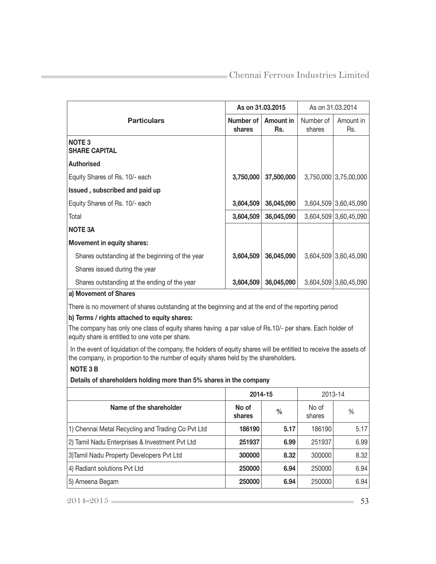|                                                 | As on 31,03,2015    |                  | As on 31.03.2014    |                       |
|-------------------------------------------------|---------------------|------------------|---------------------|-----------------------|
| <b>Particulars</b>                              | Number of<br>shares | Amount in<br>Rs. | Number of<br>shares | Amount in<br>Rs.      |
| <b>NOTE 3</b><br><b>SHARE CAPITAL</b>           |                     |                  |                     |                       |
| <b>Authorised</b>                               |                     |                  |                     |                       |
| Equity Shares of Rs. 10/- each                  | 3,750,000           | 37,500,000       |                     | 3,750,000 3,75,00,000 |
| Issued, subscribed and paid up                  |                     |                  |                     |                       |
| Equity Shares of Rs. 10/- each                  | 3,604,509           | 36,045,090       |                     | 3,604,509 3,60,45,090 |
| Total                                           | 3,604,509           | 36,045,090       |                     | 3,604,509 3,60,45,090 |
| <b>NOTE 3A</b>                                  |                     |                  |                     |                       |
| Movement in equity shares:                      |                     |                  |                     |                       |
| Shares outstanding at the beginning of the year | 3,604,509           | 36,045,090       |                     | 3,604,509 3,60,45,090 |
| Shares issued during the year                   |                     |                  |                     |                       |
| Shares outstanding at the ending of the year    | 3,604,509           | 36,045,090       |                     | 3,604,509 3,60,45,090 |
| a) Movement of Shares                           |                     |                  |                     |                       |

There is no movement of shares outstanding at the beginning and at the end of the reporting period

#### b) Terms / rights attached to equity shares:

The company has only one class of equity shares having a par value of Rs.10/- per share. Each holder of equity share is entitled to one vote per share.

In the event of liquidation of the company, the holders of equity shares will be entitled to receive the assets of the company, in proportion to the number of equity shares held by the shareholders.

# NOTE 3 B

Details of shareholders holding more than 5% shares in the company

|                                                   | 2014-15         |               | 2013-14         |      |
|---------------------------------------------------|-----------------|---------------|-----------------|------|
| Name of the shareholder                           | No of<br>shares | $\frac{0}{0}$ | No of<br>shares | $\%$ |
| 1) Chennai Metal Recycling and Trading Co Pvt Ltd | 186190          | 5.17          | 186190          | 5.17 |
| 2) Tamil Nadu Enterprises & Investment Pvt Ltd    | 251937          | 6.99          | 251937          | 6.99 |
| 3) Tamil Nadu Property Developers Pvt Ltd         | 300000          | 8.32          | 300000          | 8.32 |
| 4) Radiant solutions Pvt Ltd                      | 250000          | 6.94          | 250000          | 6.94 |
| 5) Ameena Begam                                   | 250000          | 6.94          | 250000          | 6.94 |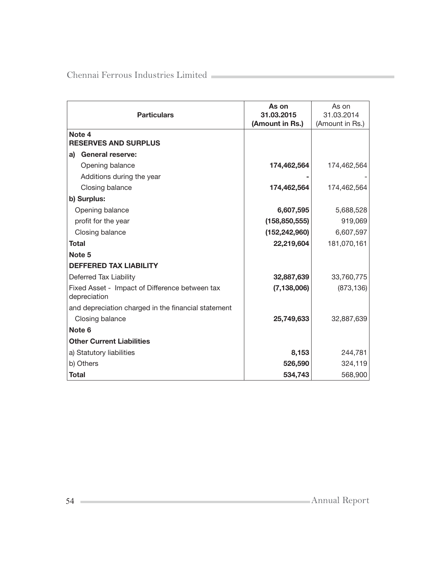| <b>Particulars</b>                                             | As on<br>31.03.2015<br>(Amount in Rs.) | As on<br>31.03.2014<br>(Amount in Rs.) |
|----------------------------------------------------------------|----------------------------------------|----------------------------------------|
| Note 4<br><b>RESERVES AND SURPLUS</b>                          |                                        |                                        |
| <b>General reserve:</b><br>a)                                  |                                        |                                        |
| Opening balance                                                | 174,462,564                            | 174,462,564                            |
| Additions during the year                                      |                                        |                                        |
| Closing balance                                                | 174,462,564                            | 174,462,564                            |
| b) Surplus:                                                    |                                        |                                        |
| Opening balance                                                | 6,607,595                              | 5,688,528                              |
| profit for the year                                            | (158, 850, 555)                        | 919,069                                |
| Closing balance                                                | (152, 242, 960)                        | 6,607,597                              |
| <b>Total</b>                                                   | 22,219,604                             | 181,070,161                            |
| Note 5                                                         |                                        |                                        |
| <b>DEFFERED TAX LIABILITY</b>                                  |                                        |                                        |
| Deferred Tax Liability                                         | 32,887,639                             | 33,760,775                             |
| Fixed Asset - Impact of Difference between tax<br>depreciation | (7, 138, 006)                          | (873, 136)                             |
| and depreciation charged in the financial statement            |                                        |                                        |
| Closing balance                                                | 25,749,633                             | 32,887,639                             |
| Note 6                                                         |                                        |                                        |
| <b>Other Current Liabilities</b>                               |                                        |                                        |
| a) Statutory liabilities                                       | 8,153                                  | 244,781                                |
| b) Others                                                      | 526,590                                | 324,119                                |
| Total                                                          | 534,743                                | 568,900                                |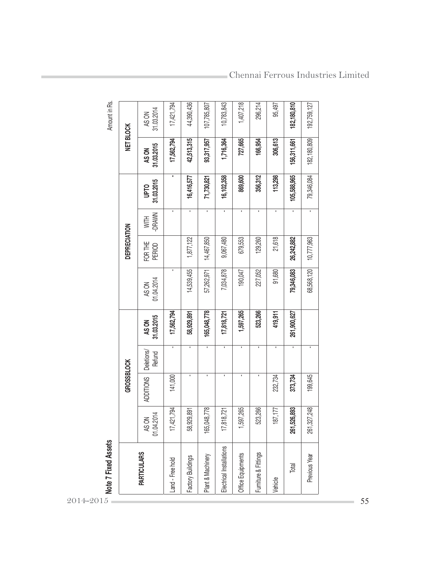|                          |                     | <b>GROSSBLOCK</b> |                      |                     |                     | DEPRECIATION      |                |                           | NET BLOCK           |                     |
|--------------------------|---------------------|-------------------|----------------------|---------------------|---------------------|-------------------|----------------|---------------------------|---------------------|---------------------|
| <b>PARTICULARS</b>       | 01.04.2014<br>AS ON | <b>ADDITIONS</b>  | Deletions/<br>Refund | 31.03.2015<br>AS ON | 01.04.2014<br>AS ON | FOR THE<br>PERIOD | -DRAWN<br>WITH | 31.03.2015<br><b>DLdN</b> | 31.03.2015<br>AS ON | 31.03.2014<br>AS ON |
| Land - Free hold         | 17,421,794          | 141,000           | $\mathbf{L}$         | 17,562,794          | ٠                   |                   | ٠              | $\blacksquare$            | 17,562,794          | 17,421,794          |
| Factory Buildings        | 58,929,891          | ٠                 | $\mathbf{r}$         | 58,929,891          | 14,539,455          | 1,877,122         | $\mathbf{r}$   | 16,416,577                | 42,513,315          | 44,390,436          |
| Plant & Machinery        | 165,048,778         | ı                 | $\blacksquare$       | 165,048,778         | 57,262,971          | 14,467,850        | $\blacksquare$ | 71,730,821                | 93,317,957          | 107,785,807         |
| Electrical Installations | 18,721<br>17,81     |                   | $\mathbf{I}$         | 17,818,721          | 7,034,878           | 9,067,480         | $\mathbf{r}$   | 16,102,358                | 1,716,364           | 10,783,843          |
| Office Equipments        | 1,597,265           | $\blacksquare$    | $\blacksquare$       | 1,597,265           | 190,047             | 679,553           | $\blacksquare$ | 869,600                   | 727,665             | 1,407,218           |
| Furniture & Fittings     | 523,266             |                   | $\blacksquare$       | 523,266             | 227,052             | 129,260           | $\mathbf{I}$   | 356,312                   | 166,954             | 296,214             |
| Vehicle                  | 187,177             | 232,734           | $\mathbf{r}$         | 419,911             | 91,680              | 21,618            | $\mathbf{r}$   | 113,298                   | 306,613             | 95,497              |
| Total                    | 261,526,893         | 373,734           | $\mathbf{I}$         | 261,900,627         | 79,346,083          | 26,242,882        |                | 105,588,965               | 156,311,661         | 182, 180, 810       |
| Previous Year            | 261,327,248         | 199,645           | ٠                    |                     | 68,568,120          | 10,777,963        | $\blacksquare$ | 79,346,084                | 182, 180, 809       | 192,759,127         |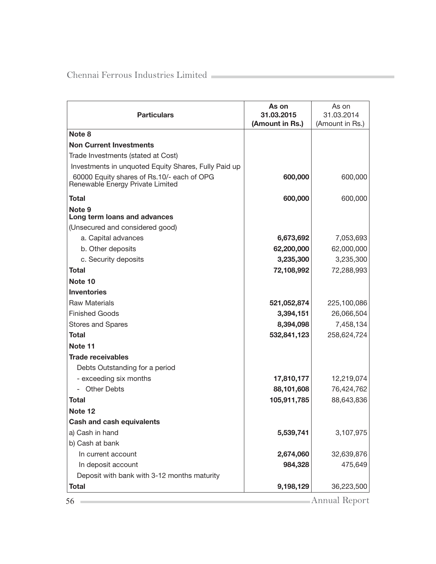| <b>Particulars</b>                                                             | As on<br>31.03.2015<br>(Amount in Rs.) | As on<br>31.03.2014<br>(Amount in Rs.) |
|--------------------------------------------------------------------------------|----------------------------------------|----------------------------------------|
| Note 8                                                                         |                                        |                                        |
| <b>Non Current Investments</b>                                                 |                                        |                                        |
| Trade Investments (stated at Cost)                                             |                                        |                                        |
| Investments in unquoted Equity Shares, Fully Paid up                           |                                        |                                        |
| 60000 Equity shares of Rs.10/- each of OPG<br>Renewable Energy Private Limited | 600,000                                | 600,000                                |
| Total                                                                          | 600,000                                | 600,000                                |
| Note 9<br>Long term loans and advances                                         |                                        |                                        |
| (Unsecured and considered good)                                                |                                        |                                        |
| a. Capital advances                                                            | 6,673,692                              | 7,053,693                              |
| b. Other deposits                                                              | 62,200,000                             | 62,000,000                             |
| c. Security deposits                                                           | 3,235,300                              | 3,235,300                              |
| Total                                                                          | 72,108,992                             | 72,288,993                             |
| Note 10                                                                        |                                        |                                        |
| <b>Inventories</b>                                                             |                                        |                                        |
| <b>Raw Materials</b>                                                           | 521,052,874                            | 225,100,086                            |
| <b>Finished Goods</b>                                                          | 3,394,151                              | 26,066,504                             |
| <b>Stores and Spares</b>                                                       | 8,394,098                              | 7,458,134                              |
| Total                                                                          | 532,841,123                            | 258,624,724                            |
| Note 11                                                                        |                                        |                                        |
| <b>Trade receivables</b>                                                       |                                        |                                        |
| Debts Outstanding for a period                                                 |                                        |                                        |
| - exceeding six months                                                         | 17,810,177                             | 12,219,074                             |
| - Other Debts                                                                  | 88,101,608                             | 76,424,762                             |
| Total                                                                          | 105,911,785                            | 88,643,836                             |
| Note 12                                                                        |                                        |                                        |
| <b>Cash and cash equivalents</b>                                               |                                        |                                        |
| a) Cash in hand                                                                | 5,539,741                              | 3,107,975                              |
| b) Cash at bank                                                                |                                        |                                        |
| In current account                                                             | 2,674,060                              | 32,639,876                             |
| In deposit account                                                             | 984,328                                | 475,649                                |
| Deposit with bank with 3-12 months maturity                                    |                                        |                                        |
| <b>Total</b>                                                                   | 9,198,129                              | 36,223,500                             |
| 56                                                                             |                                        | Annual Report                          |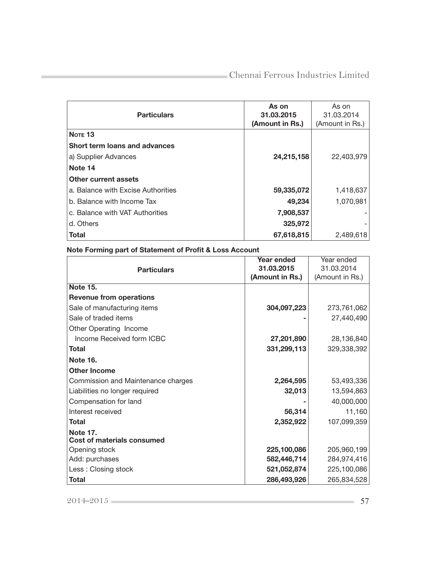| <b>Particulars</b>                 | As on<br>31.03.2015<br>(Amount in Rs.) | As on<br>31.03.2014<br>(Amount in Rs.) |
|------------------------------------|----------------------------------------|----------------------------------------|
| NOTE <sub>13</sub>                 |                                        |                                        |
| Short term loans and advances      |                                        |                                        |
| a) Supplier Advances               | 24,215,158                             | 22,403,979                             |
| Note 14                            |                                        |                                        |
| Other current assets               |                                        |                                        |
| a. Balance with Excise Authorities | 59,335,072                             | 1,418,637                              |
| b. Balance with Income Tax         | 49,234                                 | 1,070,981                              |
| c. Balance with VAT Authorities    | 7,908,537                              |                                        |
| d. Others                          | 325,972                                |                                        |
| <b>Total</b>                       | 67,618,815                             | 2,489,618                              |

# Note Forming part of Statement of Profit & Loss Account

|                                    | Year ended      | Year ended      |
|------------------------------------|-----------------|-----------------|
| <b>Particulars</b>                 | 31.03.2015      | 31.03.2014      |
|                                    | (Amount in Rs.) | (Amount in Rs.) |
| <b>Note 15.</b>                    |                 |                 |
| <b>Revenue from operations</b>     |                 |                 |
| Sale of manufacturing items        | 304,097,223     | 273,761,062     |
| Sale of traded items               |                 | 27,440,490      |
| Other Operating Income             |                 |                 |
| Income Received form ICBC          | 27,201,890      | 28,136,840      |
| Total                              | 331,299,113     | 329,338,392     |
| <b>Note 16.</b>                    |                 |                 |
| <b>Other Income</b>                |                 |                 |
| Commission and Maintenance charges | 2,264,595       | 53,493,336      |
| Liabilities no longer required     | 32,013          | 13,594,863      |
| Compensation for land              |                 | 40,000,000      |
| Interest received                  | 56,314          | 11,160          |
| <b>Total</b>                       | 2,352,922       | 107,099,359     |
| <b>Note 17.</b>                    |                 |                 |
| <b>Cost of materials consumed</b>  |                 |                 |
| Opening stock                      | 225,100,086     | 205,960,199     |
| Add: purchases                     | 582,446,714     | 284,974,416     |
| Less: Closing stock                | 521,052,874     | 225,100,086     |
| <b>Total</b>                       | 286,493,926     | 265,834,528     |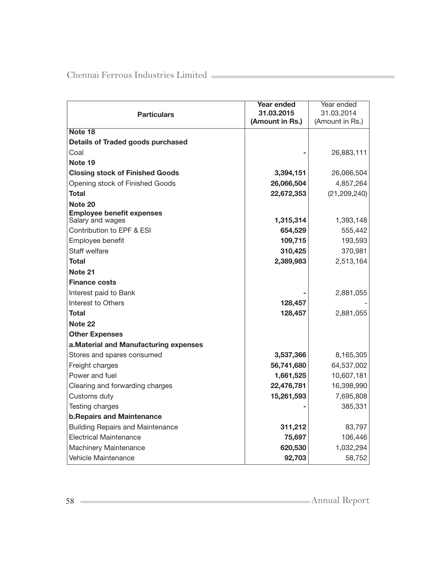|                                                      | Year ended      | Year ended      |
|------------------------------------------------------|-----------------|-----------------|
| <b>Particulars</b>                                   | 31.03.2015      | 31.03.2014      |
|                                                      | (Amount in Rs.) | (Amount in Rs.) |
| Note 18                                              |                 |                 |
| <b>Details of Traded goods purchased</b>             |                 |                 |
| Coal                                                 |                 | 26,883,111      |
| Note 19                                              |                 |                 |
| <b>Closing stock of Finished Goods</b>               | 3,394,151       | 26,066,504      |
| Opening stock of Finished Goods                      | 26,066,504      | 4,857,264       |
| Total                                                | 22,672,353      | (21, 209, 240)  |
| Note 20                                              |                 |                 |
| <b>Employee benefit expenses</b><br>Salary and wages | 1,315,314       | 1,393,148       |
| Contribution to EPF & ESI                            | 654,529         | 555,442         |
| Employee benefit                                     | 109,715         | 193,593         |
| Staff welfare                                        | 310,425         | 370,981         |
| <b>Total</b>                                         | 2,389,983       | 2,513,164       |
| Note 21                                              |                 |                 |
| <b>Finance costs</b>                                 |                 |                 |
| Interest paid to Bank                                |                 | 2,881,055       |
| Interest to Others                                   | 128,457         |                 |
| <b>Total</b>                                         | 128,457         | 2,881,055       |
| Note <sub>22</sub>                                   |                 |                 |
| <b>Other Expenses</b>                                |                 |                 |
| a. Material and Manufacturing expenses               |                 |                 |
| Stores and spares consumed                           | 3,537,366       | 8,165,305       |
| Freight charges                                      | 56,741,680      | 64,537,002      |
| Power and fuel                                       | 1,661,525       | 10,607,181      |
| Clearing and forwarding charges                      | 22,476,781      | 16,398,990      |
| Customs duty                                         | 15,261,593      | 7,695,808       |
| Testing charges                                      |                 | 385,331         |
| <b>b. Repairs and Maintenance</b>                    |                 |                 |
| <b>Building Repairs and Maintenance</b>              | 311,212         | 83,797          |
| <b>Electrical Maintenance</b>                        | 75,697          | 106,446         |
| Machinery Maintenance                                | 620,530         | 1,032,294       |
| Vehicle Maintenance                                  | 92,703          | 58,752          |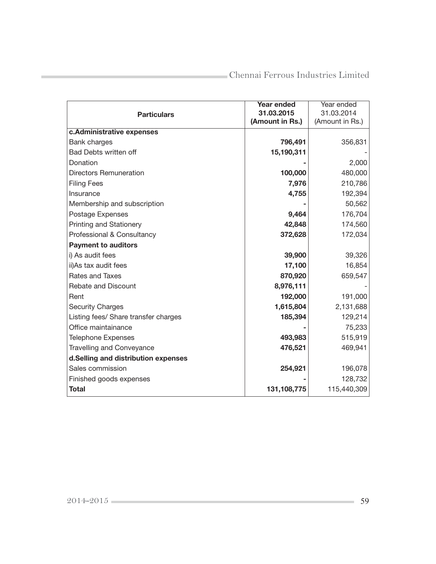|                                      | Year ended      | Year ended      |
|--------------------------------------|-----------------|-----------------|
| <b>Particulars</b>                   | 31.03.2015      | 31.03.2014      |
|                                      | (Amount in Rs.) | (Amount in Rs.) |
| c.Administrative expenses            |                 |                 |
| <b>Bank charges</b>                  | 796,491         | 356,831         |
| <b>Bad Debts written off</b>         | 15,190,311      |                 |
| Donation                             |                 | 2,000           |
| <b>Directors Remuneration</b>        | 100,000         | 480,000         |
| <b>Filing Fees</b>                   | 7,976           | 210,786         |
| Insurance                            | 4,755           | 192,394         |
| Membership and subscription          |                 | 50,562          |
| Postage Expenses                     | 9,464           | 176,704         |
| <b>Printing and Stationery</b>       | 42,848          | 174,560         |
| Professional & Consultancy           | 372,628         | 172,034         |
| <b>Payment to auditors</b>           |                 |                 |
| i) As audit fees                     | 39,900          | 39,326          |
| ii)As tax audit fees                 | 17,100          | 16,854          |
| Rates and Taxes                      | 870,920         | 659,547         |
| Rebate and Discount                  | 8,976,111       |                 |
| Rent                                 | 192,000         | 191,000         |
| <b>Security Charges</b>              | 1,615,804       | 2,131,688       |
| Listing fees/ Share transfer charges | 185,394         | 129,214         |
| Office maintainance                  |                 | 75,233          |
| <b>Telephone Expenses</b>            | 493,983         | 515,919         |
| <b>Travelling and Conveyance</b>     | 476,521         | 469,941         |
| d.Selling and distribution expenses  |                 |                 |
| Sales commission                     | 254,921         | 196,078         |
| Finished goods expenses              |                 | 128,732         |
| <b>Total</b>                         | 131,108,775     | 115,440,309     |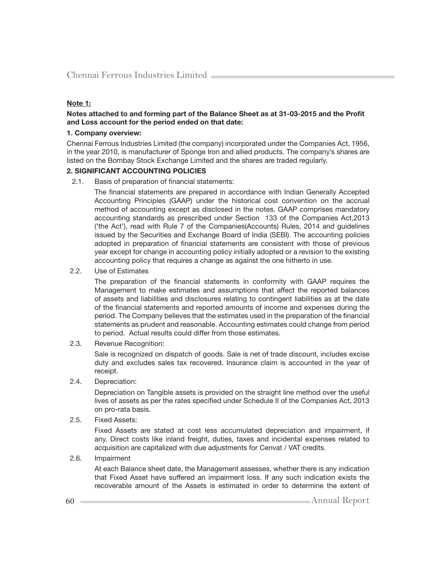#### Note 1:

#### Notes attached to and forming part of the Balance Sheet as at 31-03-2015 and the Profit and Loss account for the period ended on that date:

#### 1. Company overview:

Chennai Ferrous Industries Limited (the company) incorporated under the Companies Act, 1956, in the year 2010, is manufacturer of Sponge Iron and allied products. The company's shares are listed on the Bombay Stock Exchange Limited and the shares are traded regularly.

#### 2. SIGNIFICANT ACCOUNTING POLICIES

2.1. Basis of preparation of financial statements:

The financial statements are prepared in accordance with Indian Generally Accepted Accounting Principles (GAAP) under the historical cost convention on the accrual method of accounting except as disclosed in the notes. GAAP comprises mandatory accounting standards as prescribed under Section 133 of the Companies Act,2013 ('the Act'), read with Rule 7 of the Companies(Accounts) Rules, 2014 and guidelines issued by the Securities and Exchange Board of India (SEBI). The accounting policies adopted in preparation of financial statements are consistent with those of previous year except for change in accounting policy initially adopted or a revision to the existing accounting policy that requires a change as against the one hitherto in use.

2.2. Use of Estimates

The preparation of the financial statements in conformity with GAAP requires the Management to make estimates and assumptions that affect the reported balances of assets and liabilities and disclosures relating to contingent liabilities as at the date of the financial statements and reported amounts of income and expenses during the period. The Company believes that the estimates used in the preparation of the financial statements as prudent and reasonable. Accounting estimates could change from period to period. Actual results could differ from those estimates.

2.3. Revenue Recognition:

 Sale is recognized on dispatch of goods. Sale is net of trade discount, includes excise duty and excludes sales tax recovered. Insurance claim is accounted in the year of receipt.

2.4. Depreciation:

 Depreciation on Tangible assets is provided on the straight line method over the useful lives of assets as per the rates specified under Schedule II of the Companies Act, 2013 on pro-rata basis.

2.5. Fixed Assets:

 Fixed Assets are stated at cost less accumulated depreciation and impairment, if any. Direct costs like inland freight, duties, taxes and incidental expenses related to acquisition are capitalized with due adjustments for Cenvat / VAT credits.

2.6. Impairment

 At each Balance sheet date, the Management assesses, whether there is any indication that Fixed Asset have suffered an impairment loss. If any such indication exists the recoverable amount of the Assets is estimated in order to determine the extent of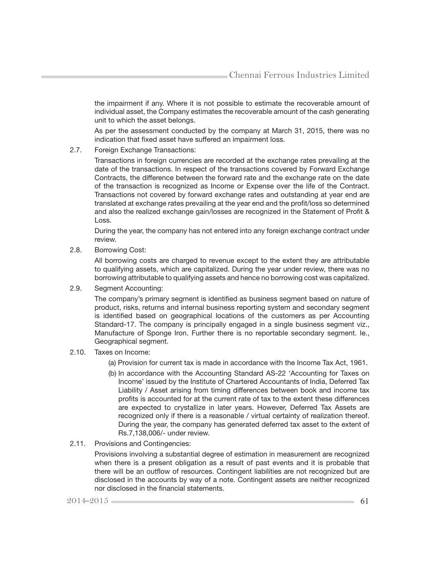the impairment if any. Where it is not possible to estimate the recoverable amount of individual asset, the Company estimates the recoverable amount of the cash generating unit to which the asset belongs.

 As per the assessment conducted by the company at March 31, 2015, there was no indication that fixed asset have suffered an impairment loss.

2.7. Foreign Exchange Transactions:

 Transactions in foreign currencies are recorded at the exchange rates prevailing at the date of the transactions. In respect of the transactions covered by Forward Exchange Contracts, the difference between the forward rate and the exchange rate on the date of the transaction is recognized as Income or Expense over the life of the Contract. Transactions not covered by forward exchange rates and outstanding at year end are translated at exchange rates prevailing at the year end and the profit/loss so determined and also the realized exchange gain/losses are recognized in the Statement of Profit & Loss.

 During the year, the company has not entered into any foreign exchange contract under review.

2.8. Borrowing Cost:

 All borrowing costs are charged to revenue except to the extent they are attributable to qualifying assets, which are capitalized. During the year under review, there was no borrowing attributable to qualifying assets and hence no borrowing cost was capitalized.

2.9. Segment Accounting:

The company's primary segment is identified as business segment based on nature of product, risks, returns and internal business reporting system and secondary segment is identified based on geographical locations of the customers as per Accounting Standard-17. The company is principally engaged in a single business segment viz., Manufacture of Sponge Iron. Further there is no reportable secondary segment. Ie., Geographical segment.

- 2.10. Taxes on Income:
	- (a) Provision for current tax is made in accordance with the Income Tax Act, 1961.
	- (b) In accordance with the Accounting Standard AS-22 'Accounting for Taxes on Income' issued by the Institute of Chartered Accountants of India, Deferred Tax Liability / Asset arising from timing differences between book and income tax profits is accounted for at the current rate of tax to the extent these differences are expected to crystallize in later years. However, Deferred Tax Assets are recognized only if there is a reasonable / virtual certainty of realization thereof. During the year, the company has generated deferred tax asset to the extent of Rs.7,138,006/- under review.
- 2.11. Provisions and Contingencies:

 Provisions involving a substantial degree of estimation in measurement are recognized when there is a present obligation as a result of past events and it is probable that there will be an outflow of resources. Contingent liabilities are not recognized but are disclosed in the accounts by way of a note. Contingent assets are neither recognized nor disclosed in the financial statements.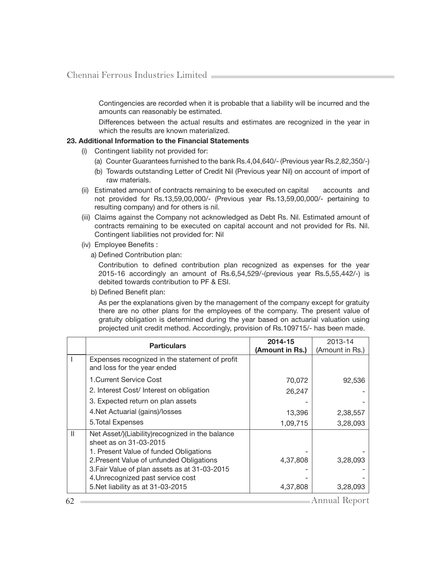Contingencies are recorded when it is probable that a liability will be incurred and the amounts can reasonably be estimated.

Differences between the actual results and estimates are recognized in the year in which the results are known materialized.

#### 23. Additional Information to the Financial Statements

- (i) Contingent liability not provided for:
	- (a) Counter Guarantees furnished to the bank Rs.4,04,640/- (Previous year Rs.2,82,350/-)
	- (b) Towards outstanding Letter of Credit Nil (Previous year Nil) on account of import of raw materials.
- (ii) Estimated amount of contracts remaining to be executed on capital accounts and not provided for Rs.13,59,00,000/- (Previous year Rs.13,59,00,000/- pertaining to resulting company) and for others is nil.
- (iii) Claims against the Company not acknowledged as Debt Rs. Nil. Estimated amount of contracts remaining to be executed on capital account and not provided for Rs. Nil. Contingent liabilities not provided for: Nil
- (iv) Employee Benefits :
	- a) Defined Contribution plan:

Contribution to defined contribution plan recognized as expenses for the year 2015-16 accordingly an amount of Rs.6,54,529/-(previous year Rs.5,55,442/-) is debited towards contribution to PF & ESI.

b) Defined Benefit plan:

 As per the explanations given by the management of the company except for gratuity there are no other plans for the employees of the company. The present value of gratuity obligation is determined during the year based on actuarial valuation using projected unit credit method. Accordingly, provision of Rs.109715/- has been made.

|   | <b>Particulars</b>                                                                                                   | 2014-15         | 2013-14         |
|---|----------------------------------------------------------------------------------------------------------------------|-----------------|-----------------|
|   |                                                                                                                      | (Amount in Rs.) | (Amount in Rs.) |
|   | Expenses recognized in the statement of profit<br>and loss for the year ended                                        |                 |                 |
|   | 1. Current Service Cost                                                                                              | 70,072          | 92,536          |
|   | 2. Interest Cost/ Interest on obligation                                                                             | 26,247          |                 |
|   | 3. Expected return on plan assets                                                                                    |                 |                 |
|   | 4. Net Actuarial (gains)/losses                                                                                      | 13,396          | 2,38,557        |
|   | 5. Total Expenses                                                                                                    | 1,09,715        | 3,28,093        |
| Ш | Net Asset/)(Liability) recognized in the balance<br>sheet as on 31-03-2015<br>1. Present Value of funded Obligations |                 |                 |
|   | 2. Present Value of unfunded Obligations                                                                             | 4,37,808        | 3,28,093        |
|   | 3. Fair Value of plan assets as at 31-03-2015                                                                        |                 |                 |
|   | 4. Unrecognized past service cost                                                                                    |                 |                 |
|   | 5. Net liability as at 31-03-2015                                                                                    | 4,37,808        | 3,28,093        |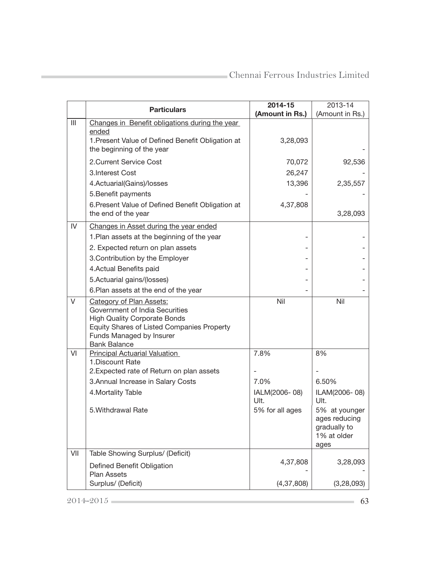|                                       | <b>Particulars</b>                                                       | 2014-15<br>(Amount in Rs.) | 2013-14<br>(Amount in Rs.)  |
|---------------------------------------|--------------------------------------------------------------------------|----------------------------|-----------------------------|
| $\begin{array}{c} \hline \end{array}$ | Changes in Benefit obligations during the year                           |                            |                             |
|                                       | ended                                                                    |                            |                             |
|                                       | 1. Present Value of Defined Benefit Obligation at                        | 3,28,093                   |                             |
|                                       | the beginning of the year                                                |                            |                             |
|                                       | 2. Current Service Cost                                                  | 70,072                     | 92,536                      |
|                                       | 3. Interest Cost                                                         | 26,247                     |                             |
|                                       | 4.Actuarial(Gains)/losses                                                | 13,396                     | 2,35,557                    |
|                                       | 5. Benefit payments                                                      |                            |                             |
|                                       | 6. Present Value of Defined Benefit Obligation at<br>the end of the year | 4,37,808                   | 3,28,093                    |
| IV                                    | Changes in Asset during the year ended                                   |                            |                             |
|                                       | 1. Plan assets at the beginning of the year                              |                            |                             |
|                                       | 2. Expected return on plan assets                                        |                            |                             |
|                                       | 3. Contribution by the Employer                                          |                            |                             |
|                                       | 4. Actual Benefits paid                                                  |                            |                             |
|                                       | 5. Actuarial gains/(losses)                                              |                            |                             |
|                                       | 6. Plan assets at the end of the year                                    |                            |                             |
| V                                     | <b>Category of Plan Assets:</b><br>Government of India Securities        | Nil                        | Nil                         |
|                                       | <b>High Quality Corporate Bonds</b>                                      |                            |                             |
|                                       | Equity Shares of Listed Companies Property                               |                            |                             |
|                                       | Funds Managed by Insurer                                                 |                            |                             |
| VI                                    | <b>Bank Balance</b><br><b>Principal Actuarial Valuation</b>              | 7.8%                       | 8%                          |
|                                       | 1. Discount Rate                                                         |                            |                             |
|                                       | 2. Expected rate of Return on plan assets                                |                            |                             |
|                                       | 3. Annual Increase in Salary Costs                                       | 7.0%                       | 6.50%                       |
|                                       | 4. Mortality Table                                                       | IALM(2006-08)<br>Ult.      | ILAM(2006-08)<br>Ult.       |
|                                       | 5. Withdrawal Rate                                                       | 5% for all ages            | 5% at younger               |
|                                       |                                                                          |                            | ages reducing               |
|                                       |                                                                          |                            | gradually to<br>1% at older |
|                                       |                                                                          |                            | ages                        |
| VII                                   | Table Showing Surplus/ (Deficit)                                         |                            |                             |
|                                       | Defined Benefit Obligation                                               | 4,37,808                   | 3,28,093                    |
|                                       | <b>Plan Assets</b>                                                       |                            |                             |
|                                       | Surplus/ (Deficit)                                                       | (4, 37, 808)               | (3, 28, 093)                |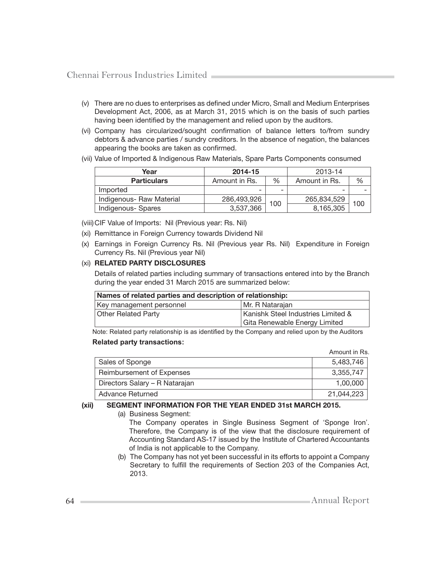- (v) There are no dues to enterprises as defined under Micro, Small and Medium Enterprises Development Act, 2006, as at March 31, 2015 which is on the basis of such parties having been identified by the management and relied upon by the auditors.
- (vi) Company has circularized/sought confirmation of balance letters to/from sundry debtors & advance parties / sundry creditors. In the absence of negation, the balances appearing the books are taken as confirmed.
- (vii) Value of Imported & Indigenous Raw Materials, Spare Parts Components consumed

| Year                     | 2014-15       |      | 2013-14       |     |
|--------------------------|---------------|------|---------------|-----|
| <b>Particulars</b>       | Amount in Rs. | $\%$ | Amount in Rs. | %   |
| Imported                 |               | -    | -             |     |
| Indigenous- Raw Material | 286,493,926   |      | 265,834,529   | 100 |
| Indigenous-Spares        | 3,537,366     | 100  | 8,165,305     |     |

(viii) CIF Value of Imports: Nil (Previous year: Rs. Nil)

- (xi) Remittance in Foreign Currency towards Dividend Nil
- (x) Earnings in Foreign Currency Rs. Nil (Previous year Rs. Nil) Expenditure in Foreign Currency Rs. Nil (Previous year Nil)

#### (xi) RELATED PARTY DISCLOSURES

 Details of related parties including summary of transactions entered into by the Branch during the year ended 31 March 2015 are summarized below:

| Names of related parties and description of relationship:        |                               |  |
|------------------------------------------------------------------|-------------------------------|--|
| Key management personnel                                         | Mr. R Natarajan               |  |
| Kanishk Steel Industries Limited &<br><b>Other Related Party</b> |                               |  |
|                                                                  | Gita Renewable Energy Limited |  |

Note: Related party relationship is as identified by the Company and relied upon by the Auditors  **Related party transactions:**

|                                | Amount in Rs. |
|--------------------------------|---------------|
| Sales of Sponge                | 5,483,746     |
| Reimbursement of Expenses      | 3.355.747     |
| Directors Salary - R Natarajan | 1.00.000      |
| Advance Returned               | 21,044,223    |

#### (xii) SEGMENT INFORMATION FOR THE YEAR ENDED 31st MARCH 2015.

(a) Business Segment:

 The Company operates in Single Business Segment of 'Sponge Iron'. Therefore, the Company is of the view that the disclosure requirement of Accounting Standard AS-17 issued by the Institute of Chartered Accountants of India is not applicable to the Company.

 (b) The Company has not yet been successful in its efforts to appoint a Company Secretary to fulfill the requirements of Section 203 of the Companies Act, 2013.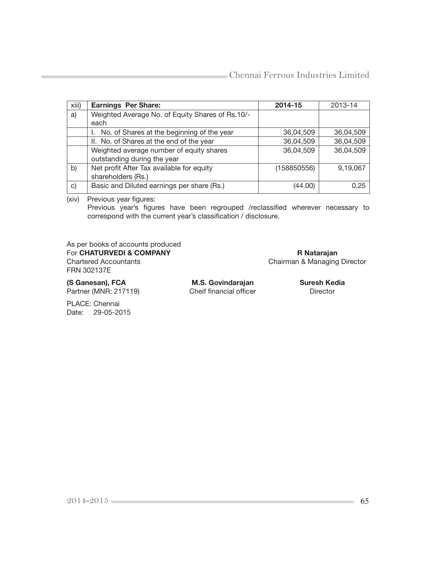| xiii) | <b>Earnings Per Share:</b>                       | 2014-15     | 2013-14   |
|-------|--------------------------------------------------|-------------|-----------|
| a)    | Weighted Average No. of Equity Shares of Rs.10/- |             |           |
|       | each                                             |             |           |
|       | No. of Shares at the beginning of the year       | 36,04,509   | 36,04,509 |
|       | II. No. of Shares at the end of the year         | 36,04,509   | 36,04,509 |
|       | Weighted average number of equity shares         | 36,04,509   | 36,04,509 |
|       | outstanding during the year                      |             |           |
| b)    | Net profit After Tax available for equity        | (158850556) | 9,19,067  |
|       | shareholders (Rs.)                               |             |           |
| C)    | Basic and Diluted earnings per share (Rs.)       | (44.00)     | 0.25      |

(xiv) Previous year figures:

Previous year's figures have been regrouped /reclassified wherever necessary to correspond with the current year's classification / disclosure.

As per books of accounts produced For CHATURVEDI & COMPANY Report CHATURVEDI & COMPANY Report Chairman & Managing FRN 302137E

Chairman & Managing Director

(S Ganesan), FCA M.S. Govindarajan Suresh Kedia<br>Partner (MNR: 217119) Cheif financial officer Director Partner (MNR: 217119) Cheif financial officer Director

PLACE: Chennai Date: 29-05-2015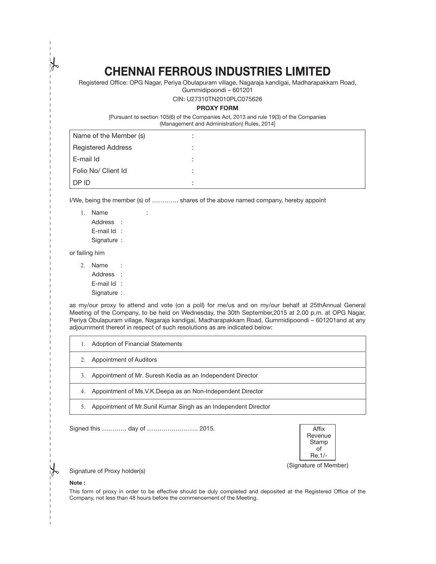# CHENNAI FERROUS INDUSTRIES LIMITED

Registered Office: OPG Nagar, Periya Obulapuram village, Nagaraja kandigai, Madharapakkam Road,

Gummidipoondi – 601201

CIN: U27310TN2010PLC075626

#### PROXY FORM

[Pursuant to section 105(6) of the Companies Act, 2013 and rule 19(3) of the Companies (Management and Administration) Rules, 2014]

| Name of the Member (s)    |   |  |
|---------------------------|---|--|
| <b>Registered Address</b> | ٠ |  |
| E-mail Id                 | ٠ |  |
| Folio No/ Client Id       |   |  |
| DP ID                     |   |  |

I/We, being the member (s) of …………. shares of the above named company, hereby appoint

| 1. Name |  |                                     |
|---------|--|-------------------------------------|
|         |  |                                     |
|         |  |                                     |
|         |  | Address :<br>E-mail $\mathsf{Id}$ : |

Signature :

or failing him

- 2. Name :
	- Address :
	- E-mail Id :
	- Signature :

as my/our proxy to attend and vote (on a poll) for me/us and on my/our behalf at 25thAnnual General Meeting of the Company, to be held on Wednesday, the 30th September,2015 at 2.00 p.m. at OPG Nagar, Periya Obulapuram village, Nagaraja kandigai, Madharapakkam Road, Gummidipoondi – 601201and at any adjournment thereof in respect of such resolutions as are indicated below:

| Adoption of Financial Statements                                 |  |
|------------------------------------------------------------------|--|
| Appointment of Auditors                                          |  |
| Appointment of Mr. Suresh Kedia as an Independent Director<br>3. |  |
| Appointment of Ms.V.K.Deepa as an Non-Independent Director<br>4. |  |
| Appointment of Mr. Sunil Kumar Singh as an Independent Director  |  |

Signed this ………… day of ……………………. 2015 . Af! x



(Signature of Member)

Signature of Proxy holder(s)

#### Note :

 $\mathbf I$ 

This form of proxy in order to be effective should be duly completed and deposited at the Registered Office of the Company, not less than 48 hours before the commencement of the Meeting.